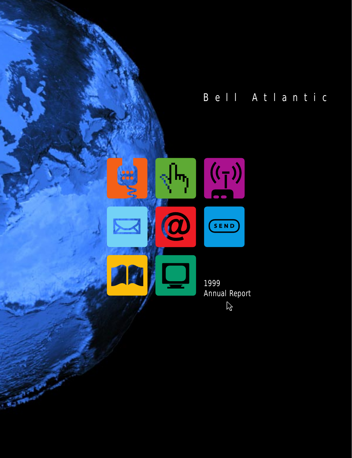

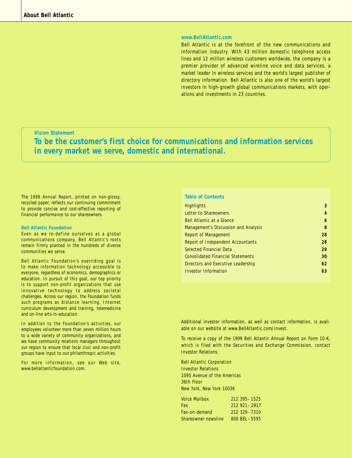#### **www.BellAtlantic.com**

Bell Atlantic is at the forefront of the new communications and information industry. With 43 million domestic telephone access lines and 12 million wireless customers worldwide, the company is a premier provider of advanced wireline voice and data services, a market leader in wireless services and the world's largest publisher of directory information. Bell Atlantic is also one of the world's largest investors in high-growth global communications markets, with operations and investments in 23 countries.

### **Vision Statement**

**To be the customer's first choice for communications and information services in every market we serve, domestic and international.**

*The 1999 Annual Report, printed on non-glossy, recycled paper, reflects our continuing commitment to provide concise and cost-effective reporting of financial performance to our shareowners.*

#### **Bell Atlantic Foundation**

Even as we re-define ourselves as a global communications company, Bell Atlantic's roots remain firmly planted in the hundreds of diverse communities we serve.

Bell Atlantic Foundation's overriding goal is to make information technology accessible to everyone, regardless of economics, demographics or education. In pursuit of this goal, our top priority is to support non-profit organizations that use innovative technology to address societal challenges. Across our region, the Foundation funds such programs as distance learning, Internet curriculum development and training, telemedicine and on-line arts-in-education.

In addition to the Foundation's activities, our employees volunteer more than seven million hours to a wide variety of community organizations, and we have community relations managers throughout our region to ensure that local civic and non-profit groups have input to our philanthropic activities.

For more information, see our Web site, www.bellatlanticfoundation.com.

#### **Table of Contents**

| <b>Highlights</b>                        | 3  |
|------------------------------------------|----|
| Letter to Shareowners                    | 4  |
| <b>Bell Atlantic at a Glance</b>         | 6  |
| Management's Discussion and Analysis     | 8  |
| <b>Report of Management</b>              | 28 |
| Report of Independent Accountants        | 28 |
| <b>Selected Financial Data</b>           | 29 |
| <b>Consolidated Financial Statements</b> | 30 |
| Directors and Executive Leadership       | 62 |
| Investor Information                     | 63 |

Additional investor information, as well as contact information, is available on our website at www.BellAtlantic.com/invest.

To receive a copy of the 1999 Bell Atlantic Annual Report on Form 10-K, which is filed with the Securities and Exchange Commission, contact Investor Relations:

Bell Atlantic Corporation Investor Relations 1095 Avenue of the Americas 36th Floor New York, New York 10036

| <b>Voice Mailbox</b> | 212 395 - 1525    |
|----------------------|-------------------|
| Fax                  | $212921 - 2917$   |
| Fax-on-demand        | 212 329 - 7310    |
| Shareowner newsline  | $800$ BFI $-5595$ |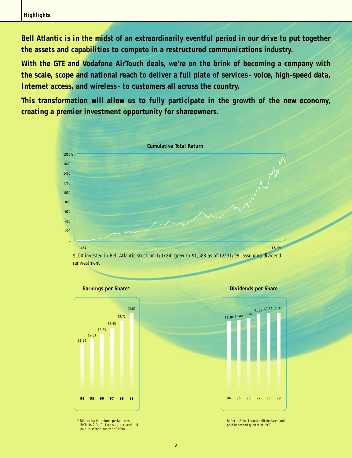**Bell Atlantic is in the midst of an extraordinarily eventful period in our drive to put together the assets and capabilities to compete in a restructured communications industry.**

**With the GTE and Vodafone AirTouch deals, we're on the brink of becoming a company with the scale, scope and national reach to deliver a full plate of services–voice, high-speed data, Internet access, and wireless–to customers all across the country.**

**This transformation will allow us to fully participate in the growth of the new economy, creating a premier investment opportunity for shareowners.**



reinvestment

#### **Earnings per Share\***



\* Diluted basis, before special items Reflects 2-for-1 stock split declared and paid in second quarter of 1998





Reflects 2-for-1 stock split declared and paid in second quarter of 1998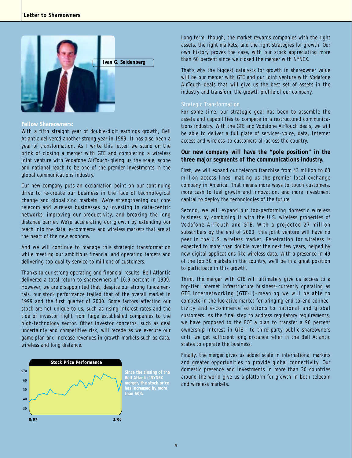

#### **Fellow Shareowners:**

With a fifth straight year of double-digit earnings growth, Bell Atlantic delivered another strong year in 1999. It has also been a year of transformation. As I write this letter, we stand on the brink of closing a merger with GTE and completing a wireless joint venture with Vodafone AirTouch–giving us the scale, scope and national reach to be one of the premier investments in the global communications industry.

Our new company puts an exclamation point on our continuing drive to re-create our business in the face of technological change and globalizing markets. We're strengthening our core telecom and wireless businesses by investing in data-centric networks, improving our productivity, and breaking the long distance barrier. We're accelerating our growth by extending our reach into the data, e-commerce and wireless markets that are at the heart of the new economy.

And we will continue to manage this strategic transformation while meeting our ambitious financial and operating targets and delivering top-quality service to millions of customers.

Thanks to our strong operating and financial results, Bell Atlantic delivered a total return to shareowners of 16.9 percent in 1999. However, we are disappointed that, despite our strong fundamentals, our stock performance trailed that of the overall market in 1999 and the first quarter of 2000. Some factors affecting our stock are not unique to us, such as rising interest rates and the tide of investor flight from large established companies to the high-technology sector. Other investor concerns, such as deal uncertainty and competitive risk, will recede as we execute our game plan and increase revenues in growth markets such as data, wireless and long distance.



**Bell Atlantic/NYNEX has increased by more**  Long term, though, the market rewards companies with the right assets, the right markets, and the right strategies for growth. Our own history proves the case, with our stock appreciating more than 60 percent since we closed the merger with NYNEX.

That's why the biggest catalysts for growth in shareowner value will be our merger with GTE and our joint venture with Vodafone AirTouch–deals that will give us the best set of assets in the industry and transform the growth profile of our company.

#### *Strategic Transformation*

For some time, our strategic goal has been to assemble the assets and capabilities to compete in a restructured communications industry. With the GTE and Vodafone AirTouch deals, we will be able to deliver a full plate of services–voice, data, Internet access and wireless–to customers all across the country.

### **Our new company will have the "pole position" in the three major segments of the communications industry.**

First, we will expand our telecom franchise from 43 million to 63 million access lines, making us the premier local exchange company in America. That means more ways to touch customers, more cash to fuel growth and innovation, and more investment capital to deploy the technologies of the future.

Second, we will expand our top-performing domestic wireless business by combining it with the U.S. wireless properties of Vodafone AirTouch and GTE. With a projected 27 million subscribers by the end of 2000, this joint venture will have no peer in the U.S. wireless market. Penetration for wireless is expected to more than double over the next few years, helped by new digital applications like wireless data. With a presence in 49 of the top 50 markets in the country, we'll be in a great position to participate in this growth.

Third, the merger with GTE will ultimately give us access to a top-tier Internet infrastructure business–currently operating as GTE Internetworking (GTE-I)–meaning we will be able to compete in the lucrative market for bringing end-to-end connectivity and e-commerce solutions to national and global customers. As the final step to address regulatory requirements, we have proposed to the FCC a plan to transfer a 90 percent ownership interest in GTE-I to third-party public shareowners until we get sufficient long distance relief in the Bell Atlantic states to operate the business.

Finally, the merger gives us added scale in international markets and greater opportunities to provide global connectivity. Our domestic presence and investments in more than 30 countries around the world give us a platform for growth in both telecom and wireless markets.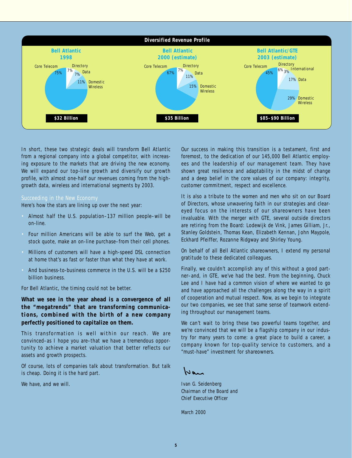

In short, these two strategic deals will transform Bell Atlantic from a regional company into a global competitor, with increasing exposure to the markets that are driving the new economy. We will expand our top-line growth and diversify our growth profile, with almost one-half our revenues coming from the highgrowth data, wireless and international segments by 2003.

### *Succeeding in the New Economy*

Here's how the stars are lining up over the next year:

- Almost half the U.S. population–137 million people–will be on-line.
- Four million Americans will be able to surf the Web, get a stock quote, make an on-line purchase–from their cell phones.
- Millions of customers will have a high-speed DSL connection at home that's as fast or faster than what they have at work.
- And business-to-business commerce in the U.S. will be a \$250 billion business.

For Bell Atlantic, the timing could not be better.

**What we see in the year ahead is a convergence of all the "megatrends" that are transforming communications, combined with the birth of a new company perfectly positioned to capitalize on them.**

This transformation is well within our reach. We are convinced–as I hope you are–that we have a tremendous opportunity to achieve a market valuation that better reflects our assets and growth prospects.

Of course, lots of companies talk about transformation. But talk is cheap. Doing it is the hard part.

We have, and we will.

Our success in making this transition is a testament, first and foremost, to the dedication of our 145,000 Bell Atlantic employees and the leadership of our management team. They have shown great resilience and adaptability in the midst of change and a deep belief in the core values of our company: integrity, customer commitment, respect and excellence.

It is also a tribute to the women and men who sit on our Board of Directors, whose unwavering faith in our strategies and cleareyed focus on the interests of our shareowners have been invaluable. With the merger with GTE, several outside directors are retiring from the Board: Lodewijk de Vink, James Gilliam, Jr., Stanley Goldstein, Thomas Kean, Elizabeth Kennan, John Maypole, Eckhard Pfeiffer, Rozanne Ridgway and Shirley Young.

On behalf of all Bell Atlantic shareowners, I extend my personal gratitude to these dedicated colleagues.

Finally, we couldn't accomplish any of this without a good partner–and, in GTE, we've had the best. From the beginning, Chuck Lee and I have had a common vision of where we wanted to go and have approached all the challenges along the way in a spirit of cooperation and mutual respect. Now, as we begin to integrate our two companies, we see that same sense of teamwork extending throughout our management teams.

We can't wait to bring these two powerful teams together, and we're convinced that we will be a flagship company in our industry for many years to come: a great place to build a career, a company known for top-quality service to customers, and a "must-have" investment for shareowners.

 $N$ an

Ivan G. Seidenberg *Chairman of the Board and Chief Executive Officer*

March 2000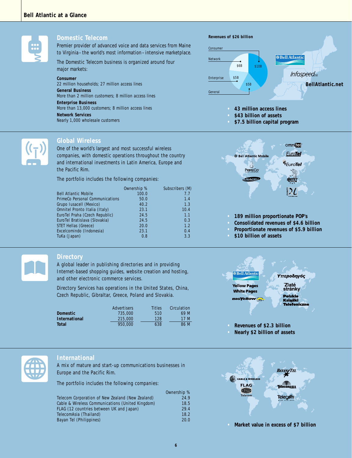

#### **Domestic Telecom**

Premier provider of advanced voice and data services from Maine to Virginia–the world's most information–intensive marketplace.

The Domestic Telecom business is organized around four major markets:

#### **Consumer**

*22 million households; 27 million access lines* **General Business** *More than 2 million customers; 8 million access lines* **Enterprise Business** *More than 13,000 customers; 8 million access lines* **Network Services** *Nearly 1,000 wholesale customers*



### **Global Wireless**

One of the world's largest and most successful wireless companies, with domestic operations throughout the country and international investments in Latin America, Europe and the Pacific Rim.

The portfolio includes the following companies:

|                                 | Ownership % | Subscribers (M) |
|---------------------------------|-------------|-----------------|
| <b>Bell Atlantic Mobile</b>     | 100.0       | 7.7             |
| PrimeCo Personal Communications | 50.0        | 1.4             |
| Grupo Iusacell (Mexico)         | 40.2        | 1.3             |
| Omnitel Pronto Italia (Italy)   | 23.1        | 10.4            |
| EuroTel Praha (Czech Republic)  | 24.5        | 1.1             |
| EuroTel Bratislava (Slovakia)   | 24.5        | 0.3             |
| <b>STET Hellas (Greece)</b>     | 20.0        | 1.2             |
| Excelcomindo (Indonesia)        | 23.1        | 0.4             |
| TuKa (Japan)                    | 0.8         | 3.3             |

#### **Directory**

A global leader in publishing directories and in providing Internet-based shopping guides, website creation and hosting, and other electronic commerce services.

Directory Services has operations in the United States, China, Czech Republic, Gibraltar, Greece, Poland and Slovakia.

|               | Advertisers | Titles | Circulation |
|---------------|-------------|--------|-------------|
| Domestic      | 735,000     | 510    | 69 M        |
| International | 215,000     | 128    | 17 M        |
| Total         | 950.000     | 638    | 86 M        |
|               |             |        |             |

### **Revenues of \$26 billion** Consumer **OBell Atlantic** Network \$6B \$10B **Infospeed**<sub>ps</sub> Enterprise \$5B **\$5P BellAtlantic.net**General

**• 43 million access lines**

- **• \$43 billion of assets**
- **• \$7.5 billion capital program**



- **• 189 million proportionate POP's**
- **• Consolidated revenues of \$4.6 billion**
- **• Proportionate revenues of \$5.9 billion**
- **• \$10 billion of assets**



**• Nearly \$2 billion of assets**



**• Market value in excess of \$7 billion**



### **International**

A mix of mature and start-up communications businesses in Europe and the Pacific Rim.

The portfolio includes the following companies:

|                                                  | Ownership % |
|--------------------------------------------------|-------------|
| Telecom Corporation of New Zealand (New Zealand) | 24.9        |
| Cable & Wireless Communications (United Kingdom) | 18.5        |
| FLAG (12 countries between UK and Japan)         | 29.4        |
| TelecomAsia (Thailand)                           | 18.2        |
| Bayan Tel (Philippines)                          | 20.0        |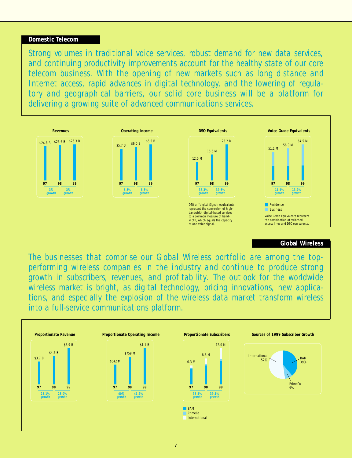### **Domestic Telecom**

*Strong volumes in traditional voice services, robust demand for new data services, and continuing productivity improvements account for the healthy state of our core telecom business. With the opening of new markets such as long distance and Internet access, rapid advances in digital technology, and the lowering of regulatory and geographical barriers, our solid core business will be a platform for delivering a growing suite of advanced communications services.*



## **Global Wireless**

*The businesses that comprise our Global Wireless portfolio are among the topperforming wireless companies in the industry and continue to produce strong growth in subscribers, revenues, and profitability. The outlook for the worldwide wireless market is bright, as digital technology, pricing innovations, new applications, and especially the explosion of the wireless data market transform wireless into a full-service communications platform.*

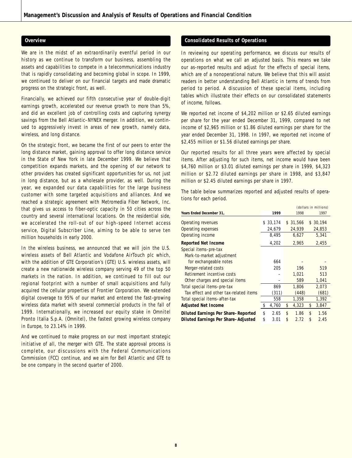#### **Overview**

We are in the midst of an extraordinarily eventful period in our history as we continue to transform our business, assembling the assets and capabilities to compete in a telecommunications industry that is rapidly consolidating and becoming global in scope. In 1999, we continued to deliver on our financial targets and made dramatic progress on the strategic front, as well.

Financially, we achieved our fifth consecutive year of double-digit earnings growth, accelerated our revenue growth to more than 5%, and did an excellent job of controlling costs and capturing synergy savings from the Bell Atlantic–NYNEX merger. In addition, we continued to aggressively invest in areas of new growth, namely data, wireless, and long distance.

On the strategic front, we became the first of our peers to enter the long distance market, gaining approval to offer long distance service in the State of New York in late December 1999. We believe that competition expands markets, and the opening of our network to other providers has created significant opportunities for us, not just in long distance, but as a wholesale provider, as well. During the year, we expanded our data capabilities for the large business customer with some targeted acquisitions and alliances. And we reached a strategic agreement with Metromedia Fiber Network, Inc. that gives us access to fiber-optic capacity in 50 cities across the country and several international locations. On the residential side, we accelerated the roll-out of our high-speed Internet access service, Digital Subscriber Line, aiming to be able to serve ten million households in early 2000.

In the wireless business, we announced that we will join the U.S. wireless assets of Bell Atlantic and Vodafone AirTouch plc which, with the addition of GTE Corporation's (GTE) U.S. wireless assets, will create a new nationwide wireless company serving 49 of the top 50 markets in the nation. In addition, we continued to fill out our regional footprint with a number of small acquisitions and fully acquired the cellular properties of Frontier Corporation. We extended digital coverage to 95% of our market and entered the fast-growing wireless data market with several commercial products in the fall of 1999. Internationally, we increased our equity stake in Omnitel Pronto Italia S.p.A. (Omnitel), the fastest growing wireless company in Europe, to 23.14% in 1999.

And we continued to make progress on our most important strategic initiative of all, the merger with GTE. The state approval process is complete, our discussions with the Federal Communications Commission (FCC) continue, and we aim for Bell Atlantic and GTE to be one company in the second quarter of 2000.

#### **Consolidated Results of Operations**

In reviewing our operating performance, we discuss our results of operations on what we call an adjusted basis. This means we take our as-reported results and adjust for the effects of special items, which are of a nonoperational nature. We believe that this will assist readers in better understanding Bell Atlantic in terms of trends from period to period. A discussion of these special items, including tables which illustrate their effects on our consolidated statements of income, follows.

We reported net income of \$4,202 million or \$2.65 diluted earnings per share for the year ended December 31, 1999, compared to net income of \$2,965 million or \$1.86 diluted earnings per share for the year ended December 31, 1998. In 1997, we reported net income of \$2,455 million or \$1.56 diluted earnings per share.

Our reported results for all three years were affected by special items. After adjusting for such items, net income would have been \$4,760 million or \$3.01 diluted earnings per share in 1999, \$4,323 million or \$2.72 diluted earnings per share in 1998, and \$3,847 million or \$2.45 diluted earnings per share in 1997.

The table below summarizes reported and adjusted results of operations for each period.

|                                            | (dollars in millions) |          |    |          |      |          |  |  |
|--------------------------------------------|-----------------------|----------|----|----------|------|----------|--|--|
| Years Ended December 31,                   |                       | 1999     |    | 1998     | 1997 |          |  |  |
| Operating revenues                         |                       | \$33,174 |    | \$31,566 |      | \$30,194 |  |  |
| Operating expenses                         |                       | 24,679   |    | 24,939   |      | 24,853   |  |  |
| Operating income                           |                       | 8,495    |    | 6,627    |      | 5,341    |  |  |
| <b>Reported Net Income</b>                 |                       | 4,202    |    | 2,965    |      | 2,455    |  |  |
| Special items-pre-tax                      |                       |          |    |          |      |          |  |  |
| Mark-to-market adjustment                  |                       |          |    |          |      |          |  |  |
| for exchangeable notes                     |                       | 664      |    |          |      |          |  |  |
| Merger-related costs                       |                       | 205      |    | 196      |      | 519      |  |  |
| Retirement incentive costs                 |                       |          |    | 1,021    |      | 513      |  |  |
| Other charges and special items            |                       |          |    | 589      |      | 1,041    |  |  |
| Total special items-pre-tax                |                       | 869      |    | 1,806    |      | 2,073    |  |  |
| Tax effect and other tax-related items     |                       | (311)    |    | (448)    |      | (681)    |  |  |
| Total special items-after-tax              |                       | 558      |    | 1,358    |      | 1,392    |  |  |
| <b>Adjusted Net Income</b>                 | \$                    | 4,760    | \$ | 4,323    | \$   | 3,847    |  |  |
| <b>Diluted Earnings Per Share-Reported</b> | \$                    | 2.65     | \$ | 1.86     | \$   | 1.56     |  |  |
| Diluted Earnings Per Share-Adjusted        | \$                    | 3.01     | \$ | 2.72     | \$   | 2.45     |  |  |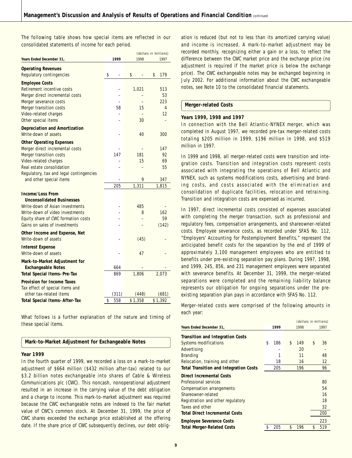The following table shows how special items are reflected in our consolidated statements of income for each period.

|                                                            |           | (dollars in millions) |         |    |         |
|------------------------------------------------------------|-----------|-----------------------|---------|----|---------|
| Years Ended December 31,                                   | 1999      |                       | 1998    |    | 1997    |
| <b>Operating Revenues</b><br>Regulatory contingencies      | \$        | \$                    |         | \$ | 179     |
| <b>Employee Costs</b>                                      |           |                       |         |    |         |
| Retirement incentive costs                                 |           |                       | 1,021   |    | 513     |
| Merger direct incremental costs                            |           |                       |         |    | 53      |
| Merger severance costs                                     |           |                       |         |    | 223     |
| Merger transition costs                                    | 58        |                       | 15      |    | 4       |
| Video-related charges                                      |           |                       |         |    | 12      |
| Other special items                                        |           |                       | 30      |    |         |
| <b>Depreciation and Amortization</b>                       |           |                       |         |    |         |
| Write-down of assets                                       |           |                       | 40      |    | 300     |
|                                                            |           |                       |         |    |         |
| <b>Other Operating Expenses</b>                            |           |                       |         |    | 147     |
| Merger direct incremental costs<br>Merger transition costs | 147       |                       | 181     |    | 92      |
| Video-related charges                                      |           |                       | 15      |    | 69      |
| Real estate consolidation                                  |           |                       |         |    | 55      |
| Regulatory, tax and legal contingencies                    |           |                       |         |    |         |
| and other special items                                    |           |                       | 9       |    | 347     |
|                                                            | 205       |                       | 1,311   |    | 1,815   |
| <b>Income/Loss From</b>                                    |           |                       |         |    |         |
| <b>Unconsolidated Businesses</b>                           |           |                       |         |    |         |
| Write-down of Asian investments                            |           |                       | 485     |    |         |
| Write-down of video investments                            |           |                       | 8       |    | 162     |
| Equity share of CWC formation costs                        |           |                       |         |    | 59      |
| Gains on sales of investments                              |           |                       |         |    | (142)   |
| Other Income and Expense, Net                              |           |                       |         |    |         |
| Write-down of assets                                       |           |                       | (45)    |    |         |
|                                                            |           |                       |         |    |         |
| <b>Interest Expense</b><br>Write-down of assets            |           |                       | 47      |    |         |
|                                                            |           |                       |         |    |         |
| Mark-to-Market Adjustment for                              |           |                       |         |    |         |
| <b>Exchangeable Notes</b>                                  | 664       |                       |         |    |         |
| <b>Total Special Items-Pre-Tax</b>                         | 869       |                       | 1,806   |    | 2,073   |
| <b>Provision for Income Taxes</b>                          |           |                       |         |    |         |
| Tax effect of special items and                            |           |                       |         |    |         |
| other tax-related items                                    | (311)     |                       | (448)   |    | (681)   |
| <b>Total Special Items-After-Tax</b>                       | \$<br>558 |                       | \$1,358 |    | \$1,392 |

What follows is a further explanation of the nature and timing of these special items.

#### **Mark-to-Market Adjustment for Exchangeable Notes**

#### **Year 1999**

In the fourth quarter of 1999, we recorded a loss on a mark-to-market adjustment of \$664 million (\$432 million after-tax) related to our \$3.2 billion notes exchangeable into shares of Cable & Wireless Communications plc (CWC). This noncash, nonoperational adjustment resulted in an increase in the carrying value of the debt obligation and a charge to income. This mark-to-market adjustment was required because the CWC exchangeable notes are indexed to the fair market value of CWC's common stock. At December 31, 1999, the price of CWC shares exceeded the exchange price established at the offering date. If the share price of CWC subsequently declines, our debt oblig-

ation is reduced (but not to less than its amortized carrying value) and income is increased. A mark-to-market adjustment may be recorded monthly, recognizing either a gain or a loss, to reflect the difference between the CWC market price and the exchange price (no adjustment is required if the market price is below the exchange price). The CWC exchangeable notes may be exchanged beginning in July 2002. For additional information about the CWC exchangeable notes, see Note 10 to the consolidated financial statements.

#### **Merger-related Costs**

#### **Years 1999, 1998 and 1997**

In connection with the Bell Atlantic-NYNEX merger, which was completed in August 1997, we recorded pre-tax merger-related costs totaling \$205 million in 1999, \$196 million in 1998, and \$519 million in 1997.

In 1999 and 1998, all merger-related costs were transition and integration costs. Transition and integration costs represent costs associated with integrating the operations of Bell Atlantic and NYNEX, such as systems modifications costs, advertising and branding costs, and costs associated with the elimination and consolidation of duplicate facilities, relocation and retraining. Transition and integration costs are expensed as incurred.

In 1997, direct incremental costs consisted of expenses associated with completing the merger transaction, such as professional and regulatory fees, compensation arrangements, and shareowner-related costs. Employee severance costs, as recorded under SFAS No. 112, "Employers' Accounting for Postemployment Benefits," represent the anticipated benefit costs for the separation by the end of 1999 of approximately 3,100 management employees who are entitled to benefits under pre-existing separation pay plans. During 1997, 1998, and 1999, 245, 856, and 231 management employees were separated with severance benefits. At December 31, 1999, the merger-related separations were completed and the remaining liability balance represents our obligation for ongoing separations under the preexisting separation plan pays in accordance with SFAS No. 112.

Merger-related costs were comprised of the following amounts in each year:

| 1999      | 1998      | 1997                  |
|-----------|-----------|-----------------------|
|           |           |                       |
| \$<br>186 | \$<br>149 | \$<br>36              |
|           | 20        |                       |
|           | 11        | 48                    |
| 18        | 16        | 12                    |
| 205       | 196       | 96                    |
|           |           |                       |
|           |           | 80                    |
|           |           | 54                    |
|           |           | 16                    |
|           |           | 18                    |
|           |           | 32                    |
|           |           | 200                   |
|           |           | 223                   |
| \$<br>205 | \$<br>196 | \$<br>519             |
|           |           | (dollars in millions) |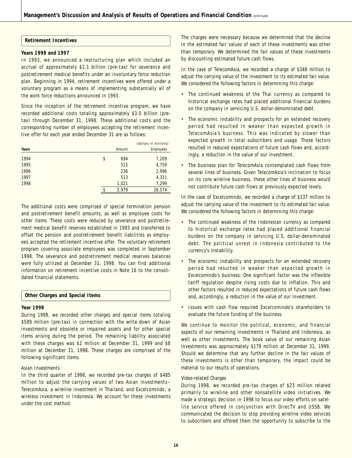#### **Retirement Incentives**

#### **Years 1998 and 1997**

In 1993, we announced a restructuring plan which included an accrual of approximately \$1.1 billion (pre-tax) for severance and postretirement medical benefits under an involuntary force reduction plan. Beginning in 1994, retirement incentives were offered under a voluntary program as a means of implementing substantially all of the work force reductions announced in 1993.

Since the inception of the retirement incentive program, we have recorded additional costs totaling approximately \$3.0 billion (pretax) through December 31, 1998. These additional costs and the corresponding number of employees accepting the retirement incentive offer for each year ended December 31 are as follows:

|       |             | (dollars in millions) |
|-------|-------------|-----------------------|
| Years | Amount      | Employees             |
| 1994  | \$<br>694   | 7,209                 |
| 1995  | 515         | 4,759                 |
| 1996  | 236         | 2,996                 |
| 1997  | 513         | 4,311                 |
| 1998  | 1,021       | 7,299                 |
|       | \$<br>2,979 | 26,574                |

The additional costs were comprised of special termination pension and postretirement benefit amounts, as well as employee costs for other items. These costs were reduced by severance and postretirement medical benefit reserves established in 1993 and transferred to offset the pension and postretirement benefit liabilities as employees accepted the retirement incentive offer. The voluntary retirement program covering associate employees was completed in September 1998. The severance and postretirement medical reserves balances were fully utilized at December 31, 1998. You can find additional information on retirement incentive costs in Note 16 to the consolidated financial statements.

### **Other Charges and Special Items**

#### **Year 1998**

During 1998, we recorded other charges and special items totaling \$589 million (pre-tax) in connection with the write-down of Asian investments and obsolete or impaired assets and for other special items arising during the period. The remaining liability associated with these charges was \$2 million at December 31, 1999 and \$8 million at December 31, 1998. These charges are comprised of the following significant items.

#### *Asian Investments*

In the third quarter of 1998, we recorded pre-tax charges of \$485 million to adjust the carrying values of two Asian investments– TelecomAsia, a wireline investment in Thailand, and Excelcomindo, a wireless investment in Indonesia. We account for these investments under the cost method.

The charges were necessary because we determined that the decline in the estimated fair values of each of these investments was other than temporary. We determined the fair values of these investments by discounting estimated future cash flows.

In the case of TelecomAsia, we recorded a charge of \$348 million to adjust the carrying value of the investment to its estimated fair value. We considered the following factors in determining this charge:

- The continued weakness of the Thai currency as compared to historical exchange rates had placed additional financial burdens on the company in servicing U.S. dollar-denominated debt.
- The economic instability and prospects for an extended recovery period had resulted in weaker than expected growth in TelecomAsia's business. This was indicated by slower than expected growth in total subscribers and usage. These factors resulted in reduced expectations of future cash flows and, accordingly, a reduction in the value of our investment.
- The business plan for TelecomAsia contemplated cash flows from several lines of business. Given TelecomAsia's inclination to focus on its core wireline business, these other lines of business would not contribute future cash flows at previously expected levels.

In the case of Excelcomindo, we recorded a charge of \$137 million to adjust the carrying value of the investment to its estimated fair value. We considered the following factors in determining this charge:

- The continued weakness of the Indonesian currency as compared to historical exchange rates had placed additional financial burdens on the company in servicing U.S. dollar-denominated debt. The political unrest in Indonesia contributed to the currency's instability.
- The economic instability and prospects for an extended recovery period had resulted in weaker than expected growth in Excelcomindo's business. One significant factor was the inflexible tariff regulation despite rising costs due to inflation. This and other factors resulted in reduced expectations of future cash flows and, accordingly, a reduction in the value of our investment.
- Issues with cash flow required Excelcomindo's shareholders to evaluate the future funding of the business.

We continue to monitor the political, economic, and financial aspects of our remaining investments in Thailand and Indonesia, as well as other investments. The book value of our remaining Asian investments was approximately \$179 million at December 31, 1999. Should we determine that any further decline in the fair values of these investments is other than temporary, the impact could be material to our results of operations.

#### *Video-related Charges*

During 1998, we recorded pre-tax charges of \$23 million related primarily to wireline and other nonsatellite video initiatives. We made a strategic decision in 1998 to focus our video efforts on satellite service offered in conjunction with DirecTV and USSB. We communicated the decision to stop providing wireline video services to subscribers and offered them the opportunity to subscribe to the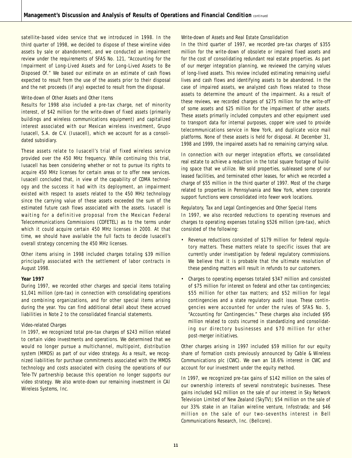satellite-based video service that we introduced in 1998. In the third quarter of 1998, we decided to dispose of these wireline video assets by sale or abandonment, and we conducted an impairment review under the requirements of SFAS No. 121, "Accounting for the Impairment of Long-Lived Assets and for Long-Lived Assets to Be Disposed Of." We based our estimate on an estimate of cash flows expected to result from the use of the assets prior to their disposal and the net proceeds (if any) expected to result from the disposal.

#### *Write-down of Other Assets and Other Items*

Results for 1998 also included a pre-tax charge, net of minority interest, of \$42 million for the write-down of fixed assets (primarily buildings and wireless communications equipment) and capitalized interest associated with our Mexican wireless investment, Grupo Iusacell, S.A. de C.V. (Iusacell), which we account for as a consolidated subsidiary.

These assets relate to Iusacell's trial of fixed wireless service provided over the 450 MHz frequency. While continuing this trial, Iusacell has been considering whether or not to pursue its rights to acquire 450 MHz licenses for certain areas or to offer new services. Iusacell concluded that, in view of the capability of CDMA technology and the success it had with its deployment, an impairment existed with respect to assets related to the 450 MHz technology since the carrying value of these assets exceeded the sum of the estimated future cash flows associated with the assets. Iusacell is waiting for a definitive proposal from the Mexican Federal Telecommunications Commissions (COFETEL) as to the terms under which it could acquire certain 450 MHz licenses in 2000. At that time, we should have available the full facts to decide Iusacell's overall strategy concerning the 450 MHz licenses.

Other items arising in 1998 included charges totaling \$39 million principally associated with the settlement of labor contracts in August 1998.

#### **Year 1997**

During 1997, we recorded other charges and special items totaling \$1,041 million (pre-tax) in connection with consolidating operations and combining organizations, and for other special items arising during the year. You can find additional detail about these accrued liabilities in Note 2 to the consolidated financial statements.

#### *Video-related Charges*

In 1997, we recognized total pre-tax charges of \$243 million related to certain video investments and operations. We determined that we would no longer pursue a multichannel, multipoint, distribution system (MMDS) as part of our video strategy. As a result, we recognized liabilities for purchase commitments associated with the MMDS technology and costs associated with closing the operations of our Tele-TV partnership because this operation no longer supports our video strategy. We also wrote-down our remaining investment in CAI Wireless Systems, Inc.

#### *Write-down of Assets and Real Estate Consolidation*

In the third quarter of 1997, we recorded pre-tax charges of \$355 million for the write-down of obsolete or impaired fixed assets and for the cost of consolidating redundant real estate properties. As part of our merger integration planning, we reviewed the carrying values of long-lived assets. This review included estimating remaining useful lives and cash flows and identifying assets to be abandoned. In the case of impaired assets, we analyzed cash flows related to those assets to determine the amount of the impairment. As a result of these reviews, we recorded charges of \$275 million for the write-off of some assets and \$25 million for the impairment of other assets. These assets primarily included computers and other equipment used to transport data for internal purposes, copper wire used to provide telecommunications service in New York, and duplicate voice mail platforms. None of these assets is held for disposal. At December 31, 1998 and 1999, the impaired assets had no remaining carrying value.

In connection with our merger integration efforts, we consolidated real estate to achieve a reduction in the total square footage of building space that we utilize. We sold properties, subleased some of our leased facilities, and terminated other leases, for which we recorded a charge of \$55 million in the third quarter of 1997. Most of the charge related to properties in Pennsylvania and New York, where corporate support functions were consolidated into fewer work locations.

#### *Regulatory, Tax and Legal Contingencies and Other Special Items*

In 1997, we also recorded reductions to operating revenues and charges to operating expenses totaling \$526 million (pre-tax), which consisted of the following:

- Revenue reductions consisted of \$179 million for federal regulatory matters. These matters relate to specific issues that are currently under investigation by federal regulatory commissions. We believe that it is probable that the ultimate resolution of these pending matters will result in refunds to our customers.
- Charges to operating expenses totaled \$347 million and consisted of \$75 million for interest on federal and other tax contingencies; \$55 million for other tax matters; and \$52 million for legal contingencies and a state regulatory audit issue. These contingencies were accounted for under the rules of SFAS No. 5, "Accounting for Contingencies." These charges also included \$95 million related to costs incurred in standardizing and consolidating our directory businesses and \$70 million for other post-merger initiatives.

Other charges arising in 1997 included \$59 million for our equity share of formation costs previously announced by Cable & Wireless Communications plc (CWC). We own an 18.6% interest in CWC and account for our investment under the equity method.

In 1997, we recognized pre-tax gains of \$142 million on the sales of our ownership interests of several nonstrategic businesses. These gains included \$42 million on the sale of our interest in Sky Network Television Limited of New Zealand (SkyTV); \$54 million on the sale of our 33% stake in an Italian wireline venture, Infostrada; and \$46 million on the sale of our two-sevenths interest in Bell Communications Research, Inc. (Bellcore).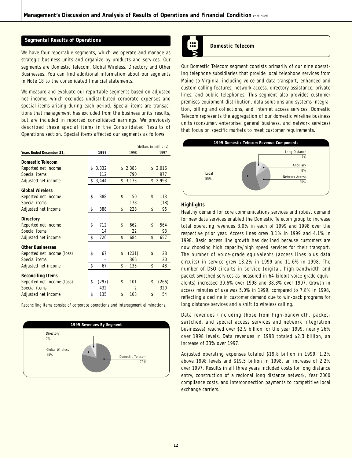### **Segmental Results of Operations**

We have four reportable segments, which we operate and manage as strategic business units and organize by products and services. Our segments are Domestic Telecom, Global Wireless, Directory and Other Businesses. You can find additional information about our segments in Note 18 to the consolidated financial statements.

We measure and evaluate our reportable segments based on adjusted net income, which excludes undistributed corporate expenses and special items arising during each period. Special items are transactions that management has excluded from the business units' results, but are included in reported consolidated earnings. We previously described these special items in the Consolidated Results of Operations section. Special items affected our segments as follows:

|                            |             | (dollars in millions) |                |    |         |  |
|----------------------------|-------------|-----------------------|----------------|----|---------|--|
| Years Ended December 31,   | 1999        |                       | 1998           |    | 1997    |  |
| Domestic Telecom           |             |                       |                |    |         |  |
| Reported net income        | \$<br>3,332 | \$                    | 2,383          |    | \$2,016 |  |
| Special items              | 112         |                       | 790            |    | 977     |  |
| Adjusted net income        | \$<br>3,444 |                       | \$3,173        | \$ | 2,993   |  |
| <b>Global Wireless</b>     |             |                       |                |    |         |  |
| Reported net income        | \$<br>388   | \$                    | 50             | \$ | 113     |  |
| Special items              |             |                       | 178            |    | (18)    |  |
| Adjusted net income        | \$<br>388   | \$                    | 228            | \$ | 95      |  |
| Directory                  |             |                       |                |    |         |  |
| Reported net income        | \$<br>712   | \$                    | 662            | \$ | 564     |  |
| Special items              | 14          |                       | 22             |    | 93      |  |
| Adjusted net income        | \$<br>726   | \$                    | 684            | \$ | 657     |  |
| <b>Other Businesses</b>    |             |                       |                |    |         |  |
| Reported net income (loss) | \$<br>67    | \$                    | (231)          | \$ | 28      |  |
| Special items              |             |                       | 366            |    | 20      |  |
| Adjusted net income        | \$<br>67    | \$                    | 135            | \$ | 48      |  |
| <b>Reconciling Items</b>   |             |                       |                |    |         |  |
| Reported net income (loss) | \$<br>(297) | \$                    | 101            | \$ | (266)   |  |
| Special items              | 432         |                       | $\overline{2}$ |    | 320     |  |
| Adjusted net income        | \$<br>135   | \$                    | 103            | \$ | 54      |  |

*Reconciling items consist of corporate operations and intersegment eliminations.*





### **Domestic Telecom**

Our Domestic Telecom segment consists primarily of our nine operating telephone subsidiaries that provide local telephone services from Maine to Virginia, including voice and data transport, enhanced and custom calling features, network access, directory assistance, private lines, and public telephones. This segment also provides customer premises equipment distribution, data solutions and systems integration, billing and collections, and Internet access services. Domestic Telecom represents the aggregation of our domestic wireline business units (consumer, enterprise, general business, and network services) that focus on specific markets to meet customer requirements.



### **Highlights**

Healthy demand for core communications services and robust demand for new data services enabled the Domestic Telecom group to increase total operating revenues 3.0% in each of 1999 and 1998 over the respective prior year. Access lines grew 3.1% in 1999 and 4.1% in 1998. Basic access line growth has declined because customers are now choosing high capacity/high speed services for their transport. The number of voice-grade equivalents (access lines plus data circuits) in service grew 13.2% in 1999 and 11.6% in 1998. The number of DSO circuits in service (digital, high-bandwidth and packet-switched services as measured in 64-kilobit voice-grade equivalents) increased 39.6% over 1998 and 38.3% over 1997. Growth in access minutes of use was 5.0% in 1999, compared to 7.8% in 1998, reflecting a decline in customer demand due to win-back programs for long distance services and a shift to wireless calling.

Data revenues (including those from high-bandwidth, packetswitched, and special access services and network integration businesses) reached over \$2.9 billion for the year 1999, nearly 26% over 1998 levels. Data revenues in 1998 totaled \$2.3 billion, an increase of 33% over 1997.

Adjusted operating expenses totaled \$19.8 billion in 1999, 1.2% above 1998 levels and \$19.5 billion in 1998, an increase of 2.2% over 1997. Results in all three years included costs for long distance entry, construction of a regional long distance network, Year 2000 compliance costs, and interconnection payments to competitive local exchange carriers.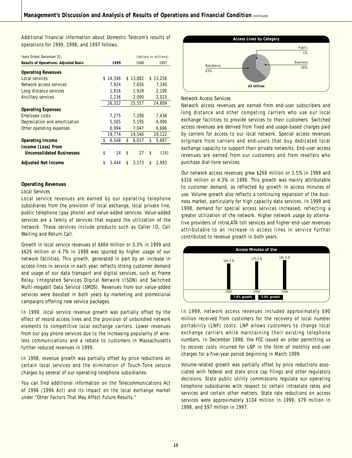Additional financial information about Domestic Telecom's results of operations for 1999, 1998, and 1997 follows.

| Years Ended December 31,                    | (dollars in millions) |             |          |        |  |  |
|---------------------------------------------|-----------------------|-------------|----------|--------|--|--|
| <b>Results of Operations-Adjusted Basis</b> | 1999                  | 1998        |          | 1997   |  |  |
| <b>Operating Revenues</b>                   |                       |             |          |        |  |  |
| Local services                              | 14,346<br>\$          | \$13.882    | \$       | 13.256 |  |  |
| Network access services                     | 7,924                 | 7,656       |          | 7,340  |  |  |
| Long distance services                      | 1,816                 | 1,929       |          | 2,190  |  |  |
| Ancillary services                          | 2,236                 | 2,090       |          | 2,023  |  |  |
|                                             | 26,322                | 25,557      |          | 24,809 |  |  |
| <b>Operating Expenses</b>                   |                       |             |          |        |  |  |
| Employee costs                              | 7,275                 | 7,298       |          | 7,436  |  |  |
| Depreciation and amortization               | 5,505                 | 5,195       |          | 4,990  |  |  |
| Other operating expenses                    | 6,994                 | 7,047       |          | 6,696  |  |  |
|                                             | 19,774                | 19,540      |          | 19,122 |  |  |
| <b>Operating Income</b>                     | \$<br>6,548           | 6,017<br>\$ | \$       | 5,687  |  |  |
| Income (Loss) From                          |                       |             |          |        |  |  |
| <b>Unconsolidated Businesses</b>            | \$<br>14              | \$          | \$<br>27 | (14)   |  |  |
| <b>Adjusted Net Income</b>                  | \$<br>3.444           | 3.173<br>\$ | \$       | 2.993  |  |  |

#### **Operating Revenues**

#### *Local Services*

Local service revenues are earned by our operating telephone subsidiaries from the provision of local exchange, local private line, public telephone (pay phone) and value-added services. Value-added services are a family of services that expand the utilization of the network. These services include products such as Caller ID, Call Waiting and Return Call.

Growth in local service revenues of \$464 million or 3.3% in 1999 and \$626 million or 4.7% in 1998 was spurred by higher usage of our network facilities. This growth, generated in part by an increase in access lines in service in each year, reflects strong customer demand and usage of our data transport and digital services, such as Frame Relay, Integrated Services Digital Network (ISDN) and Switched Multi-megabit Data Service (SMDS). Revenues from our value-added services were boosted in both years by marketing and promotional campaigns offering new service packages.

In 1999, local service revenue growth was partially offset by the effect of resold access lines and the provision of unbundled network elements to competitive local exchange carriers. Lower revenues from our pay phone services due to the increasing popularity of wireless communications and a rebate to customers in Massachusetts further reduced revenues in 1999.

In 1998, revenue growth was partially offset by price reductions on certain local services and the elimination of Touch-Tone service charges by several of our operating telephone subsidiaries.

You can find additional information on the Telecommunications Act of 1996 (1996 Act) and its impact on the local exchange market under "Other Factors That May Affect Future Results."



#### *Network Access Services*

Network access revenues are earned from end-user subscribers and long distance and other competing carriers who use our local exchange facilities to provide services to their customers. Switched access revenues are derived from fixed and usage-based charges paid by carriers for access to our local network. Special access revenues originate from carriers and end-users that buy dedicated local exchange capacity to support their private networks. End-user access revenues are earned from our customers and from resellers who purchase dial-tone services.

Our network access revenues grew \$268 million or 3.5% in 1999 and \$316 million or 4.3% in 1998. This growth was mainly attributable to customer demand, as reflected by growth in access minutes of use. Volume growth also reflects a continuing expansion of the business market, particularly for high capacity data services. In 1999 and 1998, demand for special access services increased, reflecting a greater utilization of the network. Higher network usage by alternative providers of intraLATA toll services and higher end-user revenues attributable to an increase in access lines in service further contributed to revenue growth in both years.



In 1999, network access revenues included approximately \$90 million received from customers for the recovery of local number portability (LNP) costs. LNP allows customers to change local exchange carriers while maintaining their existing telephone numbers. In December 1998, the FCC issued an order permitting us to recover costs incurred for LNP in the form of monthly end-user charges for a five-year period beginning in March 1999.

Volume-related growth was partially offset by price reductions associated with federal and state price cap filings and other regulatory decisions. State public utility commissions regulate our operating telephone subsidiaries with respect to certain intrastate rates and services and certain other matters. State rate reductions on access services were approximately \$104 million in 1999, \$79 million in 1998, and \$97 million in 1997.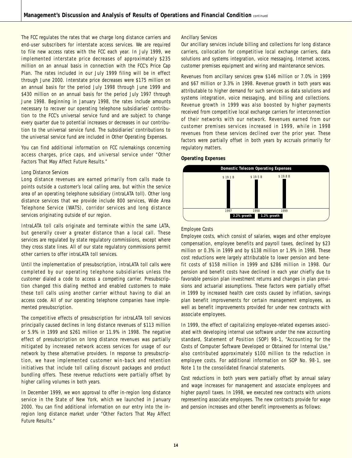The FCC regulates the rates that we charge long distance carriers and end-user subscribers for interstate access services. We are required to file new access rates with the FCC each year. In July 1999, we implemented interstate price decreases of approximately \$235 million on an annual basis in connection with the FCC's Price Cap Plan. The rates included in our July 1999 filing will be in effect through June 2000. Interstate price decreases were \$175 million on an annual basis for the period July 1998 through June 1999 and \$430 million on an annual basis for the period July 1997 through June 1998. Beginning in January 1998, the rates include amounts necessary to recover our operating telephone subsidiaries' contribution to the FCC's universal service fund and are subject to change every quarter due to potential increases or decreases in our contribution to the universal service fund. The subsidiaries' contributions to the universal service fund are included in Other Operating Expenses.

You can find additional information on FCC rulemakings concerning access charges, price caps, and universal service under "Other Factors That May Affect Future Results."

#### *Long Distance Services*

Long distance revenues are earned primarily from calls made to points outside a customer's local calling area, but within the service area of an operating telephone subsidiary (intraLATA toll). Other long distance services that we provide include 800 services, Wide Area Telephone Service (WATS), corridor services and long distance services originating outside of our region.

IntraLATA toll calls originate and terminate within the same LATA, but generally cover a greater distance than a local call. These services are regulated by state regulatory commissions, except where they cross state lines. All of our state regulatory commissions permit other carriers to offer intraLATA toll services.

Until the implementation of presubscription, intraLATA toll calls were completed by our operating telephone subsidiaries unless the customer dialed a code to access a competing carrier. Presubscription changed this dialing method and enabled customers to make these toll calls using another carrier without having to dial an access code. All of our operating telephone companies have implemented presubscription.

The competitive effects of presubscription for intraLATA toll services principally caused declines in long distance revenues of \$113 million or 5.9% in 1999 and \$261 million or 11.9% in 1998. The negative effect of presubscription on long distance revenues was partially mitigated by increased network access services for usage of our network by these alternative providers. In response to presubscription, we have implemented customer win-back and retention initiatives that include toll calling discount packages and product bundling offers. These revenue reductions were partially offset by higher calling volumes in both years.

In December 1999, we won approval to offer in-region long distance service in the State of New York, which we launched in January 2000. You can find additional information on our entry into the inregion long distance market under "Other Factors That May Affect Future Results."

#### *Ancillary Services*

Our ancillary services include billing and collections for long distance carriers, collocation for competitive local exchange carriers, data solutions and systems integration, voice messaging, Internet access, customer premises equipment and wiring and maintenance services.

Revenues from ancillary services grew \$146 million or 7.0% in 1999 and \$67 million or 3.3% in 1998. Revenue growth in both years was attributable to higher demand for such services as data solutions and systems integration, voice messaging, and billing and collections. Revenue growth in 1999 was also boosted by higher payments received from competitive local exchange carriers for interconnection of their networks with our network. Revenues earned from our customer premises services increased in 1999, while in 1998 revenues from these services declined over the prior year. These factors were partially offset in both years by accruals primarily for regulatory matters.

#### **Operating Expenses**



#### *Employee Costs*

Employee costs, which consist of salaries, wages and other employee compensation, employee benefits and payroll taxes, declined by \$23 million or 0.3% in 1999 and by \$138 million or 1.9% in 1998. These cost reductions were largely attributable to lower pension and benefit costs of \$158 million in 1999 and \$286 million in 1998. Our pension and benefit costs have declined in each year chiefly due to favorable pension plan investment returns and changes in plan provisions and actuarial assumptions. These factors were partially offset in 1999 by increased health care costs caused by inflation, savings plan benefit improvements for certain management employees, as well as benefit improvements provided for under new contracts with associate employees.

In 1999, the effect of capitalizing employee-related expenses associated with developing internal use software under the new accounting standard, Statement of Position (SOP) 98-1, "Accounting for the Costs of Computer Software Developed or Obtained for Internal Use," also contributed approximately \$100 million to the reduction in employee costs. For additional information on SOP No. 98-1, see Note 1 to the consolidated financial statements.

Cost reductions in both years were partially offset by annual salary and wage increases for management and associate employees and higher payroll taxes. In 1998, we executed new contracts with unions representing associate employees. The new contracts provide for wage and pension increases and other benefit improvements as follows: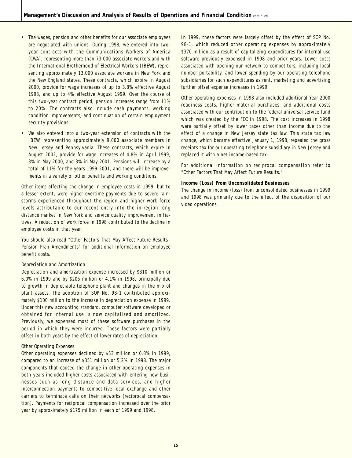- The wages, pension and other benefits for our associate employees are negotiated with unions. During 1998, we entered into twoyear contracts with the Communications Workers of America (CWA), representing more than 73,000 associate workers and with the International Brotherhood of Electrical Workers (IBEW), representing approximately 13,000 associate workers in New York and the New England states. These contracts, which expire in August 2000, provide for wage increases of up to 3.8% effective August 1998, and up to 4% effective August 1999. Over the course of this two-year contract period, pension increases range from 11% to 20%. The contracts also include cash payments, working condition improvements, and continuation of certain employment security provisions.
- We also entered into a two-year extension of contracts with the IBEW, representing approximately 9,000 associate members in New Jersey and Pennsylvania. These contracts, which expire in August 2002, provide for wage increases of 4.8% in April 1999, 3% in May 2000, and 3% in May 2001. Pensions will increase by a total of 11% for the years 1999-2001, and there will be improvements in a variety of other benefits and working conditions.

Other items affecting the change in employee costs in 1999, but to a lesser extent, were higher overtime payments due to severe rainstorms experienced throughout the region and higher work force levels attributable to our recent entry into the in-region long distance market in New York and service quality improvement initiatives. A reduction of work force in 1998 contributed to the decline in employee costs in that year.

You should also read "Other Factors That May Affect Future Results– Pension Plan Amendments" for additional information on employee benefit costs.

#### *Depreciation and Amortization*

Depreciation and amortization expense increased by \$310 million or 6.0% in 1999 and by \$205 million or 4.1% in 1998, principally due to growth in depreciable telephone plant and changes in the mix of plant assets. The adoption of SOP No. 98-1 contributed approximately \$100 million to the increase in depreciation expense in 1999. Under this new accounting standard, computer software developed or obtained for internal use is now capitalized and amortized. Previously, we expensed most of these software purchases in the period in which they were incurred. These factors were partially offset in both years by the effect of lower rates of depreciation.

#### *Other Operating Expenses*

Other operating expenses declined by \$53 million or 0.8% in 1999, compared to an increase of \$351 million or 5.2% in 1998. The major components that caused the change in other operating expenses in both years included higher costs associated with entering new businesses such as long distance and data services, and higher interconnection payments to competitive local exchange and other carriers to terminate calls on their networks (reciprocal compensation). Payments for reciprocal compensation increased over the prior year by approximately \$175 million in each of 1999 and 1998.

In 1999, these factors were largely offset by the effect of SOP No. 98-1, which reduced other operating expenses by approximately \$370 million as a result of capitalizing expenditures for internal use software previously expensed in 1998 and prior years. Lower costs associated with opening our network to competitors, including local number portability, and lower spending by our operating telephone subsidiaries for such expenditures as rent, marketing and advertising further offset expense increases in 1999.

Other operating expenses in 1998 also included additional Year 2000 readiness costs, higher material purchases, and additional costs associated with our contribution to the federal universal service fund which was created by the FCC in 1998. The cost increases in 1998 were partially offset by lower taxes other than income due to the effect of a change in New Jersey state tax law. This state tax law change, which became effective January 1, 1998, repealed the gross receipts tax for our operating telephone subsidiary in New Jersey and replaced it with a net income-based tax.

For additional information on reciprocal compensation refer to "Other Factors That May Affect Future Results."

#### **Income (Loss) From Unconsolidated Businesses**

The change in income (loss) from unconsolidated businesses in 1999 and 1998 was primarily due to the effect of the disposition of our video operations.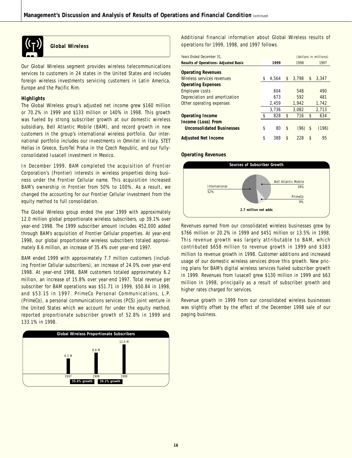

**Global Wireless**

Our Global Wireless segment provides wireless telecommunications services to customers in 24 states in the United States and includes foreign wireless investments servicing customers in Latin America, Europe and the Pacific Rim.

#### **Highlights**

The Global Wireless group's adjusted net income grew \$160 million or 70.2% in 1999 and \$133 million or 140% in 1998. This growth was fueled by strong subscriber growth at our domestic wireless subsidiary, Bell Atlantic Mobile (BAM), and record growth in new customers in the group's international wireless portfolio. Our international portfolio includes our investments in Omnitel in Italy, STET Hellas in Greece, EuroTel Praha in the Czech Republic, and our fullyconsolidated Iusacell investment in Mexico.

In December 1999, BAM completed the acquisition of Frontier Corporation's (Frontier) interests in wireless properties doing business under the Frontier Cellular name. This acquisition increased BAM's ownership in Frontier from 50% to 100%. As a result, we changed the accounting for our Frontier Cellular investment from the equity method to full consolidation.

The Global Wireless group ended the year 1999 with approximately 12.0 million global proportionate wireless subscribers, up 39.1% over year-end 1998. The 1999 subscriber amount includes 452,000 added through BAM's acquisition of Frontier Cellular properties. At year-end 1998, our global proportionate wireless subscribers totaled approximately 8.6 million, an increase of 35.4% over year-end 1997.

BAM ended 1999 with approximately 7.7 million customers (including Frontier Cellular subscribers), an increase of 24.0% over year-end 1998. At year-end 1998, BAM customers totaled approximately 6.2 million, an increase of 15.8% over year-end 1997. Total revenue per subscriber for BAM operations was \$51.71 in 1999, \$50.84 in 1998, and \$53.15 in 1997. PrimeCo Personal Communications, L.P. (PrimeCo), a personal communications services (PCS) joint venture in the United States which we account for under the equity method, reported proportionate subscriber growth of 52.8% in 1999 and 133.1% in 1998.



Additional financial information about Global Wireless results of operations for 1999, 1998, and 1997 follows.

| Years Ended December 31.                    |             |             |    | (dollars in millions) |
|---------------------------------------------|-------------|-------------|----|-----------------------|
| <b>Results of Operations-Adjusted Basis</b> | 1999        | 1998        |    | 1997                  |
| <b>Operating Revenues</b>                   |             |             |    |                       |
| Wireless services revenues                  | \$<br>4.564 | \$<br>3.798 | \$ | 3.347                 |
| <b>Operating Expenses</b>                   |             |             |    |                       |
| Employee costs                              | 604         | 548         |    | 490                   |
| Depreciation and amortization               | 673         | 592         |    | 481                   |
| Other operating expenses                    | 2,459       | 1.942       |    | 1.742                 |
|                                             | 3.736       | 3.082       |    | 2.713                 |
| <b>Operating Income</b>                     | \$<br>828   | \$<br>716   | \$ | 634                   |
| Income (Loss) From                          |             |             |    |                       |
| <b>Unconsolidated Businesses</b>            | \$<br>80    | \$<br>(96)  | S  | (196)                 |
| <b>Adjusted Net Income</b>                  | \$<br>388   | \$<br>228   | \$ | 95                    |

**Operating Revenues**



Revenues earned from our consolidated wireless businesses grew by \$766 million or 20.2% in 1999 and \$451 million or 13.5% in 1998. This revenue growth was largely attributable to BAM, which contributed \$658 million to revenue growth in 1999 and \$383 million to revenue growth in 1998. Customer additions and increased usage of our domestic wireless services drove this growth. New pricing plans for BAM's digital wireless services fueled subscriber growth in 1999. Revenues from Iusacell grew \$130 million in 1999 and \$63 million in 1998, principally as a result of subscriber growth and higher rates charged for services.

Revenue growth in 1999 from our consolidated wireless businesses was slightly offset by the effect of the December 1998 sale of our paging business.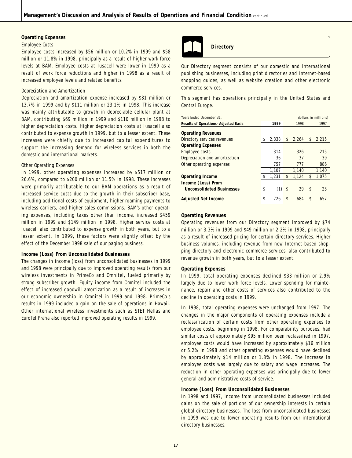#### **Operating Expenses**

#### *Employee Costs*

Employee costs increased by \$56 million or 10.2% in 1999 and \$58 million or 11.8% in 1998, principally as a result of higher work force levels at BAM. Employee costs at Iusacell were lower in 1999 as a result of work force reductions and higher in 1998 as a result of increased employee levels and related benefits.

#### *Depreciation and Amortization*

Depreciation and amortization expense increased by \$81 million or 13.7% in 1999 and by \$111 million or 23.1% in 1998. This increase was mainly attributable to growth in depreciable cellular plant at BAM, contributing \$69 million in 1999 and \$110 million in 1998 to higher depreciation costs. Higher depreciation costs at Iusacell also contributed to expense growth in 1999, but to a lesser extent. These increases were chiefly due to increased capital expenditures to support the increasing demand for wireless services in both the domestic and international markets.

#### *Other Operating Expenses*

In 1999, other operating expenses increased by \$517 million or 26.6%, compared to \$200 million or 11.5% in 1998. These increases were primarily attributable to our BAM operations as a result of increased service costs due to the growth in their subscriber base, including additional costs of equipment, higher roaming payments to wireless carriers, and higher sales commissions. BAM's other operating expenses, including taxes other than income, increased \$459 million in 1999 and \$149 million in 1998. Higher service costs at Iusacell also contributed to expense growth in both years, but to a lesser extent. In 1999, these factors were slightly offset by the effect of the December 1998 sale of our paging business.

#### **Income (Loss) From Unconsolidated Businesses**

The changes in income (loss) from unconsolidated businesses in 1999 and 1998 were principally due to improved operating results from our wireless investments in PrimeCo and Omnitel, fueled primarily by strong subscriber growth. Equity income from Omnitel included the effect of increased goodwill amortization as a result of increases in our economic ownership in Omnitel in 1999 and 1998. PrimeCo's results in 1999 included a gain on the sale of operations in Hawaii. Other international wireless investments such as STET Hellas and EuroTel Praha also reported improved operating results in 1999.



### **Directory**

Our Directory segment consists of our domestic and international publishing businesses, including print directories and Internet-based shopping guides, as well as website creation and other electronic commerce services.

This segment has operations principally in the United States and Central Europe.

| Years Ended December 31.                    |             |             |    | (dollars in millions) |
|---------------------------------------------|-------------|-------------|----|-----------------------|
| <b>Results of Operations-Adjusted Basis</b> | 1999        | 1998        |    | 1997                  |
| <b>Operating Revenues</b>                   |             |             |    |                       |
| Directory services revenues                 | \$<br>2.338 | \$<br>2.264 | \$ | 2,215                 |
| <b>Operating Expenses</b>                   |             |             |    |                       |
| <b>Employee costs</b>                       | 314         | 326         |    | 215                   |
| Depreciation and amortization               | 36          | 37          |    | 39                    |
| Other operating expenses                    | 757         | 777         |    | 886                   |
|                                             | 1.107       | 1.140       |    | 1.140                 |
| <b>Operating Income</b>                     | \$<br>1,231 | \$<br>1,124 | \$ | 1,075                 |
| Income (Loss) From                          |             |             |    |                       |
| <b>Unconsolidated Businesses</b>            | \$<br>(1)   | \$<br>29    | \$ | 23                    |
| <b>Adjusted Net Income</b>                  | \$<br>726   | \$<br>684   | S  | 657                   |

### **Operating Revenues**

Operating revenues from our Directory segment improved by \$74 million or 3.3% in 1999 and \$49 million or 2.2% in 1998, principally as a result of increased pricing for certain directory services. Higher business volumes, including revenue from new Internet-based shopping directory and electronic commerce services, also contributed to revenue growth in both years, but to a lesser extent.

#### **Operating Expenses**

In 1999, total operating expenses declined \$33 million or 2.9% largely due to lower work force levels. Lower spending for maintenance, repair and other costs of services also contributed to the decline in operating costs in 1999.

In 1998, total operating expenses were unchanged from 1997. The changes in the major components of operating expenses include a reclassification of certain costs from other operating expenses to employee costs, beginning in 1998. For comparability purposes, had similar costs of approximately \$95 million been reclassified in 1997, employee costs would have increased by approximately \$16 million or 5.2% in 1998 and other operating expenses would have declined by approximately \$14 million or 1.8% in 1998. The increase in employee costs was largely due to salary and wage increases. The reduction in other operating expenses was principally due to lower general and administrative costs of service.

#### **Income (Loss) From Unconsolidated Businesses**

In 1998 and 1997, income from unconsolidated businesses included gains on the sale of portions of our ownership interests in certain global directory businesses. The loss from unconsolidated businesses in 1999 was due to lower operating results from our international directory businesses.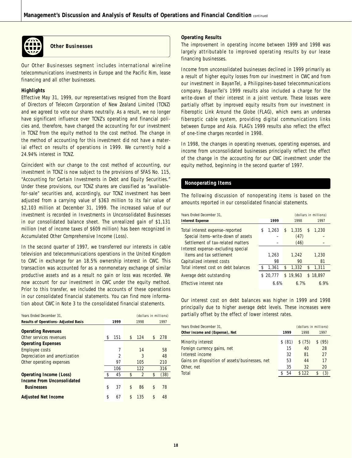

**Other Businesses**

Our Other Businesses segment includes international wireline telecommunications investments in Europe and the Pacific Rim, lease financing and all other businesses.

### **Highlights**

Effective May 31, 1999, our representatives resigned from the Board of Directors of Telecom Corporation of New Zealand Limited (TCNZ) and we agreed to vote our shares neutrally. As a result, we no longer have significant influence over TCNZ's operating and financial policies and, therefore, have changed the accounting for our investment in TCNZ from the equity method to the cost method. The change in the method of accounting for this investment did not have a material effect on results of operations in 1999. We currently hold a 24.94% interest in TCNZ.

Coincident with our change to the cost method of accounting, our investment in TCNZ is now subject to the provisions of SFAS No. 115, "Accounting for Certain Investments in Debt and Equity Securities." Under these provisions, our TCNZ shares are classified as "availablefor-sale" securities and, accordingly, our TCNZ investment has been adjusted from a carrying value of \$363 million to its fair value of \$2,103 million at December 31, 1999. The increased value of our investment is recorded in Investments in Unconsolidated Businesses in our consolidated balance sheet. The unrealized gain of \$1,131 million (net of income taxes of \$609 million) has been recognized in Accumulated Other Comprehensive Income (Loss).

In the second quarter of 1997, we transferred our interests in cable television and telecommunications operations in the United Kingdom to CWC in exchange for an 18.5% ownership interest in CWC. This transaction was accounted for as a nonmonetary exchange of similar productive assets and as a result no gain or loss was recorded. We now account for our investment in CWC under the equity method. Prior to this transfer, we included the accounts of these operations in our consolidated financial statements. You can find more information about CWC in Note 3 to the consolidated financial statements.

| Years Ended December 31.                    |                |                      | (dollars in millions) |
|---------------------------------------------|----------------|----------------------|-----------------------|
| <b>Results of Operations-Adjusted Basis</b> | 1999           | 1998                 | 1997                  |
| <b>Operating Revenues</b>                   |                |                      |                       |
| Other services revenues                     | \$<br>151      | \$<br>124            | \$<br>278             |
| <b>Operating Expenses</b>                   |                |                      |                       |
| Employee costs                              | 7              | 14                   | 58                    |
| Depreciation and amortization               | $\mathfrak{p}$ | 3                    | 48                    |
| Other operating expenses                    | 97             | 105                  | 210                   |
|                                             | 106            | 122                  | 316                   |
| Operating Income (Loss)                     | \$<br>45       | \$<br>$\overline{2}$ | \$<br>(38)            |
| Income From Unconsolidated                  |                |                      |                       |
| <b>Businesses</b>                           | \$<br>37       | \$<br>86             | \$<br>78              |
| <b>Adjusted Net Income</b>                  | \$<br>67       | \$<br>135            | \$<br>48              |

### **Operating Results**

The improvement in operating income between 1999 and 1998 was largely attributable to improved operating results by our lease financing businesses.

Income from unconsolidated businesses declined in 1999 primarily as a result of higher equity losses from our investment in CWC and from our investment in BayanTel, a Philippines-based telecommunications company. BayanTel's 1999 results also included a charge for the write-down of their interest in a joint venture. These losses were partially offset by improved equity results from our investment in Fiberoptic Link Around the Globe (FLAG), which owns an undersea fiberoptic cable system, providing digital communications links between Europe and Asia. FLAG's 1999 results also reflect the effect of one-time charges recorded in 1998.

In 1998, the changes in operating revenues, operating expenses, and income from unconsolidated businesses principally reflect the effect of the change in the accounting for our CWC investment under the equity method, beginning in the second quarter of 1997.

#### **Nonoperating Items**

The following discussion of nonoperating items is based on the amounts reported in our consolidated financial statements.

| Years Ended December 31.                                              |    |          |    |               | (dollars in millions) |          |  |
|-----------------------------------------------------------------------|----|----------|----|---------------|-----------------------|----------|--|
| <b>Interest Expense</b>                                               |    | 1999     |    | 1998          |                       | 1997     |  |
| Total interest expense-reported<br>Special items-write-down of assets | S  | 1.263    | \$ | 1,335<br>(47) | \$                    | 1,230    |  |
| Settlement of tax-related matters                                     |    |          |    | (46)          |                       |          |  |
| Interest expense-excluding special                                    |    |          |    |               |                       |          |  |
| items and tax settlement                                              |    | 1.263    |    | 1.242         |                       | 1.230    |  |
| Capitalized interest costs                                            |    | 98       |    | 90            |                       | 81       |  |
| Total interest cost on debt balances                                  | \$ | 1,361    | \$ | 1,332         | \$                    | 1,311    |  |
| Average debt outstanding                                              |    | \$20.777 |    | \$19.963      |                       | \$18,897 |  |
| Effective interest rate                                               |    | 6.6%     |    | 6.7%          |                       | 6.9%     |  |

Our interest cost on debt balances was higher in 1999 and 1998 principally due to higher average debt levels. These increases were partially offset by the effect of lower interest rates.

| Years Ended December 31.                       | (dollars in millions) |         |            |
|------------------------------------------------|-----------------------|---------|------------|
| Other Income and (Expense), Net                | 1999                  | 1998    | 1997       |
| Minority interest                              | (81)<br>S.            | \$ (75) | (95)<br>\$ |
| Foreign currency gains, net                    | 15                    | 40      | 28         |
| Interest income                                | 32                    | 81      | 27         |
| Gains on disposition of assets/businesses, net | 53                    | 44      | 17         |
| Other, net                                     | 35                    | 32      | 20         |
| Total                                          | 54                    | \$122   | (3)        |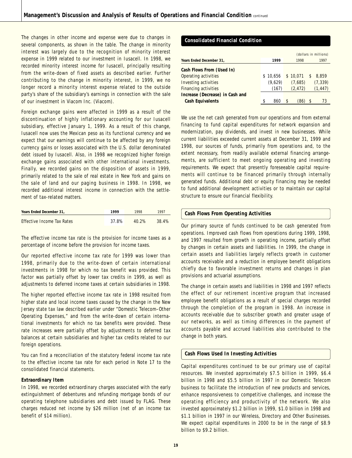The changes in other income and expense were due to changes in several components, as shown in the table. The change in minority interest was largely due to the recognition of minority interest expense in 1999 related to our investment in Iusacell. In 1998, we recorded minority interest income for Iusacell, principally resulting from the write-down of fixed assets as described earlier. Further contributing to the change in minority interest, in 1999, we no longer record a minority interest expense related to the outside party's share of the subsidiary's earnings in connection with the sale of our investment in Viacom Inc. (Viacom).

Foreign exchange gains were affected in 1999 as a result of the discontinuation of highly inflationary accounting for our Iusacell subsidiary, effective January 1, 1999. As a result of this change, Iusacell now uses the Mexican peso as its functional currency and we expect that our earnings will continue to be affected by any foreign currency gains or losses associated with the U.S. dollar denominated debt issued by Iusacell. Also, in 1998 we recognized higher foreign exchange gains associated with other international investments. Finally, we recorded gains on the disposition of assets in 1999, primarily related to the sale of real estate in New York and gains on the sale of land and our paging business in 1998. In 1998, we recorded additional interest income in connection with the settlement of tax-related matters.

| Years Ended December 31.   | 1999  | 1998     | 1997  |
|----------------------------|-------|----------|-------|
| Effective Income Tax Rates | 37.8% | $40.2\%$ | 38.4% |

The effective income tax rate is the provision for income taxes as a percentage of income before the provision for income taxes.

Our reported effective income tax rate for 1999 was lower than 1998, primarily due to the write-down of certain international investments in 1998 for which no tax benefit was provided. This factor was partially offset by lower tax credits in 1999, as well as adjustments to deferred income taxes at certain subsidiaries in 1998.

The higher reported effective income tax rate in 1998 resulted from higher state and local income taxes caused by the change in the New Jersey state tax law described earlier under "Domestic Telecom–Other Operating Expenses," and from the write-down of certain international investments for which no tax benefits were provided. These rate increases were partially offset by adjustments to deferred tax balances at certain subsidiaries and higher tax credits related to our foreign operations.

You can find a reconciliation of the statutory federal income tax rate to the effective income tax rate for each period in Note 17 to the consolidated financial statements.

#### **Extraordinary Item**

In 1998, we recorded extraordinary charges associated with the early extinguishment of debentures and refunding mortgage bonds of our operating telephone subsidiaries and debt issued by FLAG. These charges reduced net income by \$26 million (net of an income tax benefit of \$14 million).

### **Consolidated Financial Condition**

|                                 |           |             |               | (dollars in millions) |
|---------------------------------|-----------|-------------|---------------|-----------------------|
| Years Ended December 31,        | 1999      | 1998        |               | 1997                  |
| Cash Flows From (Used In)       |           |             |               |                       |
| Operating activities            | \$10,656  | \$10.071    | <sup>\$</sup> | 8.859                 |
| Investing activities            | (9.629)   | (7.685)     |               | (7, 339)              |
| Financing activities            | (167)     | (2, 472)    |               | (1, 447)              |
| Increase (Decrease) in Cash and |           |             |               |                       |
| <b>Cash Equivalents</b>         | S.<br>860 | (86)<br>\$. | S             | 73                    |

We use the net cash generated from our operations and from external financing to fund capital expenditures for network expansion and modernization, pay dividends, and invest in new businesses. While current liabilities exceeded current assets at December 31, 1999 and 1998, our sources of funds, primarily from operations and, to the extent necessary, from readily available external financing arrangements, are sufficient to meet ongoing operating and investing requirements. We expect that presently foreseeable capital requirements will continue to be financed primarily through internally generated funds. Additional debt or equity financing may be needed to fund additional development activities or to maintain our capital structure to ensure our financial flexibility.

#### **Cash Flows From Operating Activities**

Our primary source of funds continued to be cash generated from operations. Improved cash flows from operations during 1999, 1998, and 1997 resulted from growth in operating income, partially offset by changes in certain assets and liabilities. In 1999, the change in certain assets and liabilities largely reflects growth in customer accounts receivable and a reduction in employee benefit obligations chiefly due to favorable investment returns and changes in plan provisions and actuarial assumptions.

The change in certain assets and liabilities in 1998 and 1997 reflects the effect of our retirement incentive program that increased employee benefit obligations as a result of special charges recorded through the completion of the program in 1998. An increase in accounts receivable due to subscriber growth and greater usage of our networks, as well as timing differences in the payment of accounts payable and accrued liabilities also contributed to the change in both years.

#### **Cash Flows Used In Investing Activities**

Capital expenditures continued to be our primary use of capital resources. We invested approximately \$7.5 billion in 1999, \$6.4 billion in 1998 and \$5.5 billion in 1997 in our Domestic Telecom business to facilitate the introduction of new products and services, enhance responsiveness to competitive challenges, and increase the operating efficiency and productivity of the network. We also invested approximately \$1.2 billion in 1999, \$1.0 billion in 1998 and \$1.1 billion in 1997 in our Wireless, Directory and Other Businesses. We expect capital expenditures in 2000 to be in the range of \$8.9 billion to \$9.2 billion.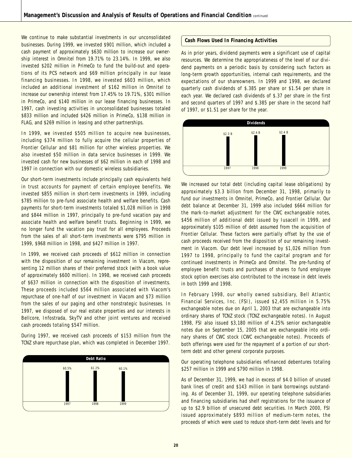We continue to make substantial investments in our unconsolidated businesses. During 1999, we invested \$901 million, which included a cash payment of approximately \$630 million to increase our ownership interest in Omnitel from 19.71% to 23.14%. In 1999, we also invested \$202 million in PrimeCo to fund the build-out and operations of its PCS network and \$69 million principally in our lease financing businesses. In 1998, we invested \$603 million, which included an additional investment of \$162 million in Omnitel to increase our ownership interest from 17.45% to 19.71%, \$301 million in PrimeCo, and \$140 million in our lease financing businesses. In 1997, cash investing activities in unconsolidated businesses totaled \$833 million and included \$426 million in PrimeCo, \$138 million in FLAG, and \$269 million in leasing and other partnerships.

In 1999, we invested \$505 million to acquire new businesses, including \$374 million to fully acquire the cellular properties of Frontier Cellular and \$81 million for other wireless properties. We also invested \$50 million in data service businesses in 1999. We invested cash for new businesses of \$62 million in each of 1998 and 1997 in connection with our domestic wireless subsidiaries.

Our short-term investments include principally cash equivalents held in trust accounts for payment of certain employee benefits. We invested \$855 million in short-term investments in 1999, including \$785 million to pre-fund associate health and welfare benefits. Cash payments for short-term investments totaled \$1,028 million in 1998 and \$844 million in 1997, principally to pre-fund vacation pay and associate health and welfare benefit trusts. Beginning in 1999, we no longer fund the vacation pay trust for all employees. Proceeds from the sales of all short-term investments were \$795 million in 1999, \$968 million in 1998, and \$427 million in 1997.

In 1999, we received cash proceeds of \$612 million in connection with the disposition of our remaining investment in Viacom, representing 12 million shares of their preferred stock (with a book value of approximately \$600 million). In 1998, we received cash proceeds of \$637 million in connection with the disposition of investments. These proceeds included \$564 million associated with Viacom's repurchase of one-half of our investment in Viacom and \$73 million from the sales of our paging and other nonstrategic businesses. In 1997, we disposed of our real estate properties and our interests in Bellcore, Infostrada, SkyTV and other joint ventures and received cash proceeds totaling \$547 million.

During 1997, we received cash proceeds of \$153 million from the TCNZ share repurchase plan, which was completed in December 1997.



#### **Cash Flows Used In Financing Activities**

As in prior years, dividend payments were a significant use of capital resources. We determine the appropriateness of the level of our dividend payments on a periodic basis by considering such factors as long-term growth opportunities, internal cash requirements, and the expectations of our shareowners. In 1999 and 1998, we declared quarterly cash dividends of \$.385 per share or \$1.54 per share in each year. We declared cash dividends of \$.37 per share in the first and second quarters of 1997 and \$.385 per share in the second half of 1997, or \$1.51 per share for the year.



We increased our total debt (including capital lease obligations) by approximately \$3.3 billion from December 31, 1998, primarily to fund our investments in Omnitel, PrimeCo, and Frontier Cellular. Our debt balance at December 31, 1999 also included \$664 million for the mark-to-market adjustment for the CWC exchangeable notes, \$456 million of additional debt issued by Iusacell in 1999, and approximately \$105 million of debt assumed from the acquisition of Frontier Cellular. These factors were partially offset by the use of cash proceeds received from the disposition of our remaining investment in Viacom. Our debt level increased by \$1,026 million from 1997 to 1998, principally to fund the capital program and for continued investments in PrimeCo and Omnitel. The pre-funding of employee benefit trusts and purchases of shares to fund employee stock option exercises also contributed to the increase in debt levels in both 1999 and 1998.

In February 1998, our wholly owned subsidiary, Bell Atlantic Financial Services, Inc. (FSI), issued \$2,455 million in 5.75% exchangeable notes due on April 1, 2003 that are exchangeable into ordinary shares of TCNZ stock (TCNZ exchangeable notes). In August 1998, FSI also issued \$3,180 million of 4.25% senior exchangeable notes due on September 15, 2005 that are exchangeable into ordinary shares of CWC stock (CWC exchangeable notes). Proceeds of both offerings were used for the repayment of a portion of our shortterm debt and other general corporate purposes.

Our operating telephone subsidiaries refinanced debentures totaling \$257 million in 1999 and \$790 million in 1998.

As of December 31, 1999, we had in excess of \$4.0 billion of unused bank lines of credit and \$143 million in bank borrowings outstanding. As of December 31, 1999, our operating telephone subsidiaries and financing subsidiaries had shelf registrations for the issuance of up to \$2.9 billion of unsecured debt securities. In March 2000, FSI issued approximately \$893 million of medium-term notes, the proceeds of which were used to reduce short-term debt levels and for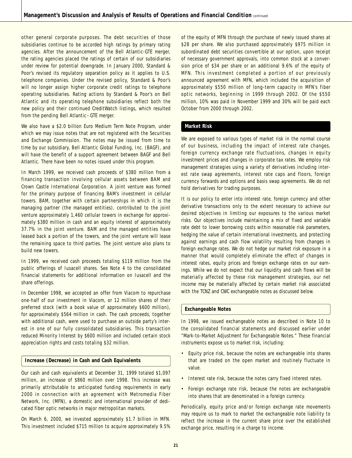other general corporate purposes. The debt securities of those subsidiaries continue to be accorded high ratings by primary rating agencies. After the announcement of the Bell Atlantic-GTE merger, the rating agencies placed the ratings of certain of our subsidiaries under review for potential downgrade. In January 2000, Standard & Poor's revised its regulatory separation policy as it applies to U.S. telephone companies. Under the revised policy, Standard & Poor's will no longer assign higher corporate credit ratings to telephone operating subsidiaries. Rating actions by Standard & Poor's on Bell Atlantic and its operating telephone subsidiaries reflect both the new policy and their continued CreditWatch listings, which resulted from the pending Bell Atlantic–GTE merger.

We also have a \$2.0 billion Euro Medium Term Note Program, under which we may issue notes that are not registered with the Securities and Exchange Commission. The notes may be issued from time to time by our subsidiary, Bell Atlantic Global Funding, Inc. (BAGF), and will have the benefit of a support agreement between BAGF and Bell Atlantic. There have been no notes issued under this program.

In March 1999, we received cash proceeds of \$380 million from a financing transaction involving cellular assets between BAM and Crown Castle International Corporation. A joint venture was formed for the primary purpose of financing BAM's investment in cellular towers. BAM, together with certain partnerships in which it is the managing partner (the managed entities), contributed to the joint venture approximately 1,460 cellular towers in exchange for approximately \$380 million in cash and an equity interest of approximately 37.7% in the joint venture. BAM and the managed entities have leased back a portion of the towers, and the joint venture will lease the remaining space to third parties. The joint venture also plans to build new towers.

In 1999, we received cash proceeds totaling \$119 million from the public offerings of Iusacell shares. See Note 4 to the consolidated financial statements for additional information on Iusacell and the share offerings.

In December 1998, we accepted an offer from Viacom to repurchase one-half of our investment in Viacom, or 12 million shares of their preferred stock (with a book value of approximately \$600 million), for approximately \$564 million in cash. The cash proceeds, together with additional cash, were used to purchase an outside party's interest in one of our fully consolidated subsidiaries. This transaction reduced Minority Interest by \$600 million and included certain stock appreciation rights and costs totaling \$32 million.

#### **Increase (Decrease) in Cash and Cash Equivalents**

Our cash and cash equivalents at December 31, 1999 totaled \$1,097 million, an increase of \$860 million over 1998. This increase was primarily attributable to anticipated funding requirements in early 2000 in connection with an agreement with Metromedia Fiber Network, Inc. (MFN), a domestic and international provider of dedicated fiber optic networks in major metropolitan markets.

On March 6, 2000, we invested approximately \$1.7 billion in MFN. This investment included \$715 million to acquire approximately 9.5% of the equity of MFN through the purchase of newly issued shares at \$28 per share. We also purchased approximately \$975 million in subordinated debt securities convertible at our option, upon receipt of necessary government approvals, into common stock at a conversion price of \$34 per share or an additional 9.6% of the equity of MFN. This investment completed a portion of our previously announced agreement with MFN, which included the acquisition of approximately \$550 million of long-term capacity in MFN's fiber optic networks, beginning in 1999 through 2002. Of the \$550 million, 10% was paid in November 1999 and 30% will be paid each October from 2000 through 2002.

#### **Market Risk**

We are exposed to various types of market risk in the normal course of our business, including the impact of interest rate changes, foreign currency exchange rate fluctuations, changes in equity investment prices and changes in corporate tax rates. We employ risk management strategies using a variety of derivatives including interest rate swap agreements, interest rate caps and floors, foreign currency forwards and options and basis swap agreements. We do not hold derivatives for trading purposes.

It is our policy to enter into interest rate, foreign currency and other derivative transactions only to the extent necessary to achieve our desired objectives in limiting our exposures to the various market risks. Our objectives include maintaining a mix of fixed and variable rate debt to lower borrowing costs within reasonable risk parameters, hedging the value of certain international investments, and protecting against earnings and cash flow volatility resulting from changes in foreign exchange rates. We do not hedge our market risk exposure in a manner that would completely eliminate the effect of changes in interest rates, equity prices and foreign exchange rates on our earnings. While we do not expect that our liquidity and cash flows will be materially affected by these risk management strategies, our net income may be materially affected by certain market risk associated with the TCNZ and CWC exchangeable notes as discussed below.

#### **Exchangeable Notes**

In 1998, we issued exchangeable notes as described in Note 10 to the consolidated financial statements and discussed earlier under "Mark-to-Market Adjustment for Exchangeable Notes." These financial instruments expose us to market risk, including:

- Equity price risk, because the notes are exchangeable into shares that are traded on the open market and routinely fluctuate in value.
- Interest rate risk, because the notes carry fixed interest rates.
- Foreign exchange rate risk, because the notes are exchangeable into shares that are denominated in a foreign currency.

Periodically, equity price and/or foreign exchange rate movements may require us to mark to market the exchangeable note liability to reflect the increase in the current share price over the established exchange price, resulting in a charge to income.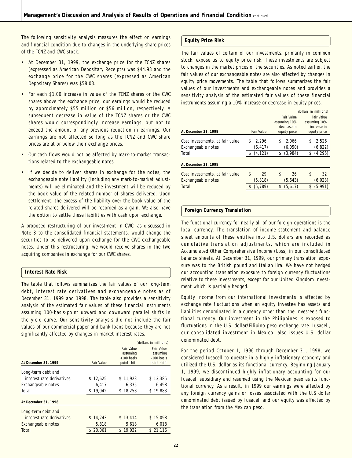The following sensitivity analysis measures the effect on earnings and financial condition due to changes in the underlying share prices of the TCNZ and CWC stock.

- At December 31, 1999, the exchange price for the TCNZ shares (expressed as American Depositary Receipts) was \$44.93 and the exchange price for the CWC shares (expressed as American Depositary Shares) was \$58.03.
- For each \$1.00 increase in value of the TCNZ shares or the CWC shares above the exchange price, our earnings would be reduced by approximately \$55 million or \$56 million, respectively. A subsequent decrease in value of the TCNZ shares or the CWC shares would correspondingly increase earnings, but not to exceed the amount of any previous reduction in earnings. Our earnings are not affected so long as the TCNZ and CWC share prices are at or below their exchange prices.
- Our cash flows would not be affected by mark-to-market transactions related to the exchangeable notes.
- If we decide to deliver shares in exchange for the notes, the exchangeable note liability (including any mark-to-market adjustments) will be eliminated and the investment will be reduced by the book value of the related number of shares delivered. Upon settlement, the excess of the liability over the book value of the related shares delivered will be recorded as a gain. We also have the option to settle these liabilities with cash upon exchange.

A proposed restructuring of our investment in CWC, as discussed in Note 3 to the consolidated financial statements, would change the securities to be delivered upon exchange for the CWC exchangeable notes. Under this restructuring, we would receive shares in the two acquiring companies in exchange for our CWC shares.

#### **Interest Rate Risk**

The table that follows summarizes the fair values of our long-term debt, interest rate derivatives and exchangeable notes as of December 31, 1999 and 1998. The table also provides a sensitivity analysis of the estimated fair values of these financial instruments assuming 100-basis-point upward and downward parallel shifts in the yield curve. Our sensitivity analysis did not include the fair values of our commercial paper and bank loans because they are not significantly affected by changes in market interest rates.

|                           |                   |                   | (dollars in millions) |
|---------------------------|-------------------|-------------------|-----------------------|
|                           |                   | <b>Fair Value</b> | <b>Fair Value</b>     |
|                           |                   | assuming          | assuming              |
|                           |                   | $+100$ basis      | -100 basis            |
| At December 31, 1999      | <b>Fair Value</b> | point shift       | point shift           |
| Long-term debt and        |                   |                   |                       |
| interest rate derivatives | \$12,625          | \$11,923          | \$13,385              |
| Exchangeable notes        | 6,417             | 6.335             | 6,498                 |
| Total                     | 19,042<br>\$      | \$18.258          | \$19,883              |
| At December 31, 1998      |                   |                   |                       |
| Long-term debt and        |                   |                   |                       |
| interest rate derivatives | \$14,243          | \$13.414          | \$15,098              |
| Exchangeable notes        | 5,818             | 5,618             | 6,018                 |
| Total                     | 20.061            | \$19.032          | \$21,116              |
|                           |                   |                   |                       |

#### **Equity Price Risk**

The fair values of certain of our investments, primarily in common stock, expose us to equity price risk. These investments are subject to changes in the market prices of the securities. As noted earlier, the fair values of our exchangeable notes are also affected by changes in equity price movements. The table that follows summarizes the fair values of our investments and exchangeable notes and provides a sensitivity analysis of the estimated fair values of these financial instruments assuming a 10% increase or decrease in equity prices.

|                                 |                   | (dollars in millions) |              |    |              |
|---------------------------------|-------------------|-----------------------|--------------|----|--------------|
|                                 |                   |                       | Fair Value   |    | Fair Value   |
|                                 |                   |                       | assuming 10% |    | assuming 10% |
|                                 |                   |                       | decrease in  |    | increase in  |
| At December 31, 1999            | <b>Fair Value</b> |                       | equity price |    | equity price |
| Cost investments, at fair value | \$<br>2.296       | \$                    | 2.066        | \$ | 2.526        |
| Exchangeable notes              | (6, 417)          |                       | (6,050)      |    | (6, 822)     |
| Total                           | \$<br>(4, 121)    | \$                    | (3,984)      | \$ | (4, 296)     |
| At December 31, 1998            |                   |                       |              |    |              |
| Cost investments, at fair value | \$<br>29          | \$                    | 26           | \$ | 32           |
| Exchangeable notes              | (5, 818)          |                       | (5,643)      |    | (6, 023)     |
| Total                           | \$<br>(5.789)     | \$                    | (5,617)      | \$ | (5.991)      |

#### **Foreign Currency Translation**

The functional currency for nearly all of our foreign operations is the local currency. The translation of income statement and balance sheet amounts of these entities into U.S. dollars are recorded as cumulative translation adjustments, which are included in Accumulated Other Comprehensive Income (Loss) in our consolidated balance sheets. At December 31, 1999, our primary translation exposure was to the British pound and Italian lira. We have not hedged our accounting translation exposure to foreign currency fluctuations relative to these investments, except for our United Kingdom investment which is partially hedged.

Equity income from our international investments is affected by exchange rate fluctuations when an equity investee has assets and liabilities denominated in a currency other than the investee's functional currency. Our investment in the Philippines is exposed to fluctuations in the U.S. dollar/Filipino peso exchange rate. Iusacell, our consolidated investment in Mexico, also issues U.S. dollar denominated debt.

For the period October 1, 1996 through December 31, 1998, we considered Iusacell to operate in a highly inflationary economy and utilized the U.S. dollar as its functional currency. Beginning January 1, 1999, we discontinued highly inflationary accounting for our Iusacell subsidiary and resumed using the Mexican peso as its functional currency. As a result, in 1999 our earnings were affected by any foreign currency gains or losses associated with the U.S dollar denominated debt issued by Iusacell and our equity was affected by the translation from the Mexican peso.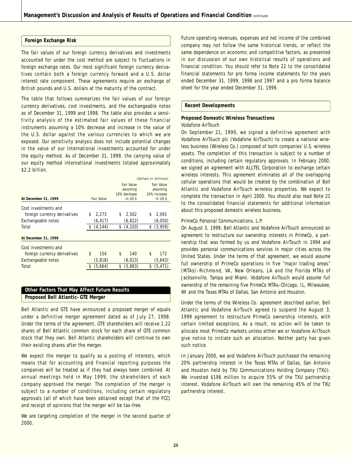#### **Foreign Exchange Risk**

The fair values of our foreign currency derivatives and investments accounted for under the cost method are subject to fluctuations in foreign exchange rates. Our most significant foreign currency derivatives contain both a foreign currency forward and a U.S. dollar interest rate component. These agreements require an exchange of British pounds and U.S. dollars at the maturity of the contract.

The table that follows summarizes the fair values of our foreign currency derivatives, cost investments, and the exchangeable notes as of December 31, 1999 and 1998. The table also provides a sensitivity analysis of the estimated fair values of these financial instruments assuming a 10% decrease and increase in the value of the U.S. dollar against the various currencies to which we are exposed. Our sensitivity analysis does not include potential changes in the value of our international investments accounted for under the equity method. As of December 31, 1999, the carrying value of our equity method international investments totaled approximately \$2.2 billion.

|                              | (dollars in millions) |    |                   |    |                   |
|------------------------------|-----------------------|----|-------------------|----|-------------------|
|                              |                       |    | <b>Fair Value</b> |    | <b>Fair Value</b> |
|                              |                       |    | assuming          |    | assuming          |
|                              |                       |    | 10% decrease      |    | 10% increase      |
| At December 31, 1999         | <b>Fair Value</b>     |    | in US \$          |    | in US \$          |
| Cost investments and         |                       |    |                   |    |                   |
| foreign currency derivatives | \$<br>2,273           | \$ | 2,502             | \$ | 2,091             |
| Exchangeable notes           | (6, 417)              |    | (6, 822)          |    | (6,050)           |
| Total                        | \$<br>(4, 144)        | \$ | (4,320)           | \$ | (3,959)           |
|                              |                       |    |                   |    |                   |
| At December 31, 1998         |                       |    |                   |    |                   |
| Cost investments and         |                       |    |                   |    |                   |
| foreign currency derivatives | \$<br>154             | \$ | 140               | \$ | 172               |
| Exchangeable notes           | (5,818)               |    | (6, 023)          |    | (5,643)           |
| Total                        | (5,664)               | \$ | (5,883)           | \$ | (5, 471)          |
|                              |                       |    |                   |    |                   |

### **Other Factors That May Affect Future Results Proposed Bell Atlantic–GTE Merger**

Bell Atlantic and GTE have announced a proposed merger of equals under a definitive merger agreement dated as of July 27, 1998. Under the terms of the agreement, GTE shareholders will receive 1.22 shares of Bell Atlantic common stock for each share of GTE common stock that they own. Bell Atlantic shareholders will continue to own their existing shares after the merger.

We expect the merger to qualify as a pooling of interests, which means that for accounting and financial reporting purposes the companies will be treated as if they had always been combined. At annual meetings held in May 1999, the shareholders of each company approved the merger. The completion of the merger is subject to a number of conditions, including certain regulatory approvals (all of which have been obtained except that of the FCC) and receipt of opinions that the merger will be tax-free.

We are targeting completion of the merger in the second quarter of 2000.

Future operating revenues, expenses and net income of the combined company may not follow the same historical trends, or reflect the same dependence on economic and competitive factors, as presented in our discussion of our own historical results of operations and financial condition. You should refer to Note 22 to the consolidated financial statements for pro forma income statements for the years ended December 31, 1999, 1998 and 1997 and a pro forma balance sheet for the year ended December 31, 1999.

#### **Recent Developments**

### **Proposed Domestic Wireless Transactions**

### *Vodafone AirTouch*

On September 21, 1999, we signed a definitive agreement with Vodafone AirTouch plc (Vodafone AirTouch) to create a national wireless business (Wireless Co.) composed of both companies' U.S. wireless assets. The completion of this transaction is subject to a number of conditions, including certain regulatory approvals. In February 2000, we signed an agreement with ALLTEL Corporation to exchange certain wireless interests. This agreement eliminates all of the overlapping cellular operations that would be created by the combination of Bell Atlantic and Vodafone AirTouch wireless properties. We expect to complete the transaction in April 2000. You should also read Note 21 to the consolidated financial statements for additional information about this proposed domestic wireless business.

#### *PrimeCo Personal Communications, L.P.*

On August 3, 1999, Bell Atlantic and Vodafone AirTouch announced an agreement to restructure our ownership interests in PrimeCo, a partnership that was formed by us and Vodafone AirTouch in 1994 and provides personal communications services in major cities across the United States. Under the terms of that agreement, we would assume full ownership of PrimeCo operations in five "major trading areas" (MTAs)–Richmond, VA, New Orleans, LA and the Florida MTAs of Jacksonville, Tampa and Miami. Vodafone AirTouch would assume full ownership of the remaining five PrimeCo MTAs–Chicago, IL, Milwaukee, WI and the Texas MTAs of Dallas, San Antonio and Houston.

Under the terms of the Wireless Co. agreement described earlier, Bell Atlantic and Vodafone AirTouch agreed to suspend the August 3, 1999 agreement to restructure PrimeCo ownership interests, with certain limited exceptions. As a result, no action will be taken to allocate most PrimeCo markets unless either we or Vodafone AirTouch give notice to initiate such an allocation. Neither party has given such notice.

In January 2000, we and Vodafone AirTouch purchased the remaining 20% partnership interest in the Texas MTAs of Dallas, San Antonio and Houston held by TXU Communications Holding Company (TXU). We invested \$196 million to acquire 55% of the TXU partnership interest. Vodafone AirTouch will own the remaining 45% of the TXU partnership interest.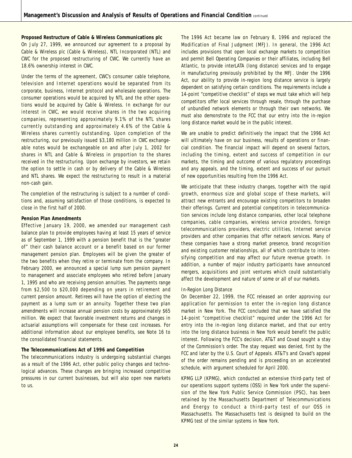#### **Proposed Restructure of Cable & Wireless Communications plc**

On July 27, 1999, we announced our agreement to a proposal by Cable & Wireless plc (Cable & Wireless), NTL Incorporated (NTL) and CWC for the proposed restructuring of CWC. We currently have an 18.6% ownership interest in CWC.

Under the terms of the agreement, CWC's consumer cable telephone, television and Internet operations would be separated from its corporate, business, Internet protocol and wholesale operations. The consumer operations would be acquired by NTL and the other operations would be acquired by Cable & Wireless. In exchange for our interest in CWC, we would receive shares in the two acquiring companies, representing approximately 9.1% of the NTL shares currently outstanding and approximately 4.6% of the Cable & Wireless shares currently outstanding. Upon completion of the restructuring, our previously issued \$3,180 million in CWC exchangeable notes would be exchangeable on and after July 1, 2002 for shares in NTL and Cable & Wireless in proportion to the shares received in the restructuring. Upon exchange by investors, we retain the option to settle in cash or by delivery of the Cable & Wireless and NTL shares. We expect the restructuring to result in a material non-cash gain.

The completion of the restructuring is subject to a number of conditions and, assuming satisfaction of those conditions, is expected to close in the first half of 2000.

#### **Pension Plan Amendments**

Effective January 19, 2000, we amended our management cash balance plan to provide employees having at least 15 years of service as of September 1, 1999 with a pension benefit that is the "greater of" their cash balance account or a benefit based on our former management pension plan. Employees will be given the greater of the two benefits when they retire or terminate from the company. In February 2000, we announced a special lump sum pension payment to management and associate employees who retired before January 1, 1995 and who are receiving pension annuities. The payments range from \$2,500 to \$20,000 depending on years in retirement and current pension amount. Retirees will have the option of electing the payment as a lump sum or an annuity. Together these two plan amendments will increase annual pension costs by approximately \$65 million. We expect that favorable investment returns and changes in actuarial assumptions will compensate for these cost increases. For additional information about our employee benefits, see Note 16 to the consolidated financial statements.

### **The Telecommunications Act of 1996 and Competition**

The telecommunications industry is undergoing substantial changes as a result of the 1996 Act, other public policy changes and technological advances. These changes are bringing increased competitive pressures in our current businesses, but will also open new markets to us.

The 1996 Act became law on February 8, 1996 and replaced the Modification of Final Judgment (MFJ). In general, the 1996 Act includes provisions that open local exchange markets to competition and permit Bell Operating Companies or their affiliates, including Bell Atlantic, to provide interLATA (long distance) services and to engage in manufacturing previously prohibited by the MFJ. Under the 1996 Act, our ability to provide in-region long distance service is largely dependent on satisfying certain conditions. The requirements include a 14-point "competitive checklist" of steps we must take which will help competitors offer local services through resale, through the purchase of unbundled network elements or through their own networks. We must also demonstrate to the FCC that our entry into the in-region long distance market would be in the public interest.

We are unable to predict definitively the impact that the 1996 Act will ultimately have on our business, results of operations or financial condition. The financial impact will depend on several factors, including the timing, extent and success of competition in our markets, the timing and outcome of various regulatory proceedings and any appeals, and the timing, extent and success of our pursuit of new opportunities resulting from the 1996 Act.

We anticipate that these industry changes, together with the rapid growth, enormous size and global scope of these markets, will attract new entrants and encourage existing competitors to broaden their offerings. Current and potential competitors in telecommunication services include long distance companies, other local telephone companies, cable companies, wireless service providers, foreign telecommunications providers, electric utilities, Internet service providers and other companies that offer network services. Many of these companies have a strong market presence, brand recognition and existing customer relationships, all of which contribute to intensifying competition and may affect our future revenue growth. In addition, a number of major industry participants have announced mergers, acquisitions and joint ventures which could substantially affect the development and nature of some or all of our markets.

#### *In-Region Long Distance*

On December 22, 1999, the FCC released an order approving our application for permission to enter the in-region long distance market in New York. The FCC concluded that we have satisfied the 14-point "competitive checklist" required under the 1996 Act for entry into the in-region long distance market, and that our entry into the long distance business in New York would benefit the public interest. Following the FCC's decision, AT&T and Covad sought a stay of the Commission's order. The stay request was denied, first by the FCC and later by the U.S. Court of Appeals. AT&T's and Covad's appeal of the order remains pending and is proceeding on an accelerated schedule, with argument scheduled for April 2000.

KPMG LLP (KPMG), which conducted an extensive third-party test of our operations support systems (OSS) in New York under the supervision of the New York Public Service Commission (PSC), has been retained by the Massachusetts Department of Telecommunications and Energy to conduct a third-party test of our OSS in Massachusetts. The Massachusetts test is designed to build on the KPMG test of the similar systems in New York.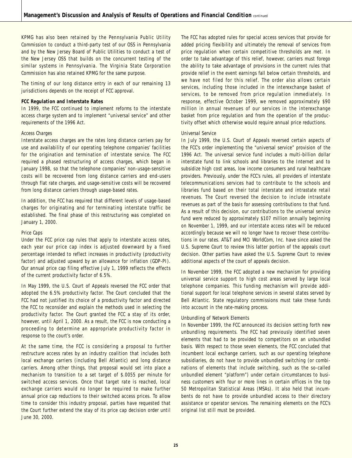KPMG has also been retained by the Pennsylvania Public Utility Commission to conduct a third-party test of our OSS in Pennsylvania and by the New Jersey Board of Public Utilities to conduct a test of the New Jersey OSS that builds on the concurrent testing of the similar systems in Pennsylvania. The Virginia State Corporation Commission has also retained KPMG for the same purpose.

The timing of our long distance entry in each of our remaining 13 jurisdictions depends on the receipt of FCC approval.

#### **FCC Regulation and Interstate Rates**

In 1999, the FCC continued to implement reforms to the interstate access charge system and to implement "universal service" and other requirements of the 1996 Act.

#### *Access Charges*

Interstate access charges are the rates long distance carriers pay for use and availability of our operating telephone companies' facilities for the origination and termination of interstate service. The FCC required a phased restructuring of access charges, which began in January 1998, so that the telephone companies' non-usage-sensitive costs will be recovered from long distance carriers and end-users through flat rate charges, and usage-sensitive costs will be recovered from long distance carriers through usage-based rates.

In addition, the FCC has required that different levels of usage-based charges for originating and for terminating interstate traffic be established. The final phase of this restructuring was completed on January 1, 2000.

#### *Price Caps*

Under the FCC price cap rules that apply to interstate access rates, each year our price cap index is adjusted downward by a fixed percentage intended to reflect increases in productivity (productivity factor) and adjusted upward by an allowance for inflation (GDP-PI). Our annual price cap filing effective July 1, 1999 reflects the effects of the current productivity factor of 6.5%.

In May 1999, the U.S. Court of Appeals reversed the FCC order that adopted the 6.5% productivity factor. The Court concluded that the FCC had not justified its choice of a productivity factor and directed the FCC to reconsider and explain the methods used in selecting the productivity factor. The Court granted the FCC a stay of its order, however, until April 1, 2000. As a result, the FCC is now conducting a proceeding to determine an appropriate productivity factor in response to the court's order.

At the same time, the FCC is considering a proposal to further restructure access rates by an industry coalition that includes both local exchange carriers (including Bell Atlantic) and long distance carriers. Among other things, that proposal would set into place a mechanism to transition to a set target of \$.0055 per minute for switched access services. Once that target rate is reached, local exchange carriers would no longer be required to make further annual price cap reductions to their switched access prices. To allow time to consider this industry proposal, parties have requested that the Court further extend the stay of its price cap decision order until June 30, 2000.

The FCC has adopted rules for special access services that provide for added pricing flexibility and ultimately the removal of services from price regulation when certain competitive thresholds are met. In order to take advantage of this relief, however, carriers must forego the ability to take advantage of provisions in the current rules that provide relief in the event earnings fall below certain thresholds, and we have not filed for this relief. The order also allows certain services, including those included in the interexchange basket of services, to be removed from price regulation immediately. In response, effective October 1999, we removed approximately \$90 million in annual revenues of our services in the interexchange basket from price regulation and from the operation of the productivity offset which otherwise would require annual price reductions.

#### *Universal Service*

In July 1999, the U.S. Court of Appeals reversed certain aspects of the FCC's order implementing the "universal service" provision of the 1996 Act. The universal service fund includes a multi-billion dollar interstate fund to link schools and libraries to the Internet and to subsidize high cost areas, low income consumers and rural healthcare providers. Previously, under the FCC's rules, all providers of interstate telecommunications services had to contribute to the schools and libraries fund based on their total interstate and intrastate retail revenues. The Court reversed the decision to include intrastate revenues as part of the basis for assessing contributions to that fund. As a result of this decision, our contributions to the universal service fund were reduced by approximately \$107 million annually beginning on November 1, 1999, and our interstate access rates will be reduced accordingly because we will no longer have to recover these contributions in our rates. AT&T and MCI WorldCom, Inc. have since asked the U.S. Supreme Court to review this latter portion of the appeals court decision. Other parties have asked the U.S. Supreme Court to review additional aspects of the court of appeals decision.

In November 1999, the FCC adopted a new mechanism for providing universal service support to high cost areas served by large local telephone companies. This funding mechanism will provide additional support for local telephone services in several states served by Bell Atlantic. State regulatory commissions must take these funds into account in the rate-making process.

#### *Unbundling of Network Elements*

In November 1999, the FCC announced its decision setting forth new unbundling requirements. The FCC had previously identified seven elements that had to be provided to competitors on an unbundled basis. With respect to those seven elements, the FCC concluded that incumbent local exchange carriers, such as our operating telephone subsidiaries, do not have to provide unbundled switching (or combinations of elements that include switching, such as the so-called unbundled element "platform") under certain circumstances to business customers with four or more lines in certain offices in the top 50 Metropolitan Statistical Areas (MSAs). It also held that incumbents do not have to provide unbundled access to their directory assistance or operator services. The remaining elements on the FCC's original list still must be provided.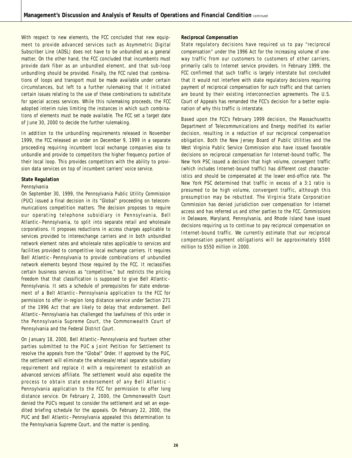With respect to new elements, the FCC concluded that new equipment to provide advanced services such as Asymmetric Digital Subscriber Line (ADSL) does not have to be unbundled as a general matter. On the other hand, the FCC concluded that incumbents must provide dark fiber as an unbundled element, and that sub-loop unbundling should be provided. Finally, the FCC ruled that combinations of loops and transport must be made available under certain circumstances, but left to a further rulemaking that it initiated certain issues relating to the use of these combinations to substitute for special access services. While this rulemaking proceeds, the FCC adopted interim rules limiting the instances in which such combinations of elements must be made available. The FCC set a target date of June 30, 2000 to decide the further rulemaking.

In addition to the unbundling requirements released in November 1999, the FCC released an order on December 9, 1999 in a separate proceeding requiring incumbent local exchange companies also to unbundle and provide to competitors the higher frequency portion of their local loop. This provides competitors with the ability to provision data services on top of incumbent carriers' voice service.

#### **State Regulation**

#### *Pennsylvania*

On September 30, 1999, the Pennsylvania Public Utility Commission (PUC) issued a final decision in its "Global" proceeding on telecommunications competition matters. The decision proposes to require our operating telephone subsidiary in Pennsylvania, Bell Atlantic–Pennsylvania, to split into separate retail and wholesale corporations. It proposes reductions in access charges applicable to services provided to interexchange carriers and in both unbundled network element rates and wholesale rates applicable to services and facilities provided to competitive local exchange carriers. It requires Bell Atlantic–Pennsylvania to provide combinations of unbundled network elements beyond those required by the FCC. It reclassifies certain business services as "competitive," but restricts the pricing freedom that that classification is supposed to give Bell Atlantic– Pennsylvania. It sets a schedule of prerequisites for state endorsement of a Bell Atlantic–Pennsylvania application to the FCC for permission to offer in-region long distance service under Section 271 of the 1996 Act that are likely to delay that endorsement. Bell Atlantic–Pennsylvania has challenged the lawfulness of this order in the Pennsylvania Supreme Court, the Commonwealth Court of Pennsylvania and the Federal District Court.

On January 18, 2000, Bell Atlantic–Pennsylvania and fourteen other parties submitted to the PUC a Joint Petition for Settlement to resolve the appeals from the "Global" Order. If approved by the PUC, the settlement will eliminate the wholesale/retail separate subsidiary requirement and replace it with a requirement to establish an advanced services affiliate. The settlement would also expedite the process to obtain state endorsement of any Bell Atlantic - Pennsylvania application to the FCC for permission to offer long distance service. On February 2, 2000, the Commonwealth Court denied the PUC's request to consider the settlement and set an expedited briefing schedule for the appeals. On February 22, 2000, the PUC and Bell Atlantic–Pennsylvania appealed this determination to the Pennsylvania Supreme Court, and the matter is pending.

#### **Reciprocal Compensation**

State regulatory decisions have required us to pay "reciprocal compensation" under the 1996 Act for the increasing volume of oneway traffic from our customers to customers of other carriers, primarily calls to Internet service providers. In February 1999, the FCC confirmed that such traffic is largely interstate but concluded that it would not interfere with state regulatory decisions requiring payment of reciprocal compensation for such traffic and that carriers are bound by their existing interconnection agreements. The U.S. Court of Appeals has remanded the FCC's decision for a better explanation of why this traffic is interstate.

Based upon the FCC's February 1999 decision, the Massachusetts Department of Telecommunications and Energy modified its earlier decision, resulting in a reduction of our reciprocal compensation obligation. Both the New Jersey Board of Public Utilities and the West Virginia Public Service Commission also have issued favorable decisions on reciprocal compensation for Internet-bound traffic. The New York PSC issued a decision that high volume, convergent traffic (which includes Internet-bound traffic) has different cost characteristics and should be compensated at the lower end-office rate. The New York PSC determined that traffic in excess of a 3:1 ratio is presumed to be high volume, convergent traffic, although this presumption may be rebutted. The Virginia State Corporation Commission has denied jurisdiction over compensation for Internet access and has referred us and other parties to the FCC. Commissions in Delaware, Maryland, Pennsylvania, and Rhode Island have issued decisions requiring us to continue to pay reciprocal compensation on Internet-bound traffic. We currently estimate that our reciprocal compensation payment obligations will be approximately \$500 million to \$550 million in 2000.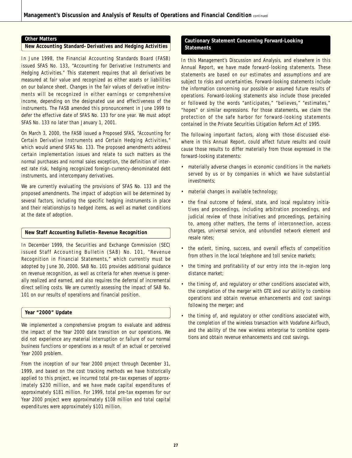#### **Other Matters**

#### **New Accounting Standard–Derivatives and Hedging Activities**

In June 1998, the Financial Accounting Standards Board (FASB) issued SFAS No. 133, "Accounting for Derivative Instruments and Hedging Activities." This statement requires that all derivatives be measured at fair value and recognized as either assets or liabilities on our balance sheet. Changes in the fair values of derivative instruments will be recognized in either earnings or comprehensive income, depending on the designated use and effectiveness of the instruments. The FASB amended this pronouncement in June 1999 to defer the effective date of SFAS No. 133 for one year. We must adopt SFAS No. 133 no later than January 1, 2001.

On March 3, 2000, the FASB issued a Proposed SFAS, "Accounting for Certain Derivative Instruments and Certain Hedging Activities," which would amend SFAS No. 133. The proposed amendments address certain implementation issues and relate to such matters as the normal purchases and normal sales exception, the definition of interest rate risk, hedging recognized foreign-currency-denominated debt instruments, and intercompany derivatives.

We are currently evaluating the provisions of SFAS No. 133 and the proposed amendments. The impact of adoption will be determined by several factors, including the specific hedging instruments in place and their relationships to hedged items, as well as market conditions at the date of adoption.

#### **New Staff Accounting Bulletin–Revenue Recognition**

In December 1999, the Securities and Exchange Commission (SEC) issued Staff Accounting Bulletin (SAB) No. 101, "Revenue Recognition in Financial Statements," which currently must be adopted by June 30, 2000. SAB No. 101 provides additional guidance on revenue recognition, as well as criteria for when revenue is generally realized and earned, and also requires the deferral of incremental direct selling costs. We are currently assessing the impact of SAB No. 101 on our results of operations and financial position.

#### **Year "2000" Update**

We implemented a comprehensive program to evaluate and address the impact of the Year 2000 date transition on our operations. We did not experience any material interruption or failure of our normal business functions or operations as a result of an actual or perceived Year 2000 problem.

From the inception of our Year 2000 project through December 31, 1999, and based on the cost tracking methods we have historically applied to this project, we incurred total pre-tax expenses of approximately \$230 million, and we have made capital expenditures of approximately \$181 million. For 1999, total pre-tax expenses for our Year 2000 project were approximately \$108 million and total capital expenditures were approximately \$101 million.

### **Cautionary Statement Concerning Forward-Looking Statements**

In this Management's Discussion and Analysis, and elsewhere in this Annual Report, we have made forward-looking statements. These statements are based on our estimates and assumptions and are subject to risks and uncertainties. Forward-looking statements include the information concerning our possible or assumed future results of operations. Forward-looking statements also include those preceded or followed by the words "anticipates," "believes," "estimates," "hopes" or similar expressions. For those statements, we claim the protection of the safe harbor for forward-looking statements contained in the Private Securities Litigation Reform Act of 1995.

The following important factors, along with those discussed elsewhere in this Annual Report, could affect future results and could cause those results to differ materially from those expressed in the forward-looking statements:

- materially adverse changes in economic conditions in the markets served by us or by companies in which we have substantial investments;
- material changes in available technology;
- the final outcome of federal, state, and local regulatory initiatives and proceedings, including arbitration proceedings, and judicial review of those initiatives and proceedings, pertaining to, among other matters, the terms of interconnection, access charges, universal service, and unbundled network element and resale rates;
- the extent, timing, success, and overall effects of competition from others in the local telephone and toll service markets;
- the timing and profitability of our entry into the in-region long distance market;
- the timing of, and regulatory or other conditions associated with, the completion of the merger with GTE and our ability to combine operations and obtain revenue enhancements and cost savings following the merger; and
- the timing of, and regulatory or other conditions associated with, the completion of the wireless transaction with Vodafone AirTouch, and the ability of the new wireless enterprise to combine operations and obtain revenue enhancements and cost savings.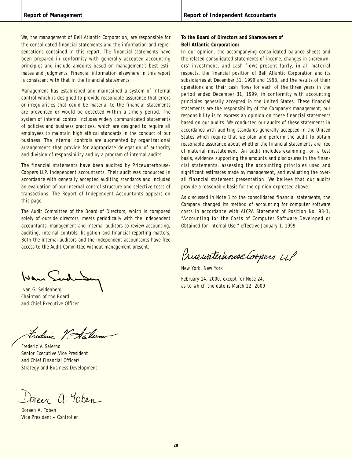We, the management of Bell Atlantic Corporation, are responsible for the consolidated financial statements and the information and representations contained in this report. The financial statements have been prepared in conformity with generally accepted accounting principles and include amounts based on management's best estimates and judgments. Financial information elsewhere in this report is consistent with that in the financial statements.

Management has established and maintained a system of internal control which is designed to provide reasonable assurance that errors or irregularities that could be material to the financial statements are prevented or would be detected within a timely period. The system of internal control includes widely communicated statements of policies and business practices, which are designed to require all employees to maintain high ethical standards in the conduct of our business. The internal controls are augmented by organizational arrangements that provide for appropriate delegation of authority and division of responsibility and by a program of internal audits.

The financial statements have been audited by Pricewaterhouse-Coopers LLP, independent accountants. Their audit was conducted in accordance with generally accepted auditing standards and included an evaluation of our internal control structure and selective tests of transactions. The Report of Independent Accountants appears on this page.

The Audit Committee of the Board of Directors, which is composed solely of outside directors, meets periodically with the independent accountants, management and internal auditors to review accounting, auditing, internal controls, litigation and financial reporting matters. Both the internal auditors and the independent accountants have free access to the Audit Committee without management present.

Wan Sud

Ivan G. Seidenberg Chairman of the Board and Chief Executive Officer

Frederic V Salerno

Frederic V. Salerno Senior Executive Vice President and Chief Financial Officer/ Strategy and Business Development

breez a. Yoben

Doreen A. Toben Vice President – Controller

### **To the Board of Directors and Shareowners of Bell Atlantic Corporation:**

In our opinion, the accompanying consolidated balance sheets and the related consolidated statements of income, changes in shareowners' investment, and cash flows present fairly, in all material respects, the financial position of Bell Atlantic Corporation and its subsidiaries at December 31, 1999 and 1998, and the results of their operations and their cash flows for each of the three years in the period ended December 31, 1999, in conformity with accounting principles generally accepted in the United States. These financial statements are the responsibility of the Company's management; our responsibility is to express an opinion on these financial statements based on our audits. We conducted our audits of these statements in accordance with auditing standards generally accepted in the United States which require that we plan and perform the audit to obtain reasonable assurance about whether the financial statements are free of material misstatement. An audit includes examining, on a test basis, evidence supporting the amounts and disclosures in the financial statements, assessing the accounting principles used and significant estimates made by management, and evaluating the overall financial statement presentation. We believe that our audits provide a reasonable basis for the opinion expressed above.

As discussed in Note 1 to the consolidated financial statements, the Company changed its method of accounting for computer software costs in accordance with AICPA Statement of Position No. 98-1, "Accounting for the Costs of Computer Software Developed or Obtained for Internal Use," effective January 1, 1999.

Princewaterhouse Coopers LLP

New York, New York

February 14, 2000, except for Note 24, as to which the date is March 22, 2000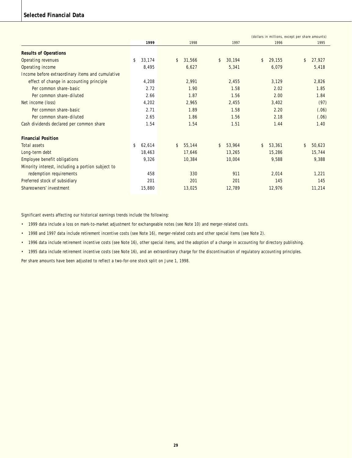## **Selected Financial Data**

|                                                   |              |              |              |                         | (dollars in millions, except per share amounts) |
|---------------------------------------------------|--------------|--------------|--------------|-------------------------|-------------------------------------------------|
|                                                   | 1999         | 1998         | 1997         | 1996                    | 1995                                            |
| <b>Results of Operations</b>                      |              |              |              |                         |                                                 |
| Operating revenues                                | \$<br>33,174 | 31,566<br>\$ | 30,194<br>\$ | 29,155<br>\$            | 27,927<br>\$                                    |
| Operating income                                  | 8,495        | 6,627        | 5,341        | 6,079                   | 5,418                                           |
| Income before extraordinary items and cumulative  |              |              |              |                         |                                                 |
| effect of change in accounting principle          | 4,208        | 2,991        | 2,455        | 3,129                   | 2,826                                           |
| Per common share-basic                            | 2.72         | 1.90         | 1.58         | 2.02                    | 1.85                                            |
| Per common share-diluted                          | 2.66         | 1.87         | 1.56         | 2.00                    | 1.84                                            |
| Net income (loss)                                 | 4,202        | 2,965        | 2,455        | 3,402                   | (97)                                            |
| Per common share-basic                            | 2.71         | 1.89         | 1.58         | 2.20                    | (.06)                                           |
| Per common share-diluted                          | 2.65         | 1.86         | 1.56         | 2.18                    | (.06)                                           |
| Cash dividends declared per common share          | 1.54         | 1.54         | 1.51         | 1.44                    | 1.40                                            |
| <b>Financial Position</b>                         |              |              |              |                         |                                                 |
| Total assets                                      | \$<br>62,614 | 55,144<br>\$ | 53,964<br>\$ | $\mathsf{\$}$<br>53,361 | \$<br>50,623                                    |
| Long-term debt                                    | 18,463       | 17,646       | 13,265       | 15,286                  | 15,744                                          |
| Employee benefit obligations                      | 9,326        | 10,384       | 10,004       | 9,588                   | 9,388                                           |
| Minority interest, including a portion subject to |              |              |              |                         |                                                 |
| redemption requirements                           | 458          | 330          | 911          | 2,014                   | 1.221                                           |
| Preferred stock of subsidiary                     | 201          | 201          | 201          | 145                     | 145                                             |
| Shareowners' investment                           | 15,880       | 13,025       | 12,789       | 12,976                  | 11,214                                          |

Significant events affecting our historical earnings trends include the following:

• 1999 data include a loss on mark-to-market adjustment for exchangeable notes (see Note 10) and merger-related costs.

• 1998 and 1997 data include retirement incentive costs (see Note 16), merger-related costs and other special items (see Note 2).

• 1996 data include retirement incentive costs (see Note 16), other special items, and the adoption of a change in accounting for directory publishing.

• 1995 data include retirement incentive costs (see Note 16), and an extraordinary charge for the discontinuation of regulatory accounting principles.

Per share amounts have been adjusted to reflect a two-for-one stock split on June 1, 1998.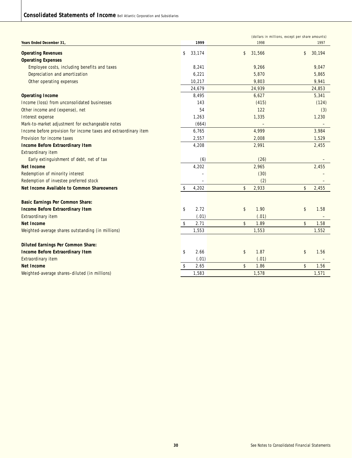| 1999<br>1998<br>Years Ended December 31<br>1997<br>31,566<br><b>Operating Revenues</b><br>\$<br>33,174<br>\$<br>30,194<br>\$<br><b>Operating Expenses</b><br>9,047<br>Employee costs, including benefits and taxes<br>8,241<br>9,266<br>Depreciation and amortization<br>5,870<br>5,865<br>6,221<br>Other operating expenses<br>10,217<br>9,803<br>9,941<br>24,679<br>24,939<br>24,853<br>8,495<br>6,627<br>5,341<br><b>Operating Income</b><br>Income (loss) from unconsolidated businesses<br>143<br>(415)<br>(124)<br>Other income and (expense), net<br>54<br>122<br>(3)<br>1,335<br>1,230<br>Interest expense<br>1,263<br>Mark-to-market adjustment for exchangeable notes<br>(664)<br>4,999<br>3,984<br>Income before provision for income taxes and extraordinary item<br>6,765<br>Provision for income taxes<br>2,557<br>2,008<br>1,529<br>2,991<br>2,455<br><b>Income Before Extraordinary Item</b><br>4,208<br><b>Extraordinary item</b><br>(6)<br>(26)<br>Early extinguishment of debt, net of tax<br>4,202<br>2,965<br>2,455<br><b>Net Income</b><br>Redemption of minority interest<br>(30)<br>Redemption of investee preferred stock<br>(2)<br>Net Income Available to Common Shareowners<br>\$<br>2,933<br>\$<br>2,455<br>\$<br>4,202<br><b>Basic Earnings Per Common Share:</b><br><b>Income Before Extraordinary Item</b><br>\$<br>2.72<br>\$<br>1.90<br>\$<br>1.58<br><b>Extraordinary item</b><br>(.01)<br>(.01)<br>\$<br>1.89<br>\$<br><b>Net Income</b><br>\$<br>2.71<br>1.58<br>1,553<br>1,553<br>1,552<br>Weighted-average shares outstanding (in millions)<br><b>Diluted Earnings Per Common Share:</b><br>\$<br>2.66<br>1.87<br>\$<br><b>Income Before Extraordinary Item</b><br>\$<br>1.56<br>(.01)<br>Extraordinary item<br>(.01)<br>\$<br>Net Income<br>\$<br>2.65<br>1.86<br>\$<br>1.56 |                                               |       |       | (dollars in millions, except per share amounts) |
|----------------------------------------------------------------------------------------------------------------------------------------------------------------------------------------------------------------------------------------------------------------------------------------------------------------------------------------------------------------------------------------------------------------------------------------------------------------------------------------------------------------------------------------------------------------------------------------------------------------------------------------------------------------------------------------------------------------------------------------------------------------------------------------------------------------------------------------------------------------------------------------------------------------------------------------------------------------------------------------------------------------------------------------------------------------------------------------------------------------------------------------------------------------------------------------------------------------------------------------------------------------------------------------------------------------------------------------------------------------------------------------------------------------------------------------------------------------------------------------------------------------------------------------------------------------------------------------------------------------------------------------------------------------------------------------------------------------------------------------------------------------------------------------------------------------------|-----------------------------------------------|-------|-------|-------------------------------------------------|
|                                                                                                                                                                                                                                                                                                                                                                                                                                                                                                                                                                                                                                                                                                                                                                                                                                                                                                                                                                                                                                                                                                                                                                                                                                                                                                                                                                                                                                                                                                                                                                                                                                                                                                                                                                                                                      |                                               |       |       |                                                 |
|                                                                                                                                                                                                                                                                                                                                                                                                                                                                                                                                                                                                                                                                                                                                                                                                                                                                                                                                                                                                                                                                                                                                                                                                                                                                                                                                                                                                                                                                                                                                                                                                                                                                                                                                                                                                                      |                                               |       |       |                                                 |
|                                                                                                                                                                                                                                                                                                                                                                                                                                                                                                                                                                                                                                                                                                                                                                                                                                                                                                                                                                                                                                                                                                                                                                                                                                                                                                                                                                                                                                                                                                                                                                                                                                                                                                                                                                                                                      |                                               |       |       |                                                 |
|                                                                                                                                                                                                                                                                                                                                                                                                                                                                                                                                                                                                                                                                                                                                                                                                                                                                                                                                                                                                                                                                                                                                                                                                                                                                                                                                                                                                                                                                                                                                                                                                                                                                                                                                                                                                                      |                                               |       |       |                                                 |
|                                                                                                                                                                                                                                                                                                                                                                                                                                                                                                                                                                                                                                                                                                                                                                                                                                                                                                                                                                                                                                                                                                                                                                                                                                                                                                                                                                                                                                                                                                                                                                                                                                                                                                                                                                                                                      |                                               |       |       |                                                 |
|                                                                                                                                                                                                                                                                                                                                                                                                                                                                                                                                                                                                                                                                                                                                                                                                                                                                                                                                                                                                                                                                                                                                                                                                                                                                                                                                                                                                                                                                                                                                                                                                                                                                                                                                                                                                                      |                                               |       |       |                                                 |
|                                                                                                                                                                                                                                                                                                                                                                                                                                                                                                                                                                                                                                                                                                                                                                                                                                                                                                                                                                                                                                                                                                                                                                                                                                                                                                                                                                                                                                                                                                                                                                                                                                                                                                                                                                                                                      |                                               |       |       |                                                 |
|                                                                                                                                                                                                                                                                                                                                                                                                                                                                                                                                                                                                                                                                                                                                                                                                                                                                                                                                                                                                                                                                                                                                                                                                                                                                                                                                                                                                                                                                                                                                                                                                                                                                                                                                                                                                                      |                                               |       |       |                                                 |
|                                                                                                                                                                                                                                                                                                                                                                                                                                                                                                                                                                                                                                                                                                                                                                                                                                                                                                                                                                                                                                                                                                                                                                                                                                                                                                                                                                                                                                                                                                                                                                                                                                                                                                                                                                                                                      |                                               |       |       |                                                 |
|                                                                                                                                                                                                                                                                                                                                                                                                                                                                                                                                                                                                                                                                                                                                                                                                                                                                                                                                                                                                                                                                                                                                                                                                                                                                                                                                                                                                                                                                                                                                                                                                                                                                                                                                                                                                                      |                                               |       |       |                                                 |
|                                                                                                                                                                                                                                                                                                                                                                                                                                                                                                                                                                                                                                                                                                                                                                                                                                                                                                                                                                                                                                                                                                                                                                                                                                                                                                                                                                                                                                                                                                                                                                                                                                                                                                                                                                                                                      |                                               |       |       |                                                 |
|                                                                                                                                                                                                                                                                                                                                                                                                                                                                                                                                                                                                                                                                                                                                                                                                                                                                                                                                                                                                                                                                                                                                                                                                                                                                                                                                                                                                                                                                                                                                                                                                                                                                                                                                                                                                                      |                                               |       |       |                                                 |
|                                                                                                                                                                                                                                                                                                                                                                                                                                                                                                                                                                                                                                                                                                                                                                                                                                                                                                                                                                                                                                                                                                                                                                                                                                                                                                                                                                                                                                                                                                                                                                                                                                                                                                                                                                                                                      |                                               |       |       |                                                 |
|                                                                                                                                                                                                                                                                                                                                                                                                                                                                                                                                                                                                                                                                                                                                                                                                                                                                                                                                                                                                                                                                                                                                                                                                                                                                                                                                                                                                                                                                                                                                                                                                                                                                                                                                                                                                                      |                                               |       |       |                                                 |
|                                                                                                                                                                                                                                                                                                                                                                                                                                                                                                                                                                                                                                                                                                                                                                                                                                                                                                                                                                                                                                                                                                                                                                                                                                                                                                                                                                                                                                                                                                                                                                                                                                                                                                                                                                                                                      |                                               |       |       |                                                 |
|                                                                                                                                                                                                                                                                                                                                                                                                                                                                                                                                                                                                                                                                                                                                                                                                                                                                                                                                                                                                                                                                                                                                                                                                                                                                                                                                                                                                                                                                                                                                                                                                                                                                                                                                                                                                                      |                                               |       |       |                                                 |
|                                                                                                                                                                                                                                                                                                                                                                                                                                                                                                                                                                                                                                                                                                                                                                                                                                                                                                                                                                                                                                                                                                                                                                                                                                                                                                                                                                                                                                                                                                                                                                                                                                                                                                                                                                                                                      |                                               |       |       |                                                 |
|                                                                                                                                                                                                                                                                                                                                                                                                                                                                                                                                                                                                                                                                                                                                                                                                                                                                                                                                                                                                                                                                                                                                                                                                                                                                                                                                                                                                                                                                                                                                                                                                                                                                                                                                                                                                                      |                                               |       |       |                                                 |
|                                                                                                                                                                                                                                                                                                                                                                                                                                                                                                                                                                                                                                                                                                                                                                                                                                                                                                                                                                                                                                                                                                                                                                                                                                                                                                                                                                                                                                                                                                                                                                                                                                                                                                                                                                                                                      |                                               |       |       |                                                 |
|                                                                                                                                                                                                                                                                                                                                                                                                                                                                                                                                                                                                                                                                                                                                                                                                                                                                                                                                                                                                                                                                                                                                                                                                                                                                                                                                                                                                                                                                                                                                                                                                                                                                                                                                                                                                                      |                                               |       |       |                                                 |
|                                                                                                                                                                                                                                                                                                                                                                                                                                                                                                                                                                                                                                                                                                                                                                                                                                                                                                                                                                                                                                                                                                                                                                                                                                                                                                                                                                                                                                                                                                                                                                                                                                                                                                                                                                                                                      |                                               |       |       |                                                 |
|                                                                                                                                                                                                                                                                                                                                                                                                                                                                                                                                                                                                                                                                                                                                                                                                                                                                                                                                                                                                                                                                                                                                                                                                                                                                                                                                                                                                                                                                                                                                                                                                                                                                                                                                                                                                                      |                                               |       |       |                                                 |
|                                                                                                                                                                                                                                                                                                                                                                                                                                                                                                                                                                                                                                                                                                                                                                                                                                                                                                                                                                                                                                                                                                                                                                                                                                                                                                                                                                                                                                                                                                                                                                                                                                                                                                                                                                                                                      |                                               |       |       |                                                 |
|                                                                                                                                                                                                                                                                                                                                                                                                                                                                                                                                                                                                                                                                                                                                                                                                                                                                                                                                                                                                                                                                                                                                                                                                                                                                                                                                                                                                                                                                                                                                                                                                                                                                                                                                                                                                                      |                                               |       |       |                                                 |
|                                                                                                                                                                                                                                                                                                                                                                                                                                                                                                                                                                                                                                                                                                                                                                                                                                                                                                                                                                                                                                                                                                                                                                                                                                                                                                                                                                                                                                                                                                                                                                                                                                                                                                                                                                                                                      |                                               |       |       |                                                 |
|                                                                                                                                                                                                                                                                                                                                                                                                                                                                                                                                                                                                                                                                                                                                                                                                                                                                                                                                                                                                                                                                                                                                                                                                                                                                                                                                                                                                                                                                                                                                                                                                                                                                                                                                                                                                                      |                                               |       |       |                                                 |
|                                                                                                                                                                                                                                                                                                                                                                                                                                                                                                                                                                                                                                                                                                                                                                                                                                                                                                                                                                                                                                                                                                                                                                                                                                                                                                                                                                                                                                                                                                                                                                                                                                                                                                                                                                                                                      |                                               |       |       |                                                 |
|                                                                                                                                                                                                                                                                                                                                                                                                                                                                                                                                                                                                                                                                                                                                                                                                                                                                                                                                                                                                                                                                                                                                                                                                                                                                                                                                                                                                                                                                                                                                                                                                                                                                                                                                                                                                                      |                                               |       |       |                                                 |
|                                                                                                                                                                                                                                                                                                                                                                                                                                                                                                                                                                                                                                                                                                                                                                                                                                                                                                                                                                                                                                                                                                                                                                                                                                                                                                                                                                                                                                                                                                                                                                                                                                                                                                                                                                                                                      |                                               |       |       |                                                 |
|                                                                                                                                                                                                                                                                                                                                                                                                                                                                                                                                                                                                                                                                                                                                                                                                                                                                                                                                                                                                                                                                                                                                                                                                                                                                                                                                                                                                                                                                                                                                                                                                                                                                                                                                                                                                                      |                                               |       |       |                                                 |
|                                                                                                                                                                                                                                                                                                                                                                                                                                                                                                                                                                                                                                                                                                                                                                                                                                                                                                                                                                                                                                                                                                                                                                                                                                                                                                                                                                                                                                                                                                                                                                                                                                                                                                                                                                                                                      | Weighted-average shares-diluted (in millions) | 1,583 | 1,578 | 1,571                                           |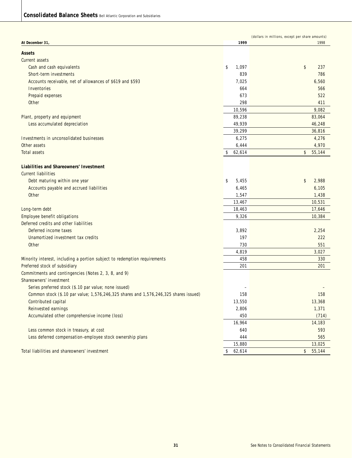|                                                                                                     |               | (dollars in millions, except per share amounts) |
|-----------------------------------------------------------------------------------------------------|---------------|-------------------------------------------------|
| At December 31,                                                                                     | 1999          | 1998                                            |
| Assets                                                                                              |               |                                                 |
| Current assets                                                                                      |               |                                                 |
| Cash and cash equivalents                                                                           | \$<br>1,097   | \$<br>237                                       |
| Short-term investments                                                                              | 839           | 786                                             |
| Accounts receivable, net of allowances of \$619 and \$593                                           | 7,025         | 6,560                                           |
| Inventories                                                                                         | 664           | 566                                             |
| Prepaid expenses                                                                                    | 673           | 522                                             |
| Other                                                                                               | 298           | 411                                             |
|                                                                                                     | 10,596        | 9,082                                           |
| Plant, property and equipment                                                                       | 89,238        | 83,064                                          |
| Less accumulated depreciation                                                                       | 49,939        | 46,248                                          |
|                                                                                                     | 39,299        | 36,816                                          |
| Investments in unconsolidated businesses                                                            | 6,275         | 4,276                                           |
| Other assets                                                                                        | 6,444         | 4,970                                           |
| Total assets                                                                                        | 62,614<br>\$  | \$<br>55,144                                    |
|                                                                                                     |               |                                                 |
| Liabilities and Shareowners' Investment                                                             |               |                                                 |
| <b>Current liabilities</b>                                                                          |               |                                                 |
| Debt maturing within one year                                                                       | \$<br>5,455   | \$<br>2,988                                     |
| Accounts payable and accrued liabilities                                                            | 6,465         | 6,105                                           |
| <b>Other</b>                                                                                        | 1,547         | 1,438                                           |
|                                                                                                     | 13,467        | 10,531                                          |
| Long-term debt                                                                                      | 18,463        | 17,646                                          |
| Employee benefit obligations                                                                        | 9,326         | 10,384                                          |
| Deferred credits and other liabilities                                                              |               |                                                 |
| Deferred income taxes                                                                               | 3,892         | 2,254                                           |
| Unamortized investment tax credits                                                                  | 197           | 222                                             |
| Other                                                                                               | 730           | 551                                             |
|                                                                                                     | 4,819         | 3,027                                           |
| Minority interest, including a portion subject to redemption requirements                           | 458           | 330                                             |
| Preferred stock of subsidiary                                                                       | 201           | 201                                             |
| Commitments and contingencies (Notes 2, 3, 8, and 9)                                                |               |                                                 |
| Shareowners' investment                                                                             |               |                                                 |
| Series preferred stock (\$.10 par value; none issued)                                               |               |                                                 |
| Common stock (\$.10 par value; 1,576,246,325 shares and 1,576,246,325 shares issued)                | 158           | 158                                             |
| Contributed capital                                                                                 | 13,550        | 13,368                                          |
| Reinvested earnings                                                                                 | 2,806         | 1,371                                           |
| Accumulated other comprehensive income (loss)                                                       | 450           | (714)                                           |
|                                                                                                     | 16,964        | 14,183                                          |
| Less common stock in treasury, at cost<br>Less deferred compensation-employee stock ownership plans | 640           | 593                                             |
|                                                                                                     | 444<br>15,880 | 565<br>13,025                                   |
| Total liabilities and shareowners' investment                                                       | \$<br>62,614  | 55,144<br>\$                                    |
|                                                                                                     |               |                                                 |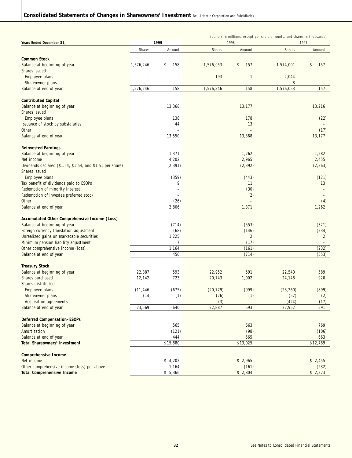| Years Ended December 31,                                                             |           | 1999          | (dollars in millions, except per share amounts, and shares in thousands)<br>1998<br>1997 |                          |           |                         |  |  |  |  |
|--------------------------------------------------------------------------------------|-----------|---------------|------------------------------------------------------------------------------------------|--------------------------|-----------|-------------------------|--|--|--|--|
|                                                                                      | Shares    | Amount        | Shares                                                                                   | Amount                   | Shares    | Amount                  |  |  |  |  |
|                                                                                      |           |               |                                                                                          |                          |           |                         |  |  |  |  |
| <b>Common Stock</b>                                                                  |           |               |                                                                                          |                          |           |                         |  |  |  |  |
| Balance at beginning of year                                                         | 1,576,246 | \$<br>158     | 1,576,053                                                                                | \$<br>157                | 1,574,001 | \$<br>157               |  |  |  |  |
| Shares issued<br>Employee plans                                                      |           |               | 193                                                                                      | $\mathbf{1}$             | 2,044     |                         |  |  |  |  |
| Shareowner plans                                                                     |           |               |                                                                                          | $\overline{\phantom{a}}$ | 8         |                         |  |  |  |  |
| Balance at end of year                                                               | 1,576,246 | 158           | 1,576,246                                                                                | 158                      | 1,576,053 | 157                     |  |  |  |  |
|                                                                                      |           |               |                                                                                          |                          |           |                         |  |  |  |  |
| <b>Contributed Capital</b>                                                           |           |               |                                                                                          |                          |           |                         |  |  |  |  |
| Balance at beginning of year                                                         |           | 13,368        |                                                                                          | 13,177                   |           | 13,216                  |  |  |  |  |
| Shares issued                                                                        |           |               |                                                                                          |                          |           |                         |  |  |  |  |
| Employee plans                                                                       |           | 138           |                                                                                          | 178                      |           | (22)                    |  |  |  |  |
| Issuance of stock by subsidiaries<br>Other                                           |           | 44            |                                                                                          | 13                       |           | (17)                    |  |  |  |  |
| Balance at end of year                                                               |           | 13,550        |                                                                                          | 13,368                   |           | 13,177                  |  |  |  |  |
|                                                                                      |           |               |                                                                                          |                          |           |                         |  |  |  |  |
| <b>Reinvested Earnings</b>                                                           |           |               |                                                                                          |                          |           |                         |  |  |  |  |
| Balance at beginning of year                                                         |           | 1,371         |                                                                                          | 1,262                    |           | 1,282                   |  |  |  |  |
| Net income                                                                           |           | 4,202         |                                                                                          | 2,965                    |           | 2,455                   |  |  |  |  |
| Dividends declared (\$1.54, \$1.54, and \$1.51 per share)                            |           | (2, 391)      |                                                                                          | (2, 392)                 |           | (2, 363)                |  |  |  |  |
| Shares issued                                                                        |           |               |                                                                                          |                          |           |                         |  |  |  |  |
| Employee plans<br>Tax benefit of dividends paid to ESOPs                             |           | (359)<br>9    |                                                                                          | (443)<br>11              |           | (121)<br>13             |  |  |  |  |
| Redemption of minority interest                                                      |           | ÷             |                                                                                          | (30)                     |           | $\overline{a}$          |  |  |  |  |
| Redemption of investee preferred stock                                               |           |               |                                                                                          | (2)                      |           |                         |  |  |  |  |
| <b>Other</b>                                                                         |           | (26)          |                                                                                          |                          |           | (4)                     |  |  |  |  |
| Balance at end of year                                                               |           | 2,806         |                                                                                          | 1,371                    |           | 1,262                   |  |  |  |  |
|                                                                                      |           |               |                                                                                          |                          |           |                         |  |  |  |  |
| Accumulated Other Comprehensive Income (Loss)                                        |           |               |                                                                                          |                          |           |                         |  |  |  |  |
| Balance at beginning of year                                                         |           | (714)         |                                                                                          | (553)                    |           | (321)                   |  |  |  |  |
| Foreign currency translation adjustment<br>Unrealized gains on marketable securities |           | (68)<br>1,225 |                                                                                          | (146)<br>$\overline{2}$  |           | (234)<br>$\overline{2}$ |  |  |  |  |
| Minimum pension liability adjustment                                                 |           | 7             |                                                                                          | (17)                     |           | $\qquad \qquad -$       |  |  |  |  |
| Other comprehensive income (loss)                                                    |           | 1,164         |                                                                                          | (161)                    |           | (232)                   |  |  |  |  |
| Balance at end of year                                                               |           | 450           |                                                                                          | (714)                    |           | (553)                   |  |  |  |  |
|                                                                                      |           |               |                                                                                          |                          |           |                         |  |  |  |  |
| <b>Treasury Stock</b>                                                                |           |               |                                                                                          |                          |           |                         |  |  |  |  |
| Balance at beginning of year                                                         | 22,887    | 593<br>723    | 22,952                                                                                   | 591                      | 22,540    | 589                     |  |  |  |  |
| Shares purchased<br>Shares distributed                                               | 12,142    |               | 20,743                                                                                   | 1,002                    | 24,148    | 920                     |  |  |  |  |
| Employee plans                                                                       | (11, 446) | (675)         | (20, 779)                                                                                | (999)                    | (23, 260) | (899)                   |  |  |  |  |
| Shareowner plans                                                                     | (14)      | (1)           | (26)                                                                                     | (1)                      | (52)      | (2)                     |  |  |  |  |
| Acquisition agreements                                                               |           |               | (3)                                                                                      |                          | (424)     | (17)                    |  |  |  |  |
| Balance at end of year                                                               | 23,569    | 640           | 22,887                                                                                   | 593                      | 22,952    | 591                     |  |  |  |  |
|                                                                                      |           |               |                                                                                          |                          |           |                         |  |  |  |  |
| <b>Deferred Compensation-ESOPs</b>                                                   |           |               |                                                                                          |                          |           |                         |  |  |  |  |
| Balance at beginning of year<br>Amortization                                         |           | 565<br>(121)  |                                                                                          | 663<br>(98)              |           | 769<br>(106)            |  |  |  |  |
| Balance at end of year                                                               |           | 444           |                                                                                          | 565                      |           | 663                     |  |  |  |  |
| <b>Total Shareowners' Investment</b>                                                 |           | \$15,880      |                                                                                          | \$13,025                 |           | \$12,789                |  |  |  |  |
|                                                                                      |           |               |                                                                                          |                          |           |                         |  |  |  |  |
| <b>Comprehensive Income</b>                                                          |           |               |                                                                                          |                          |           |                         |  |  |  |  |
| Net income                                                                           |           | \$4,202       |                                                                                          | \$2,965                  |           | \$2,455                 |  |  |  |  |
| Other comprehensive income (loss) per above                                          |           | 1,164         |                                                                                          | (161)                    |           | (232)                   |  |  |  |  |
| <b>Total Comprehensive Income</b>                                                    |           | \$5,366       |                                                                                          | \$2,804                  |           | \$2,223                 |  |  |  |  |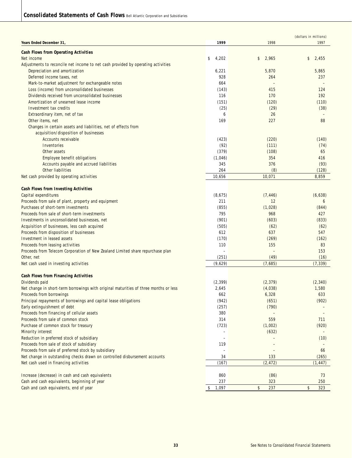|                                                                                      |                                                      |                          | (dollars in millions) |
|--------------------------------------------------------------------------------------|------------------------------------------------------|--------------------------|-----------------------|
| Years Ended December 31,                                                             | 1999                                                 | 1998                     | 1997                  |
| <b>Cash Flows from Operating Activities</b>                                          |                                                      |                          |                       |
| Net income                                                                           | \$<br>4,202                                          | 2,965<br>\$              | 2,455<br>\$           |
| Adjustments to reconcile net income to net cash provided by operating activities     |                                                      |                          |                       |
| Depreciation and amortization                                                        | 6,221                                                | 5,870                    | 5,865                 |
| Deferred income taxes, net                                                           | 928                                                  | 264                      | 237                   |
| Mark-to-market adjustment for exchangeable notes                                     | 664                                                  | $\overline{\phantom{a}}$ |                       |
| Loss (income) from unconsolidated businesses                                         | (143)                                                | 415                      | 124                   |
| Dividends received from unconsolidated businesses                                    | 116                                                  | 170                      | 192                   |
| Amortization of unearned lease income                                                | (151)                                                | (120)                    | (110)                 |
| Investment tax credits                                                               | (25)                                                 | (29)                     | (38)                  |
| Extraordinary item, net of tax                                                       | 6                                                    | 26                       |                       |
| Other items, net                                                                     | 169                                                  | 227                      | 88                    |
| Changes in certain assets and liabilities, net of effects from                       |                                                      |                          |                       |
| acquisition/disposition of businesses                                                |                                                      |                          |                       |
| Accounts receivable                                                                  | (423)                                                | (220)                    | (140)                 |
| Inventories                                                                          | (92)                                                 | (111)                    | (74)                  |
| Other assets                                                                         | (379)                                                | (108)                    | 65                    |
| Employee benefit obligations                                                         | (1,046)                                              | 354                      | 416                   |
| Accounts payable and accrued liabilities                                             | 345                                                  | 376                      | (93)                  |
| Other liabilities                                                                    | 264                                                  | (8)                      | (128)                 |
| Net cash provided by operating activities                                            | 10,656                                               | 10,071                   | 8,859                 |
| Cash Flows from Investing Activities                                                 |                                                      |                          |                       |
| Capital expenditures                                                                 | (8,675)                                              | (7, 446)                 | (6,638)               |
| Proceeds from sale of plant, property and equipment                                  | 211                                                  | 12                       | 6                     |
| Purchases of short-term investments                                                  | (855)                                                | (1,028)                  | (844)                 |
| Proceeds from sale of short-term investments                                         | 795                                                  | 968                      | 427                   |
| Investments in unconsolidated businesses, net                                        | (901)                                                | (603)                    | (833)                 |
| Acquisition of businesses, less cash acquired                                        | (505)                                                | (62)                     | (62)                  |
| Proceeds from disposition of businesses                                              | 612                                                  | 637                      | 547                   |
| Investment in leased assets                                                          | (170)                                                | (269)                    | (162)                 |
| Proceeds from leasing activities                                                     | 110                                                  | 155                      | 83                    |
| Proceeds from Telecom Corporation of New Zealand Limited share repurchase plan       | $\overline{\phantom{a}}$                             | $\overline{\phantom{0}}$ | 153                   |
| Other, net                                                                           | (251)                                                | (49)                     | (16)                  |
| Net cash used in investing activities                                                | (9,629)                                              | (7,685)                  | (7, 339)              |
|                                                                                      |                                                      |                          |                       |
| Cash Flows from Financing Activities                                                 |                                                      |                          |                       |
| Dividends paid                                                                       | (2, 399)                                             | (2, 379)                 | (2, 340)              |
| Net change in short-term borrowings with original maturities of three months or less | 2,645                                                | (4,038)                  | 1,580                 |
| Proceeds from borrowings                                                             | 662                                                  | 6,328                    | 633                   |
| Principal repayments of borrowings and capital lease obligations                     | (942)                                                | (651)                    | (902)                 |
| Early extinguishment of debt                                                         | (257)                                                | (790)                    |                       |
| Proceeds from financing of cellular assets                                           | 380                                                  | $\overline{\phantom{a}}$ |                       |
| Proceeds from sale of common stock                                                   | 314                                                  | 559                      | 711                   |
| Purchase of common stock for treasury                                                | (723)                                                | (1,002)                  | (920)                 |
| Minority interest<br>Reduction in preferred stock of subsidiary                      | $\overline{\phantom{m}}$<br>$\overline{\phantom{m}}$ | (632)                    | (10)                  |
| Proceeds from sale of stock of subsidiary                                            | 119                                                  | ۰                        |                       |
| Proceeds from sale of preferred stock by subsidiary                                  | $\overline{\phantom{0}}$                             | $\overline{\phantom{a}}$ | 66                    |
| Net change in outstanding checks drawn on controlled disbursement accounts           | 34                                                   | 133                      | (265)                 |
| Net cash used in financing activities                                                | (167)                                                | (2, 472)                 | (1, 447)              |
|                                                                                      |                                                      |                          |                       |
| Increase (decrease) in cash and cash equivalents                                     | 860                                                  | (86)                     | 73                    |
| Cash and cash equivalents, beginning of year                                         | 237                                                  | 323                      | 250                   |
| Cash and cash equivalents, end of year                                               | \$<br>1,097                                          | \$<br>237                | 323<br>\$             |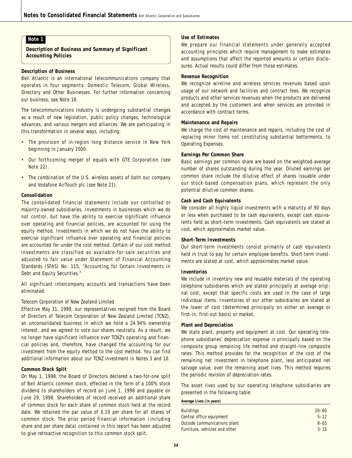**Description of Business and Summary of Significant Accounting Policies**

#### **Description of Business**

Bell Atlantic is an international telecommunications company that operates in four segments: Domestic Telecom, Global Wireless, Directory and Other Businesses. For further information concerning our business, see Note 18.

The telecommunications industry is undergoing substantial changes as a result of new legislation, public policy changes, technological advances, and various mergers and alliances. We are participating in this transformation in several ways, including:

- The provision of in-region long distance service in New York beginning in January 2000.
- Our forthcoming merger of equals with GTE Corporation (see Note 22).
- The combination of the U.S. wireless assets of both our company and Vodafone AirTouch plc (see Note 21).

#### **Consolidation**

The consolidated financial statements include our controlled or majority-owned subsidiaries. Investments in businesses which we do not control, but have the ability to exercise significant influence over operating and financial policies, are accounted for using the equity method. Investments in which we do not have the ability to exercise significant influence over operating and financial policies are accounted for under the cost method. Certain of our cost method investments are classified as available-for-sale securities and adjusted to fair value under Statement of Financial Accounting Standards (SFAS) No. 115, "Accounting for Certain Investments in Debt and Equity Securities."

All significant intercompany accounts and transactions have been eliminated.

#### *Telecom Corporation of New Zealand Limited*

Effective May 31, 1999, our representatives resigned from the Board of Directors of Telecom Corporation of New Zealand Limited (TCNZ), an unconsolidated business in which we hold a 24.94% ownership interest, and we agreed to vote our shares neutrally. As a result, we no longer have significant influence over TCNZ's operating and financial policies and, therefore, have changed the accounting for our investment from the equity method to the cost method. You can find additional information about our TCNZ investment in Notes 3 and 10.

#### **Common Stock Split**

On May 1, 1998, the Board of Directors declared a two-for-one split of Bell Atlantic common stock, effected in the form of a 100% stock dividend to shareholders of record on June 1, 1998 and payable on June 29, 1998. Shareholders of record received an additional share of common stock for each share of common stock held at the record date. We retained the par value of \$.10 per share for all shares of common stock. The prior period financial information (including share and per share data) contained in this report has been adjusted to give retroactive recognition to this common stock split.

### **Use of Estimates**

We prepare our financial statements under generally accepted accounting principles which require management to make estimates and assumptions that affect the reported amounts or certain disclosures. Actual results could differ from those estimates.

### **Revenue Recognition**

We recognize wireline and wireless services revenues based upon usage of our network and facilities and contract fees. We recognize products and other services revenues when the products are delivered and accepted by the customers and when services are provided in accordance with contract terms.

#### **Maintenance and Repairs**

We charge the cost of maintenance and repairs, including the cost of replacing minor items not constituting substantial betterments, to Operating Expenses.

#### **Earnings Per Common Share**

Basic earnings per common share are based on the weighted-average number of shares outstanding during the year. Diluted earnings per common share include the dilutive effect of shares issuable under our stock-based compensation plans, which represent the only potential dilutive common shares.

#### **Cash and Cash Equivalents**

We consider all highly liquid investments with a maturity of 90 days or less when purchased to be cash equivalents, except cash equivalents held as short-term investments. Cash equivalents are stated at cost, which approximates market value.

#### **Short-Term Investments**

Our short-term investments consist primarily of cash equivalents held in trust to pay for certain employee benefits. Short-term investments are stated at cost, which approximates market value.

#### **Inventories**

We include in inventory new and reusable materials of the operating telephone subsidiaries which are stated principally at average original cost, except that specific costs are used in the case of large individual items. Inventories of our other subsidiaries are stated at the lower of cost (determined principally on either an average or first-in, first-out basis) or market.

#### **Plant and Depreciation**

We state plant, property and equipment at cost. Our operating telephone subsidiaries' depreciation expense is principally based on the composite group remaining life method and straight-line composite rates. This method provides for the recognition of the cost of the remaining net investment in telephone plant, less anticipated net salvage value, over the remaining asset lives. This method requires the periodic revision of depreciation rates.

The asset lives used by our operating telephone subsidiaries are presented in the following table:

#### **Average Lives (in years)**

| <b>Buildings</b>              | $20 - 60$ |
|-------------------------------|-----------|
| Central office equipment      | $5 - 12$  |
| Outside communications plant  | $8 - 65$  |
| Furniture, vehicles and other | $3 - 15$  |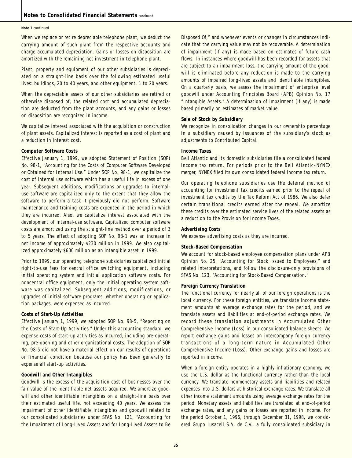#### **Note 1** continued

When we replace or retire depreciable telephone plant, we deduct the carrying amount of such plant from the respective accounts and charge accumulated depreciation. Gains or losses on disposition are amortized with the remaining net investment in telephone plant.

Plant, property and equipment of our other subsidiaries is depreciated on a straight-line basis over the following estimated useful lives: buildings, 20 to 40 years, and other equipment, 1 to 20 years.

When the depreciable assets of our other subsidiaries are retired or otherwise disposed of, the related cost and accumulated depreciation are deducted from the plant accounts, and any gains or losses on disposition are recognized in income.

We capitalize interest associated with the acquisition or construction of plant assets. Capitalized interest is reported as a cost of plant and a reduction in interest cost.

#### **Computer Software Costs**

Effective January 1, 1999, we adopted Statement of Position (SOP) No. 98-1, "Accounting for the Costs of Computer Software Developed or Obtained for Internal Use." Under SOP No. 98-1, we capitalize the cost of internal use software which has a useful life in excess of one year. Subsequent additions, modifications or upgrades to internaluse software are capitalized only to the extent that they allow the software to perform a task it previously did not perform. Software maintenance and training costs are expensed in the period in which they are incurred. Also, we capitalize interest associated with the development of internal-use software. Capitalized computer software costs are amortized using the straight-line method over a period of 3 to 5 years. The effect of adopting SOP No. 98-1 was an increase in net income of approximately \$230 million in 1999. We also capitalized approximately \$600 million as an intangible asset in 1999.

Prior to 1999, our operating telephone subsidiaries capitalized initial right-to-use fees for central office switching equipment, including initial operating system and initial application software costs. For noncentral office equipment, only the initial operating system software was capitalized. Subsequent additions, modifications, or upgrades of initial software programs, whether operating or application packages, were expensed as incurred.

#### **Costs of Start-Up Activities**

Effective January 1, 1999, we adopted SOP No. 98-5, "Reporting on the Costs of Start-Up Activities." Under this accounting standard, we expense costs of start-up activities as incurred, including pre-operating, pre-opening and other organizational costs. The adoption of SOP No. 98-5 did not have a material effect on our results of operations or financial condition because our policy has been generally to expense all start-up activities.

#### **Goodwill and Other Intangibles**

Goodwill is the excess of the acquisition cost of businesses over the fair value of the identifiable net assets acquired. We amortize goodwill and other identifiable intangibles on a straight-line basis over their estimated useful life, not exceeding 40 years. We assess the impairment of other identifiable intangibles and goodwill related to our consolidated subsidiaries under SFAS No. 121, "Accounting for the Impairment of Long-Lived Assets and for Long-Lived Assets to Be

Disposed Of," and whenever events or changes in circumstances indicate that the carrying value may not be recoverable. A determination of impairment (if any) is made based on estimates of future cash flows. In instances where goodwill has been recorded for assets that are subject to an impairment loss, the carrying amount of the goodwill is eliminated before any reduction is made to the carrying amounts of impaired long-lived assets and identifiable intangibles. On a quarterly basis, we assess the impairment of enterprise level goodwill under Accounting Principles Board (APB) Opinion No. 17 "Intangible Assets." A determination of impairment (if any) is made based primarily on estimates of market value.

#### **Sale of Stock by Subsidiary**

We recognize in consolidation changes in our ownership percentage in a subsidiary caused by issuances of the subsidiary's stock as adjustments to Contributed Capital.

#### **Income Taxes**

Bell Atlantic and its domestic subsidiaries file a consolidated federal income tax return. For periods prior to the Bell Atlantic–NYNEX merger, NYNEX filed its own consolidated federal income tax return.

Our operating telephone subsidiaries use the deferral method of accounting for investment tax credits earned prior to the repeal of investment tax credits by the Tax Reform Act of 1986. We also defer certain transitional credits earned after the repeal. We amortize these credits over the estimated service lives of the related assets as a reduction to the Provision for Income Taxes.

#### **Advertising Costs**

We expense advertising costs as they are incurred.

#### **Stock-Based Compensation**

We account for stock-based employee compensation plans under APB Opinion No. 25, "Accounting for Stock Issued to Employees," and related interpretations, and follow the disclosure-only provisions of SFAS No. 123, "Accounting for Stock-Based Compensation."

### **Foreign Currency Translation**

The functional currency for nearly all of our foreign operations is the local currency. For these foreign entities, we translate income statement amounts at average exchange rates for the period, and we translate assets and liabilities at end-of-period exchange rates. We record these translation adjustments in Accumulated Other Comprehensive Income (Loss) in our consolidated balance sheets. We report exchange gains and losses on intercompany foreign currency transactions of a long-term nature in Accumulated Other Comprehensive Income (Loss). Other exchange gains and losses are reported in income.

When a foreign entity operates in a highly inflationary economy, we use the U.S. dollar as the functional currency rather than the local currency. We translate nonmonetary assets and liabilities and related expenses into U.S. dollars at historical exchange rates. We translate all other income statement amounts using average exchange rates for the period. Monetary assets and liabilities are translated at end-of-period exchange rates, and any gains or losses are reported in income. For the period October 1, 1996, through December 31, 1998, we considered Grupo Iusacell S.A. de C.V., a fully consolidated subsidiary in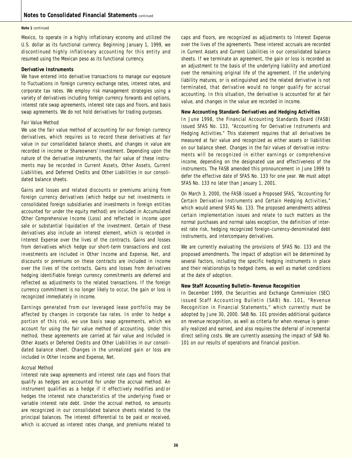#### **Note 1** continued

Mexico, to operate in a highly inflationary economy and utilized the U.S. dollar as its functional currency. Beginning January 1, 1999, we discontinued highly inflationary accounting for this entity and resumed using the Mexican peso as its functional currency.

#### **Derivative Instruments**

We have entered into derivative transactions to manage our exposure to fluctuations in foreign currency exchange rates, interest rates, and corporate tax rates. We employ risk management strategies using a variety of derivatives including foreign currency forwards and options, interest rate swap agreements, interest rate caps and floors, and basis swap agreements. We do not hold derivatives for trading purposes.

#### *Fair Value Method*

We use the fair value method of accounting for our foreign currency derivatives, which requires us to record these derivatives at fair value in our consolidated balance sheets, and changes in value are recorded in income or Shareowners' Investment. Depending upon the nature of the derivative instruments, the fair value of these instruments may be recorded in Current Assets, Other Assets, Current Liabilities, and Deferred Credits and Other Liabilities in our consolidated balance sheets.

Gains and losses and related discounts or premiums arising from foreign currency derivatives (which hedge our net investments in consolidated foreign subsidiaries and investments in foreign entities accounted for under the equity method) are included in Accumulated Other Comprehensive Income (Loss) and reflected in income upon sale or substantial liquidation of the investment. Certain of these derivatives also include an interest element, which is recorded in Interest Expense over the lives of the contracts. Gains and losses from derivatives which hedge our short-term transactions and cost investments are included in Other Income and Expense, Net, and discounts or premiums on these contracts are included in income over the lives of the contracts. Gains and losses from derivatives hedging identifiable foreign currency commitments are deferred and reflected as adjustments to the related transactions. If the foreign currency commitment is no longer likely to occur, the gain or loss is recognized immediately in income.

Earnings generated from our leveraged lease portfolio may be affected by changes in corporate tax rates. In order to hedge a portion of this risk, we use basis swap agreements, which we account for using the fair value method of accounting. Under this method, these agreements are carried at fair value and included in Other Assets or Deferred Credits and Other Liabilities in our consolidated balance sheet. Changes in the unrealized gain or loss are included in Other Income and Expense, Net.

#### *Accrual Method*

Interest rate swap agreements and interest rate caps and floors that qualify as hedges are accounted for under the accrual method. An instrument qualifies as a hedge if it effectively modifies and/or hedges the interest rate characteristics of the underlying fixed or variable interest rate debt. Under the accrual method, no amounts are recognized in our consolidated balance sheets related to the principal balances. The interest differential to be paid or received, which is accrued as interest rates change, and premiums related to caps and floors, are recognized as adjustments to Interest Expense over the lives of the agreements. These interest accruals are recorded in Current Assets and Current Liabilities in our consolidated balance sheets. If we terminate an agreement, the gain or loss is recorded as an adjustment to the basis of the underlying liability and amortized over the remaining original life of the agreement. If the underlying liability matures, or is extinguished and the related derivative is not terminated, that derivative would no longer qualify for accrual accounting. In this situation, the derivative is accounted for at fair value, and changes in the value are recorded in income.

#### **New Accounting Standard–Derivatives and Hedging Activities**

In June 1998, the Financial Accounting Standards Board (FASB) issued SFAS No. 133, "Accounting for Derivative Instruments and Hedging Activities." This statement requires that all derivatives be measured at fair value and recognized as either assets or liabilities on our balance sheet. Changes in the fair values of derivative instruments will be recognized in either earnings or comprehensive income, depending on the designated use and effectiveness of the instruments. The FASB amended this pronouncement in June 1999 to defer the effective date of SFAS No. 133 for one year. We must adopt SFAS No. 133 no later than January 1, 2001.

On March 3, 2000, the FASB issued a Proposed SFAS, "Accounting for Certain Derivative Instruments and Certain Hedging Activities," which would amend SFAS No. 133. The proposed amendments address certain implementation issues and relate to such matters as the normal purchases and normal sales exception, the definition of interest rate risk, hedging recognized foreign-currency-denominated debt instruments, and intercompany derivatives.

We are currently evaluating the provisions of SFAS No. 133 and the proposed amendments. The impact of adoption will be determined by several factors, including the specific hedging instruments in place and their relationships to hedged items, as well as market conditions at the date of adoption.

#### **New Staff Accounting Bulletin–Revenue Recognition**

In December 1999, the Securities and Exchange Commission (SEC) issued Staff Accounting Bulletin (SAB) No. 101, "Revenue Recognition in Financial Statements," which currently must be adopted by June 30, 2000. SAB No. 101 provides additional guidance on revenue recognition, as well as criteria for when revenue is generally realized and earned, and also requires the deferral of incremental direct selling costs. We are currently assessing the impact of SAB No. 101 on our results of operations and financial position.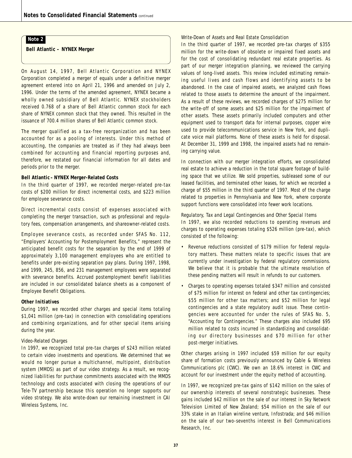**Bell Atlantic – NYNEX Merger**

On August 14, 1997, Bell Atlantic Corporation and NYNEX Corporation completed a merger of equals under a definitive merger agreement entered into on April 21, 1996 and amended on July 2, 1996. Under the terms of the amended agreement, NYNEX became a wholly owned subsidiary of Bell Atlantic. NYNEX stockholders received 0.768 of a share of Bell Atlantic common stock for each share of NYNEX common stock that they owned. This resulted in the issuance of 700.4 million shares of Bell Atlantic common stock.

The merger qualified as a tax-free reorganization and has been accounted for as a pooling of interests. Under this method of accounting, the companies are treated as if they had always been combined for accounting and financial reporting purposes and, therefore, we restated our financial information for all dates and periods prior to the merger.

#### **Bell Atlantic –NYNEX Merger-Related Costs**

In the third quarter of 1997, we recorded merger-related pre-tax costs of \$200 million for direct incremental costs, and \$223 million for employee severance costs.

Direct incremental costs consist of expenses associated with completing the merger transaction, such as professional and regulatory fees, compensation arrangements, and shareowner-related costs.

Employee severance costs, as recorded under SFAS No. 112, "Employers' Accounting for Postemployment Benefits," represent the anticipated benefit costs for the separation by the end of 1999 of approximately 3,100 management employees who are entitled to benefits under pre-existing separation pay plans. During 1997, 1998, and 1999, 245, 856, and 231 management employees were separated with severance benefits. Accrued postemployment benefit liabilities are included in our consolidated balance sheets as a component of Employee Benefit Obligations.

#### **Other Initiatives**

During 1997, we recorded other charges and special items totaling \$1,041 million (pre-tax) in connection with consolidating operations and combining organizations, and for other special items arising during the year.

#### *Video-Related Charges*

In 1997, we recognized total pre-tax charges of \$243 million related to certain video investments and operations. We determined that we would no longer pursue a multichannel, multipoint, distribution system (MMDS) as part of our video strategy. As a result, we recognized liabilities for purchase commitments associated with the MMDS technology and costs associated with closing the operations of our Tele-TV partnership because this operation no longer supports our video strategy. We also wrote-down our remaining investment in CAI Wireless Systems, Inc.

#### *Write-Down of Assets and Real Estate Consolidation*

In the third quarter of 1997, we recorded pre-tax charges of \$355 million for the write-down of obsolete or impaired fixed assets and for the cost of consolidating redundant real estate properties. As part of our merger integration planning, we reviewed the carrying values of long-lived assets. This review included estimating remaining useful lives and cash flows and identifying assets to be abandoned. In the case of impaired assets, we analyzed cash flows related to those assets to determine the amount of the impairment. As a result of these reviews, we recorded charges of \$275 million for the write-off of some assets and \$25 million for the impairment of other assets. These assets primarily included computers and other equipment used to transport data for internal purposes, copper wire used to provide telecommunications service in New York, and duplicate voice mail platforms. None of these assets is held for disposal. At December 31, 1999 and 1998, the impaired assets had no remaining carrying value.

In connection with our merger integration efforts, we consolidated real estate to achieve a reduction in the total square footage of building space that we utilize. We sold properties, subleased some of our leased facilities, and terminated other leases, for which we recorded a charge of \$55 million in the third quarter of 1997. Most of the charge related to properties in Pennsylvania and New York, where corporate support functions were consolidated into fewer work locations.

#### *Regulatory, Tax and Legal Contingencies and Other Special Items*

In 1997, we also recorded reductions to operating revenues and charges to operating expenses totaling \$526 million (pre-tax), which consisted of the following:

- Revenue reductions consisted of \$179 million for federal regulatory matters. These matters relate to specific issues that are currently under investigation by federal regulatory commissions. We believe that it is probable that the ultimate resolution of these pending matters will result in refunds to our customers.
- Charges to operating expenses totaled \$347 million and consisted of \$75 million for interest on federal and other tax contingencies; \$55 million for other tax matters; and \$52 million for legal contingencies and a state regulatory audit issue. These contingencies were accounted for under the rules of SFAS No. 5, "Accounting for Contingencies." These charges also included \$95 million related to costs incurred in standardizing and consolidating our directory businesses and \$70 million for other post-merger initiatives.

Other charges arising in 1997 included \$59 million for our equity share of formation costs previously announced by Cable & Wireless Communications plc (CWC). We own an 18.6% interest in CWC and account for our investment under the equity method of accounting.

In 1997, we recognized pre-tax gains of \$142 million on the sales of our ownership interests of several nonstrategic businesses. These gains included \$42 million on the sale of our interest in Sky Network Television Limited of New Zealand; \$54 million on the sale of our 33% stake in an Italian wireline venture, Infostrada; and \$46 million on the sale of our two-sevenths interest in Bell Communications Research, Inc.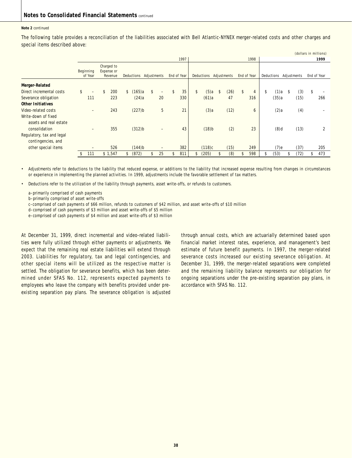#### **Note 2** continued

The following table provides a reconciliation of the liabilities associated with Bell Atlantic-NYNEX merger-related costs and other charges and special items described above:

|                                                 |                          |                                     |               |                      |             |    |             |      |                     |    |             |    |                |    |            |      | (dollars in millions) |             |
|-------------------------------------------------|--------------------------|-------------------------------------|---------------|----------------------|-------------|----|-------------|------|---------------------|----|-------------|----|----------------|----|------------|------|-----------------------|-------------|
|                                                 |                          |                                     |               |                      |             |    | 1997        | 1998 |                     |    |             |    | 1999           |    |            |      |                       |             |
|                                                 | Beginning<br>of Year     | Charged to<br>Expense or<br>Revenue |               | <b>Deductions</b>    | Adjustments |    | End of Year |      | Deductions          |    | Adjustments |    | End of Year    |    | Deductions |      | Adjustments           | End of Year |
| Merger-Related                                  |                          |                                     |               |                      |             |    |             |      |                     |    |             |    |                |    |            |      |                       |             |
| Direct incremental costs                        | \$<br>$\qquad \qquad -$  | \$<br>200                           | $\mathsf{\$}$ | (165)a               | \$<br>-     | \$ | 35          | \$   | (5)a                | \$ | (26)        | \$ | $\overline{4}$ | \$ | (1)a       | - \$ | (3)                   | \$          |
| Severance obligation                            | 111                      | 223                                 |               | (24)a                | 20          |    | 330         |      | (61)a               |    | 47          |    | 316            |    | (35)a      |      | (15)                  | 266         |
| <b>Other Initiatives</b>                        |                          |                                     |               |                      |             |    |             |      |                     |    |             |    |                |    |            |      |                       |             |
| Video-related costs                             | $\overline{\phantom{0}}$ | 243                                 |               | $(227)$ <sub>b</sub> | 5           |    | 21          |      | $(3)$ a             |    | (12)        |    | 6              |    | (2)a       |      | (4)                   |             |
| Write-down of fixed<br>assets and real estate   |                          |                                     |               |                      |             |    |             |      |                     |    |             |    |                |    |            |      |                       |             |
| consolidation                                   | $\qquad \qquad$          | 355                                 |               | (312)b               | -           |    | 43          |      | $(18)$ <sub>b</sub> |    | (2)         |    | 23             |    | $(8)$ d    |      | (13)                  | 2           |
| Regulatory, tax and legal<br>contingencies, and |                          |                                     |               |                      |             |    |             |      |                     |    |             |    |                |    |            |      |                       |             |
| other special items                             | -                        | 526                                 |               | $(144)$ b            | -           |    | 382         |      | (118)c              |    | (15)        |    | 249            |    | (7)e       |      | (37)                  | 205         |
|                                                 | 111                      | \$1,547                             | S.            | (872)                | 25          | \$ | 811         | \$   | (205)               | ፍ  | (8)         | \$ | 598            | \$ | (53)       |      | (72)                  | \$<br>473   |

• Adjustments refer to deductions to the liability that reduced expense, or additions to the liability that increased expense resulting from changes in circumstances or experience in implementing the planned activities. In 1999, adjustments include the favorable settlement of tax matters.

• Deductions refer to the utilization of the liability through payments, asset write-offs, or refunds to customers.

a–primarily comprised of cash payments

b–primarily comprised of asset write-offs

c–comprised of cash payments of \$66 million, refunds to customers of \$42 million, and asset write-offs of \$10 million

d–comprised of cash payments of \$3 million and asset write-offs of \$5 million

e–comprised of cash payments of \$4 million and asset write-offs of \$3 million

At December 31, 1999, direct incremental and video-related liabilities were fully utilized through either payments or adjustments. We expect that the remaining real estate liabilities will extend through 2003. Liabilities for regulatory, tax and legal contingencies, and other special items will be utilized as the respective matter is settled. The obligation for severance benefits, which has been determined under SFAS No. 112, represents expected payments to employees who leave the company with benefits provided under preexisting separation pay plans. The severance obligation is adjusted

through annual costs, which are actuarially determined based upon financial market interest rates, experience, and management's best estimate of future benefit payments. In 1997, the merger-related severance costs increased our existing severance obligation. At December 31, 1999, the merger-related separations were completed and the remaining liability balance represents our obligation for ongoing separations under the pre-existing separation pay plans, in accordance with SFAS No. 112.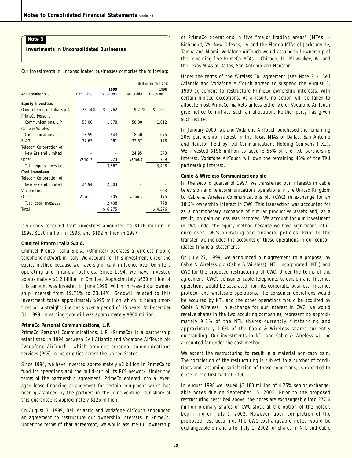### **Investments in Unconsolidated Businesses**

Our investments in unconsolidated businesses comprise the following:

|                               |           |            | (dollars in millions) |            |  |  |  |  |  |
|-------------------------------|-----------|------------|-----------------------|------------|--|--|--|--|--|
|                               |           | 1999       |                       | 1998       |  |  |  |  |  |
| At December 31,               | Ownership | Investment | Ownership             | Investment |  |  |  |  |  |
| <b>Equity Investees</b>       |           |            |                       |            |  |  |  |  |  |
| Omnitel Pronto Italia S.p.A   | 23.14%    | \$1,262    | 19.71%                | \$<br>521  |  |  |  |  |  |
| PrimeCo Personal              |           |            |                       |            |  |  |  |  |  |
| Communications, L.P.          | 50.00     | 1,078      | 50.00                 | 1,012      |  |  |  |  |  |
| Cable & Wireless              |           |            |                       |            |  |  |  |  |  |
| Communications plc            | 18.59     | 643        | 18.50                 | 675        |  |  |  |  |  |
| FI AG                         | 37.67     | 161        | 37.67                 | 178        |  |  |  |  |  |
| <b>Telecom Corporation of</b> |           |            |                       |            |  |  |  |  |  |
| New Zealand Limited           |           |            | 24.95                 | 373        |  |  |  |  |  |
| Other                         | Various   | 723        | Various               | 739        |  |  |  |  |  |
| Total equity investees        |           | 3,867      |                       | 3,498      |  |  |  |  |  |
| Cost Investees                |           |            |                       |            |  |  |  |  |  |
| <b>Telecom Corporation of</b> |           |            |                       |            |  |  |  |  |  |
| New Zealand Limited           | 24.94     | 2,103      |                       |            |  |  |  |  |  |
| Viacom Inc.                   |           |            |                       | 603        |  |  |  |  |  |
| Other                         | Various   | 305        | Various               | 175        |  |  |  |  |  |
| Total cost investees          |           | 2,408      |                       | 778        |  |  |  |  |  |
| Total                         |           | \$6,275    |                       | \$4,276    |  |  |  |  |  |

Dividends received from investees amounted to \$116 million in 1999, \$170 million in 1998, and \$192 million in 1997.

#### **Omnitel Pronto Italia S.p.A.**

Omnitel Pronto Italia S.p.A. (Omnitel) operates a wireless mobile telephone network in Italy. We account for this investment under the equity method because we have significant influence over Omnitel's operating and financial policies. Since 1994, we have invested approximately \$1.2 billion in Omnitel. Approximately \$630 million of this amount was invested in June 1999, which increased our ownership interest from 19.71% to 23.14%. Goodwill related to this investment totals approximately \$995 million which is being amortized on a straight-line basis over a period of 25 years. At December 31, 1999, remaining goodwill was approximately \$900 million.

#### **PrimeCo Personal Communications, L.P.**

PrimeCo Personal Communications, L.P. (PrimeCo) is a partnership established in 1994 between Bell Atlantic and Vodafone AirTouch plc (Vodafone AirTouch), which provides personal communications services (PCS) in major cities across the United States.

Since 1994, we have invested approximately \$2 billion in PrimeCo to fund its operations and the build-out of its PCS network. Under the terms of the partnership agreement, PrimeCo entered into a leveraged lease financing arrangement for certain equipment which has been guaranteed by the partners in the joint venture. Our share of this guarantee is approximately \$126 million.

On August 3, 1999, Bell Atlantic and Vodafone AirTouch announced an agreement to restructure our ownership interests in PrimeCo. Under the terms of that agreement, we would assume full ownership of PrimeCo operations in five "major trading areas" (MTAs) – Richmond, VA, New Orleans, LA and the Florida MTAs of Jacksonville, Tampa and Miami. Vodafone AirTouch would assume full ownership of the remaining five PrimeCo MTAs – Chicago, IL, Milwaukee, WI and the Texas MTAs of Dallas, San Antonio and Houston.

Under the terms of the Wireless Co. agreement (see Note 21), Bell Atlantic and Vodafone AirTouch agreed to suspend the August 3, 1999 agreement to restructure PrimeCo ownership interests, with certain limited exceptions. As a result, no action will be taken to allocate most PrimeCo markets unless either we or Vodafone AirTouch give notice to initiate such an allocation. Neither party has given such notice.

In January 2000, we and Vodafone AirTouch purchased the remaining 20% partnership interest in the Texas MTAs of Dallas, San Antonio and Houston held by TXU Communications Holding Company (TXU). We invested \$196 million to acquire 55% of the TXU partnership interest. Vodafone AirTouch will own the remaining 45% of the TXU partnership interest.

#### **Cable & Wireless Communications plc**

In the second quarter of 1997, we transferred our interests in cable television and telecommunications operations in the United Kingdom to Cable & Wireless Communications plc (CWC) in exchange for an 18.5% ownership interest in CWC. This transaction was accounted for as a nonmonetary exchange of similar productive assets and, as a result, no gain or loss was recorded. We account for our investment in CWC under the equity method because we have significant influence over CWC's operating and financial policies. Prior to the transfer, we included the accounts of these operations in our consolidated financial statements.

On July 27, 1999, we announced our agreement to a proposal by Cable & Wireless plc (Cable & Wireless), NTL Incorporated (NTL) and CWC for the proposed restructuring of CWC. Under the terms of the agreement, CWC's consumer cable telephone, television and Internet operations would be separated from its corporate, business, Internet protocol and wholesale operations. The consumer operations would be acquired by NTL and the other operations would be acquired by Cable & Wireless. In exchange for our interest in CWC, we would receive shares in the two acquiring companies, representing approximately 9.1% of the NTL shares currently outstanding and approximately 4.6% of the Cable & Wireless shares currently outstanding. Our investments in NTL and Cable & Wireless will be accounted for under the cost method.

We expect the restructuring to result in a material non-cash gain. The completion of the restructuring is subject to a number of conditions and, assuming satisfaction of those conditions, is expected to close in the first half of 2000.

In August 1998 we issued \$3,180 million of 4.25% senior exchangeable notes due on September 15, 2005. Prior to the proposed restructuring described above, the notes are exchangeable into 277.6 million ordinary shares of CWC stock at the option of the holder, beginning on July 1, 2002. However, upon completion of the proposed restructuring, the CWC exchangeable notes would be exchangeable on and after July 1, 2002 for shares in NTL and Cable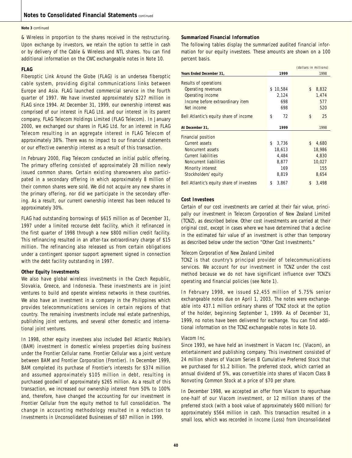#### **Note 3** continued

& Wireless in proportion to the shares received in the restructuring. Upon exchange by investors, we retain the option to settle in cash or by delivery of the Cable & Wireless and NTL shares. You can find additional information on the CWC exchangeable notes in Note 10.

#### **FLAG**

Fiberoptic Link Around the Globe (FLAG) is an undersea fiberoptic cable system, providing digital communications links between Europe and Asia. FLAG launched commercial service in the fourth quarter of 1997. We have invested approximately \$227 million in FLAG since 1994. At December 31, 1999, our ownership interest was comprised of our interest in FLAG Ltd. and our interest in its parent company, FLAG Telecom Holdings Limited (FLAG Telecom). In January 2000, we exchanged our shares in FLAG Ltd. for an interest in FLAG Telecom resulting in an aggregate interest in FLAG Telecom of approximately 38%. There was no impact to our financial statements or our effective ownership interest as a result of this transaction.

In February 2000, Flag Telecom conducted an initial public offering. The primary offering consisted of approximately 28 million newly issued common shares. Certain existing shareowners also participated in a secondary offering in which approximately 8 million of their common shares were sold. We did not acquire any new shares in the primary offering, nor did we participate in the secondary offering. As a result, our current ownership interest has been reduced to approximately 30%.

FLAG had outstanding borrowings of \$615 million as of December 31, 1997 under a limited recourse debt facility, which it refinanced in the first quarter of 1998 through a new \$800 million credit facility. This refinancing resulted in an after-tax extraordinary charge of \$15 million. The refinancing also released us from certain obligations under a contingent sponsor support agreement signed in connection with the debt facility outstanding in 1997.

#### **Other Equity Investments**

We also have global wireless investments in the Czech Republic, Slovakia, Greece, and Indonesia. These investments are in joint ventures to build and operate wireless networks in these countries. We also have an investment in a company in the Philippines which provides telecommunications services in certain regions of that country. The remaining investments include real estate partnerships, publishing joint ventures, and several other domestic and international joint ventures.

In 1998, other equity investees also included Bell Atlantic Mobile's (BAM) investment in domestic wireless properties doing business under the Frontier Cellular name. Frontier Cellular was a joint venture between BAM and Frontier Corporation (Frontier). In December 1999, BAM completed its purchase of Frontier's interests for \$374 million and assumed approximately \$105 million in debt, resulting in purchased goodwill of approximately \$265 million. As a result of this transaction, we increased our ownership interest from 50% to 100% and, therefore, have changed the accounting for our investment in Frontier Cellular from the equity method to full consolidation. The change in accounting methodology resulted in a reduction to Investments in Unconsolidated Businesses of \$87 million in 1999.

#### **Summarized Financial Information**

The following tables display the summarized audited financial information for our equity investees. These amounts are shown on a 100 percent basis.

|                                           |              | (dollars in millions) |
|-------------------------------------------|--------------|-----------------------|
| Years Ended December 31,                  | 1999         | 1998                  |
| Results of operations                     |              |                       |
| Operating revenues                        | 10,584<br>\$ | \$<br>8,832           |
| Operating income                          | 2,124        | 1,474                 |
| Income before extraordinary item          | 698          | 577                   |
| Net income                                | 698          | 520                   |
| Bell Atlantic's equity share of income    | \$<br>72     | \$<br>25              |
| At December 31,                           | 1999         | 1998                  |
| <b>Financial position</b>                 |              |                       |
| Current assets                            | \$<br>3,736  | \$<br>4,680           |
| Noncurrent assets                         | 18,613       | 18,986                |
| <b>Current liabilities</b>                | 4,484        | 4,830                 |
| Noncurrent liabilities                    | 8,877        | 10,027                |
| Minority interest                         | 169          | 155                   |
| Stockholders' equity                      | 8,819        | 8,654                 |
| Bell Atlantic's equity share of investees | 3,867<br>\$  | \$<br>3,498           |

#### **Cost Investees**

Certain of our cost investments are carried at their fair value, principally our investment in Telecom Corporation of New Zealand Limited (TCNZ), as described below. Other cost investments are carried at their original cost, except in cases where we have determined that a decline in the estimated fair value of an investment is other than temporary as described below under the section "Other Cost Investments."

#### *Telecom Corporation of New Zealand Limited*

TCNZ is that country's principal provider of telecommunications services. We account for our investment in TCNZ under the cost method because we do not have significant influence over TCNZ's operating and financial policies (see Note 1).

In February 1998, we issued \$2,455 million of 5.75% senior exchangeable notes due on April 1, 2003. The notes were exchangeable into 437.1 million ordinary shares of TCNZ stock at the option of the holder, beginning September 1, 1999. As of December 31, 1999, no notes have been delivered for exchange. You can find additional information on the TCNZ exchangeable notes in Note 10.

#### *Viacom Inc.*

Since 1993, we have held an investment in Viacom Inc. (Viacom), an entertainment and publishing company. This investment consisted of 24 million shares of Viacom Series B Cumulative Preferred Stock that we purchased for \$1.2 billion. The preferred stock, which carried an annual dividend of 5%, was convertible into shares of Viacom Class B Nonvoting Common Stock at a price of \$70 per share.

In December 1998, we accepted an offer from Viacom to repurchase one-half of our Viacom investment, or 12 million shares of the preferred stock (with a book value of approximately \$600 million) for approximately \$564 million in cash. This transaction resulted in a small loss, which was recorded in Income (Loss) from Unconsolidated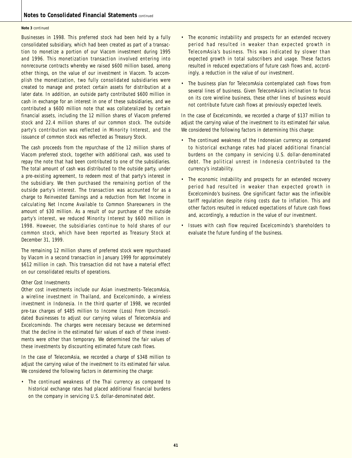#### **Note 3** continued

Businesses in 1998. This preferred stock had been held by a fully consolidated subsidiary, which had been created as part of a transaction to monetize a portion of our Viacom investment during 1995 and 1996. This monetization transaction involved entering into nonrecourse contracts whereby we raised \$600 million based, among other things, on the value of our investment in Viacom. To accomplish the monetization, two fully consolidated subsidiaries were created to manage and protect certain assets for distribution at a later date. In addition, an outside party contributed \$600 million in cash in exchange for an interest in one of these subsidiaries, and we contributed a \$600 million note that was collateralized by certain financial assets, including the 12 million shares of Viacom preferred stock and 22.4 million shares of our common stock. The outside party's contribution was reflected in Minority Interest, and the issuance of common stock was reflected as Treasury Stock.

The cash proceeds from the repurchase of the 12 million shares of Viacom preferred stock, together with additional cash, was used to repay the note that had been contributed to one of the subsidiaries. The total amount of cash was distributed to the outside party, under a pre-existing agreement, to redeem most of that party's interest in the subsidiary. We then purchased the remaining portion of the outside party's interest. The transaction was accounted for as a charge to Reinvested Earnings and a reduction from Net Income in calculating Net Income Available to Common Shareowners in the amount of \$30 million. As a result of our purchase of the outside party's interest, we reduced Minority Interest by \$600 million in 1998. However, the subsidiaries continue to hold shares of our common stock, which have been reported as Treasury Stock at December 31, 1999.

The remaining 12 million shares of preferred stock were repurchased by Viacom in a second transaction in January 1999 for approximately \$612 million in cash. This transaction did not have a material effect on our consolidated results of operations.

#### *Other Cost Investments*

Other cost investments include our Asian investments–TelecomAsia, a wireline investment in Thailand, and Excelcomindo, a wireless investment in Indonesia. In the third quarter of 1998, we recorded pre-tax charges of \$485 million to Income (Loss) From Unconsolidated Businesses to adjust our carrying values of TelecomAsia and Excelcomindo. The charges were necessary because we determined that the decline in the estimated fair values of each of these investments were other than temporary. We determined the fair values of these investments by discounting estimated future cash flows.

In the case of TelecomAsia, we recorded a charge of \$348 million to adjust the carrying value of the investment to its estimated fair value. We considered the following factors in determining the charge:

• The continued weakness of the Thai currency as compared to historical exchange rates had placed additional financial burdens on the company in servicing U.S. dollar-denominated debt.

- The economic instability and prospects for an extended recovery period had resulted in weaker than expected growth in TelecomAsia's business. This was indicated by slower than expected growth in total subscribers and usage. These factors resulted in reduced expectations of future cash flows and, accordingly, a reduction in the value of our investment.
- The business plan for TelecomAsia contemplated cash flows from several lines of business. Given TelecomAsia's inclination to focus on its core wireline business, these other lines of business would not contribute future cash flows at previously expected levels.

In the case of Excelcomindo, we recorded a charge of \$137 million to adjust the carrying value of the investment to its estimated fair value. We considered the following factors in determining this charge:

- The continued weakness of the Indonesian currency as compared to historical exchange rates had placed additional financial burdens on the company in servicing U.S. dollar-denominated debt. The political unrest in Indonesia contributed to the currency's instability.
- The economic instability and prospects for an extended recovery period had resulted in weaker than expected growth in Excelcomindo's business. One significant factor was the inflexible tariff regulation despite rising costs due to inflation. This and other factors resulted in reduced expectations of future cash flows and, accordingly, a reduction in the value of our investment.
- Issues with cash flow required Excelcomindo's shareholders to evaluate the future funding of the business.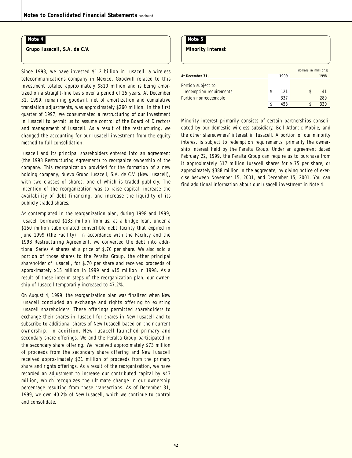**Grupo Iusacell, S.A. de C.V.**

Since 1993, we have invested \$1.2 billion in Iusacell, a wireless telecommunications company in Mexico. Goodwill related to this investment totaled approximately \$810 million and is being amortized on a straight-line basis over a period of 25 years. At December 31, 1999, remaining goodwill, net of amortization and cumulative translation adjustments, was approximately \$260 million. In the first quarter of 1997, we consummated a restructuring of our investment in Iusacell to permit us to assume control of the Board of Directors and management of Iusacell. As a result of the restructuring, we changed the accounting for our Iusacell investment from the equity method to full consolidation.

Iusacell and its principal shareholders entered into an agreement (the 1998 Restructuring Agreement) to reorganize ownership of the company. This reorganization provided for the formation of a new holding company, Nuevo Grupo Iusacell, S.A. de C.V. (New Iusacell), with two classes of shares, one of which is traded publicly. The intention of the reorganization was to raise capital, increase the availability of debt financing, and increase the liquidity of its publicly traded shares.

As contemplated in the reorganization plan, during 1998 and 1999, Iusacell borrowed \$133 million from us, as a bridge loan, under a \$150 million subordinated convertible debt facility that expired in June 1999 (the Facility). In accordance with the Facility and the 1998 Restructuring Agreement, we converted the debt into additional Series A shares at a price of \$.70 per share. We also sold a portion of those shares to the Peralta Group, the other principal shareholder of Iusacell, for \$.70 per share and received proceeds of approximately \$15 million in 1999 and \$15 million in 1998. As a result of these interim steps of the reorganization plan, our ownership of Iusacell temporarily increased to 47.2%.

On August 4, 1999, the reorganization plan was finalized when New Iusacell concluded an exchange and rights offering to existing Iusacell shareholders. These offerings permitted shareholders to exchange their shares in Iusacell for shares in New Iusacell and to subscribe to additional shares of New Iusacell based on their current ownership. In addition, New Iusacell launched primary and secondary share offerings. We and the Peralta Group participated in the secondary share offering. We received approximately \$73 million of proceeds from the secondary share offering and New Iusacell received approximately \$31 million of proceeds from the primary share and rights offerings. As a result of the reorganization, we have recorded an adjustment to increase our contributed capital by \$43 million, which recognizes the ultimate change in our ownership percentage resulting from these transactions. As of December 31, 1999, we own 40.2% of New Iusacell, which we continue to control and consolidate.

#### **Note 5**

**Minority Interest**

|                         |   |      | (dollars in millions) |      |
|-------------------------|---|------|-----------------------|------|
| At December 31,         |   | 1999 |                       | 1998 |
| Portion subject to      |   |      |                       |      |
| redemption requirements | S | 121  |                       | 41   |
| Portion nonredeemable   |   | 337  |                       | 289  |
|                         |   | 458  |                       | 330  |

Minority interest primarily consists of certain partnerships consolidated by our domestic wireless subsidiary, Bell Atlantic Mobile, and the other shareowners' interest in Iusacell. A portion of our minority interest is subject to redemption requirements, primarily the ownership interest held by the Peralta Group. Under an agreement dated February 22, 1999, the Peralta Group can require us to purchase from it approximately 517 million Iusacell shares for \$.75 per share, or approximately \$388 million in the aggregate, by giving notice of exercise between November 15, 2001, and December 15, 2001. You can find additional information about our Iusacell investment in Note 4.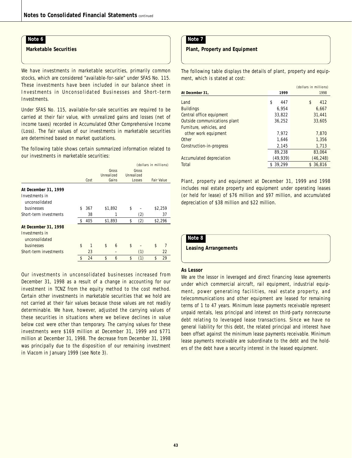**Marketable Securities**

We have investments in marketable securities, primarily common stocks, which are considered "available-for-sale" under SFAS No. 115. These investments have been included in our balance sheet in Investments in Unconsolidated Businesses and Short-term Investments.

Under SFAS No. 115, available-for-sale securities are required to be carried at their fair value, with unrealized gains and losses (net of income taxes) recorded in Accumulated Other Comprehensive Income (Loss). The fair values of our investments in marketable securities are determined based on market quotations.

The following table shows certain summarized information related to our investments in marketable securities:

|                                                          |           |            | (dollars in millions) |        |                   |    |  |  |
|----------------------------------------------------------|-----------|------------|-----------------------|--------|-------------------|----|--|--|
|                                                          |           | Gross      |                       | Gross  |                   |    |  |  |
|                                                          |           | Unrealized | Unrealized            |        |                   |    |  |  |
|                                                          | Cost      | Gains      |                       | Losses | <b>Fair Value</b> |    |  |  |
| At December 31, 1999<br>Investments in<br>unconsolidated |           |            |                       |        |                   |    |  |  |
| businesses                                               | \$<br>367 | \$1,892    | \$                    |        | \$2,259           |    |  |  |
| Short-term investments                                   | 38        |            |                       | (2)    |                   | 37 |  |  |
|                                                          | \$<br>405 | \$1,893    | \$                    | (2)    | \$2,296           |    |  |  |
| At December 31, 1998                                     |           |            |                       |        |                   |    |  |  |
| Investments in<br>unconsolidated                         |           |            |                       |        |                   |    |  |  |
| businesses                                               | \$<br>1   | \$<br>6    | \$                    |        | \$                |    |  |  |
| Short-term investments                                   | 23        |            |                       | (1)    |                   | 22 |  |  |
|                                                          | \$<br>24  | \$<br>6    | \$                    | (1)    | \$                | 29 |  |  |
|                                                          |           |            |                       |        |                   |    |  |  |

Our investments in unconsolidated businesses increased from December 31, 1998 as a result of a change in accounting for our investment in TCNZ from the equity method to the cost method. Certain other investments in marketable securities that we hold are not carried at their fair values because those values are not readily determinable. We have, however, adjusted the carrying values of these securities in situations where we believe declines in value below cost were other than temporary. The carrying values for these investments were \$169 million at December 31, 1999 and \$771 million at December 31, 1998. The decrease from December 31, 1998 was principally due to the disposition of our remaining investment in Viacom in January 1999 (see Note 3).

### **Note 7**

**Plant, Property and Equipment**

The following table displays the details of plant, property and equipment, which is stated at cost:

|                              |              | (dollars in millions) |
|------------------------------|--------------|-----------------------|
| At December 31,              | 1999         | 1998                  |
| Land                         | \$<br>447    | \$<br>412             |
| <b>Buildings</b>             | 6.954        | 6,667                 |
| Central office equipment     | 33,822       | 31.441                |
| Outside communications plant | 36.252       | 33.605                |
| Furniture, vehicles, and     |              |                       |
| other work equipment         | 7.972        | 7,870                 |
| Other                        | 1.646        | 1,356                 |
| Construction-in-progress     | 2,145        | 1,713                 |
|                              | 89,238       | 83,064                |
| Accumulated depreciation     | (49, 939)    | (46, 248)             |
| Total                        | 39.299<br>\$ | \$36.816              |

Plant, property and equipment at December 31, 1999 and 1998 includes real estate property and equipment under operating leases (or held for lease) of \$76 million and \$97 million, and accumulated depreciation of \$38 million and \$22 million.

### **Note 8**

**Leasing Arrangements**

#### **As Lessor**

We are the lessor in leveraged and direct financing lease agreements under which commercial aircraft, rail equipment, industrial equipment, power generating facilities, real estate property, and telecommunications and other equipment are leased for remaining terms of 1 to 47 years. Minimum lease payments receivable represent unpaid rentals, less principal and interest on third-party nonrecourse debt relating to leveraged lease transactions. Since we have no general liability for this debt, the related principal and interest have been offset against the minimum lease payments receivable. Minimum lease payments receivable are subordinate to the debt and the holders of the debt have a security interest in the leased equipment.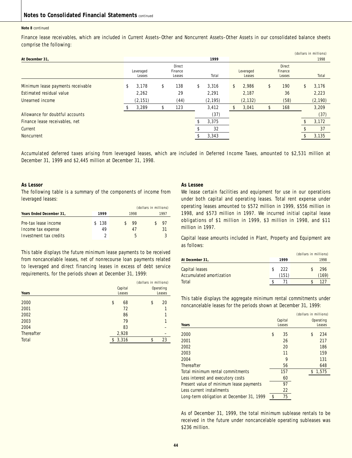#### **Note 8** continued

Finance lease receivables, which are included in Current Assets–Other and Noncurrent Assets–Other Assets in our consolidated balance sheets comprise the following:

|                                   |             |           |             |             |               | (dollars in millions) |
|-----------------------------------|-------------|-----------|-------------|-------------|---------------|-----------------------|
| At December 31,                   |             |           | 1999        |             |               | 1998                  |
|                                   |             | Direct    |             |             | <b>Direct</b> |                       |
|                                   | Leveraged   | Finance   |             | Leveraged   | Finance       |                       |
|                                   | Leases      | Leases    | Total       | Leases      | Leases        | Total                 |
| Minimum lease payments receivable | \$<br>3,178 | \$<br>138 | \$<br>3,316 | \$<br>2,986 | \$<br>190     | \$<br>3,176           |
| Estimated residual value          | 2,262       | 29        | 2,291       | 2,187       | 36            | 2,223                 |
| Unearned income                   | (2, 151)    | (44)      | (2, 195)    | (2, 132)    | (58)          | (2, 190)              |
|                                   | 3,289       | \$<br>123 | 3,412       | 3,041       | 168           | 3,209                 |
| Allowance for doubtful accounts   |             |           | (37)        |             |               | (37)                  |
| Finance lease receivables, net    |             |           | 3,375       |             |               | 3,172                 |
| Current                           |             |           | 32          |             |               | 37                    |
| Noncurrent                        |             |           | 3,343       |             |               | 3,135                 |
|                                   |             |           |             |             |               |                       |

Accumulated deferred taxes arising from leveraged leases, which are included in Deferred Income Taxes, amounted to \$2,531 million at December 31, 1999 and \$2,445 million at December 31, 1998.

#### **As Lessor**

The following table is a summary of the components of income from leveraged leases:

|                                            |             | (dollars in millions) |          |  |  |
|--------------------------------------------|-------------|-----------------------|----------|--|--|
| Years Ended December 31,                   | 1999        | 1998                  | 1997     |  |  |
| Pre-tax lease income<br>Income tax expense | \$138<br>49 | 99<br>47              | 97<br>31 |  |  |
| Investment tax credits                     |             | h                     |          |  |  |

This table displays the future minimum lease payments to be received from noncancelable leases, net of nonrecourse loan payments related to leveraged and direct financing leases in excess of debt service requirements, for the periods shown at December 31, 1999:

|            |             | (dollars in millions) |           |  |  |
|------------|-------------|-----------------------|-----------|--|--|
|            | Capital     |                       | Operating |  |  |
| Years      | Leases      |                       | Leases    |  |  |
| 2000       | \$<br>68    | \$                    | 20        |  |  |
| 2001       | 72          |                       | 1         |  |  |
| 2002       | 86          |                       | 1         |  |  |
| 2003       | 79          |                       | 1         |  |  |
| 2004       | 83          |                       |           |  |  |
| Thereafter | 2,928       |                       |           |  |  |
| Total      | \$<br>3,316 | \$                    | 23        |  |  |

#### **As Lessee**

We lease certain facilities and equipment for use in our operations under both capital and operating leases. Total rent expense under operating leases amounted to \$572 million in 1999, \$556 million in 1998, and \$573 million in 1997. We incurred initial capital lease obligations of \$1 million in 1999, \$3 million in 1998, and \$11 million in 1997.

Capital lease amounts included in Plant, Property and Equipment are as follows:

|                                            |              | (dollars in millions) |              |
|--------------------------------------------|--------------|-----------------------|--------------|
| At December 31,                            | 1999         |                       | 1998         |
| Capital leases<br>Accumulated amortization | 222<br>(151) |                       | 296<br>(169) |
| Total                                      |              |                       | 127          |

This table displays the aggregate minimum rental commitments under noncancelable leases for the periods shown at December 31, 1999:

|                                           |          | (dollars in millions) |           |
|-------------------------------------------|----------|-----------------------|-----------|
|                                           | Capital  |                       | Operating |
| Years                                     | Leases   |                       | Leases    |
| 2000                                      | \$<br>35 | \$                    | 234       |
| 2001                                      | 26       |                       | 217       |
| 2002                                      | 20       |                       | 186       |
| 2003                                      | 11       |                       | 159       |
| 2004                                      | 9        |                       | 131       |
| Thereafter                                | 56       |                       | 648       |
| Total minimum rental commitments          | 157      |                       | 1,575     |
| Less interest and executory costs         | 60       |                       |           |
| Present value of minimum lease payments   | 97       |                       |           |
| Less current installments                 | 22       |                       |           |
| Long-term obligation at December 31, 1999 | \$<br>75 |                       |           |

As of December 31, 1999, the total minimum sublease rentals to be received in the future under noncancelable operating subleases was \$236 million.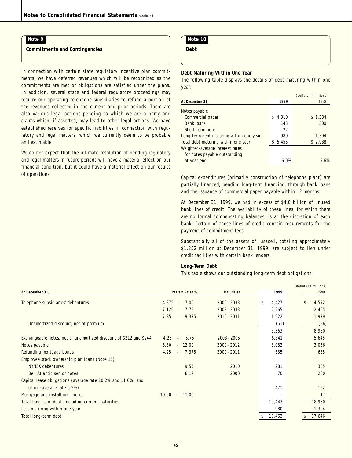**Commitments and Contingencies**

In connection with certain state regulatory incentive plan commitments, we have deferred revenues which will be recognized as the commitments are met or obligations are satisfied under the plans. In addition, several state and federal regulatory proceedings may require our operating telephone subsidiaries to refund a portion of the revenues collected in the current and prior periods. There are also various legal actions pending to which we are a party and claims which, if asserted, may lead to other legal actions. We have established reserves for specific liabilities in connection with regulatory and legal matters, which we currently deem to be probable and estimable.

We do not expect that the ultimate resolution of pending regulatory and legal matters in future periods will have a material effect on our financial condition, but it could have a material effect on our results of operations.

### **Note 10**

**Debt**

#### **Debt Maturing Within One Year**

The following table displays the details of debt maturing within one year:

|                                         |         | (dollars in millions) |
|-----------------------------------------|---------|-----------------------|
| At December 31.                         | 1999    | 1998                  |
| Notes payable                           |         |                       |
| Commercial paper                        | \$4.310 | \$1,384               |
| <b>Bank loans</b>                       | 143     | 300                   |
| Short-term note                         | 22      |                       |
| Long-term debt maturing within one year | 980     | 1,304                 |
| Total debt maturing within one year     | \$5,455 | \$2,988               |
| Weighted-average interest rates         |         |                       |
| for notes payable outstanding           |         |                       |
| at year-end                             | 6.0%    | 5.6%                  |

Capital expenditures (primarily construction of telephone plant) are partially financed, pending long-term financing, through bank loans and the issuance of commercial paper payable within 12 months.

At December 31, 1999, we had in excess of \$4.0 billion of unused bank lines of credit. The availability of these lines, for which there are no formal compensating balances, is at the discretion of each bank. Certain of these lines of credit contain requirements for the payment of commitment fees.

Substantially all of the assets of Iusacell, totaling approximately \$1,252 million at December 31, 1999, are subject to lien under credit facilities with certain bank lenders.

#### **Long-Term Debt**

This table shows our outstanding long-term debt obligations:

|                           |               |              | (dollars in millions) |
|---------------------------|---------------|--------------|-----------------------|
| Interest Rates %          | Maturities    | 1999         | 1998                  |
| 4.375<br>7.00<br>$\equiv$ | $2000 - 2033$ | \$<br>4,427  | \$<br>4,572           |
| 7.125<br>7.75<br>$\sim$   | $2002 - 2033$ | 2,265        | 2,465                 |
| 7.85<br>$-9.375$          | $2010 - 2031$ | 1,922        | 1,979                 |
|                           |               | (51)         | (56)                  |
|                           |               | 8,563        | 8,960                 |
| 4.25<br>5.75<br>$\equiv$  | $2003 - 2005$ | 6,341        | 5,645                 |
| $-12.00$<br>5.30          | $2000 - 2012$ | 3,082        | 3,036                 |
| 4.25<br>7.375<br>$\sim$   | $2000 - 2011$ | 635          | 635                   |
|                           |               |              |                       |
| 9.55                      | 2010          | 281          | 305                   |
| 8.17                      | 2000          | 70           | 200                   |
|                           |               |              |                       |
|                           |               | 471          | 152                   |
| $10.50 - 11.00$           |               |              | 17                    |
|                           |               | 19,443       | 18,950                |
|                           |               | 980          | 1,304                 |
|                           |               | 18,463<br>\$ | 17,646<br>\$          |
|                           |               |              |                       |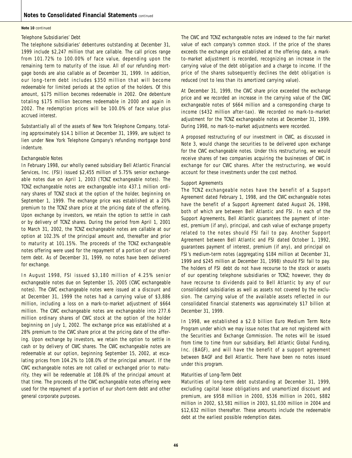#### **Note 10** continued

#### *Telephone Subsidiaries' Debt*

The telephone subsidiaries' debentures outstanding at December 31, 1999 include \$2,247 million that are callable. The call prices range from 101.72% to 100.00% of face value, depending upon the remaining term to maturity of the issue. All of our refunding mortgage bonds are also callable as of December 31, 1999. In addition, our long-term debt includes \$350 million that will become redeemable for limited periods at the option of the holders. Of this amount, \$175 million becomes redeemable in 2002. One debenture totaling \$175 million becomes redeemable in 2000 and again in 2002. The redemption prices will be 100.0% of face value plus accrued interest.

Substantially all of the assets of New York Telephone Company, totaling approximately \$14.1 billion at December 31, 1999, are subject to lien under New York Telephone Company's refunding mortgage bond indenture.

#### *Exchangeable Notes*

In February 1998, our wholly owned subsidiary Bell Atlantic Financial Services, Inc. (FSI) issued \$2,455 million of 5.75% senior exchangeable notes due on April 1, 2003 (TCNZ exchangeable notes). The TCNZ exchangeable notes are exchangeable into 437.1 million ordinary shares of TCNZ stock at the option of the holder, beginning on September 1, 1999. The exchange price was established at a 20% premium to the TCNZ share price at the pricing date of the offering. Upon exchange by investors, we retain the option to settle in cash or by delivery of TCNZ shares. During the period from April 1, 2001 to March 31, 2002, the TCNZ exchangeable notes are callable at our option at 102.3% of the principal amount and, thereafter and prior to maturity at 101.15%. The proceeds of the TCNZ exchangeable notes offering were used for the repayment of a portion of our shortterm debt. As of December 31, 1999, no notes have been delivered for exchange.

In August 1998, FSI issued \$3,180 million of 4.25% senior exchangeable notes due on September 15, 2005 (CWC exchangeable notes). The CWC exchangeable notes were issued at a discount and at December 31, 1999 the notes had a carrying value of \$3,886 million, including a loss on a mark-to-market adjustment of \$664 million. The CWC exchangeable notes are exchangeable into 277.6 million ordinary shares of CWC stock at the option of the holder beginning on July 1, 2002. The exchange price was established at a 28% premium to the CWC share price at the pricing date of the offering. Upon exchange by investors, we retain the option to settle in cash or by delivery of CWC shares. The CWC exchangeable notes are redeemable at our option, beginning September 15, 2002, at escalating prices from 104.2% to 108.0% of the principal amount. If the CWC exchangeable notes are not called or exchanged prior to maturity, they will be redeemable at 108.0% of the principal amount at that time. The proceeds of the CWC exchangeable notes offering were used for the repayment of a portion of our short-term debt and other general corporate purposes.

The CWC and TCNZ exchangeable notes are indexed to the fair market value of each company's common stock. If the price of the shares exceeds the exchange price established at the offering date, a markto-market adjustment is recorded, recognizing an increase in the carrying value of the debt obligation and a charge to income. If the price of the shares subsequently declines the debt obligation is reduced (not to less than its amortized carrying value).

At December 31, 1999, the CWC share price exceeded the exchange price and we recorded an increase in the carrying value of the CWC exchangeable notes of \$664 million and a corresponding charge to income (\$432 million after-tax). We recorded no mark-to-market adjustment for the TCNZ exchangeable notes at December 31, 1999. During 1998, no mark-to-market adjustments were recorded.

A proposed restructuring of our investment in CWC, as discussed in Note 3, would change the securities to be delivered upon exchange for the CWC exchangeable notes. Under this restructuring, we would receive shares of two companies acquiring the businesses of CWC in exchange for our CWC shares. After the restructuring, we would account for these investments under the cost method.

#### *Support Agreements*

The TCNZ exchangeable notes have the benefit of a Support Agreement dated February 1, 1998, and the CWC exchangeable notes have the benefit of a Support Agreement dated August 26, 1998, both of which are between Bell Atlantic and FSI. In each of the Support Agreements, Bell Atlantic guarantees the payment of interest, premium (if any), principal, and cash value of exchange property related to the notes should FSI fail to pay. Another Support Agreement between Bell Atlantic and FSI dated October 1, 1992, guarantees payment of interest, premium (if any), and principal on FSI's medium-term notes (aggregating \$184 million at December 31, 1999 and \$245 million at December 31, 1998) should FSI fail to pay. The holders of FSI debt do not have recourse to the stock or assets of our operating telephone subsidiaries or TCNZ; however, they do have recourse to dividends paid to Bell Atlantic by any of our consolidated subsidiaries as well as assets not covered by the exclusion. The carrying value of the available assets reflected in our consolidated financial statements was approximately \$17 billion at December 31, 1999.

In 1998, we established a \$2.0 billion Euro Medium Term Note Program under which we may issue notes that are not registered with the Securities and Exchange Commission. The notes will be issued from time to time from our subsidiary, Bell Atlantic Global Funding, Inc. (BAGF), and will have the benefit of a support agreement between BAGF and Bell Atlantic. There have been no notes issued under this program.

#### *Maturities of Long-Term Debt*

Maturities of long-term debt outstanding at December 31, 1999, excluding capital lease obligations and unamortized discount and premium, are \$958 million in 2000, \$536 million in 2001, \$882 million in 2002, \$3,581 million in 2003, \$1,030 million in 2004 and \$12,632 million thereafter. These amounts include the redeemable debt at the earliest possible redemption dates.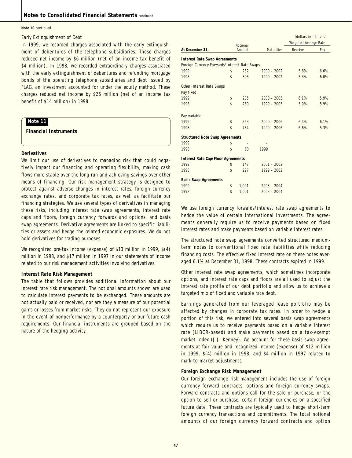#### **Note 10** continued

#### *Early Extinguishment of Debt*

In 1999, we recorded charges associated with the early extinguishment of debentures of the telephone subsidiaries. These charges reduced net income by \$6 million (net of an income tax benefit of \$4 million). In 1998, we recorded extraordinary charges associated with the early extinguishment of debentures and refunding mortgage bonds of the operating telephone subsidiaries and debt issued by FLAG, an investment accounted for under the equity method. These charges reduced net income by \$26 million (net of an income tax benefit of \$14 million) in 1998.

### **Note 11**

**Financial Instruments**

### **Derivatives**

We limit our use of derivatives to managing risk that could negatively impact our financing and operating flexibility, making cash flows more stable over the long run and achieving savings over other means of financing. Our risk management strategy is designed to protect against adverse changes in interest rates, foreign currency exchange rates, and corporate tax rates, as well as facilitate our financing strategies. We use several types of derivatives in managing these risks, including interest rate swap agreements, interest rate caps and floors, foreign currency forwards and options, and basis swap agreements. Derivative agreements are linked to specific liabilities or assets and hedge the related economic exposures. We do not hold derivatives for trading purposes.

We recognized pre-tax income (expense) of \$13 million in 1999, \$(4) million in 1998, and \$17 million in 1997 in our statements of income related to our risk management activities involving derivatives.

#### **Interest Rate Risk Management**

The table that follows provides additional information about our interest rate risk management. The notional amounts shown are used to calculate interest payments to be exchanged. These amounts are not actually paid or received, nor are they a measure of our potential gains or losses from market risks. They do not represent our exposure in the event of nonperformance by a counterparty or our future cash requirements. Our financial instruments are grouped based on the nature of the hedging activity.

|                                               | Notional    |                   | (dollars in millions)<br>Weighted-Average Rate |      |
|-----------------------------------------------|-------------|-------------------|------------------------------------------------|------|
| At December 31,                               | Amount      | <b>Maturities</b> | Receive                                        | Pay  |
| <b>Interest Rate Swap Agreements</b>          |             |                   |                                                |      |
| Foreign Currency Forwards/Interest Rate Swaps |             |                   |                                                |      |
| 1999                                          | \$<br>232   | $2000 - 2002$     | 5.8%                                           | 6.6% |
| 1998                                          | \$<br>303   | $1999 - 2002$     | 5.3%                                           | 6.0% |
| Other Interest Rate Swaps                     |             |                   |                                                |      |
| Pay fixed                                     |             |                   |                                                |      |
| 1999                                          | \$<br>285   | $2000 - 2005$     | 6.1%                                           | 5.9% |
| 1998                                          | \$<br>260   | $1999 - 2005$     | 5.0%                                           | 5.9% |
| Pay variable                                  |             |                   |                                                |      |
| 1999                                          | \$<br>553   | $2000 - 2006$     | 6.4%                                           | 6.1% |
| 1998                                          | \$<br>784   | $1999 - 2006$     | 6.6%                                           | 5.3% |
| <b>Structured Note Swap Agreements</b>        |             |                   |                                                |      |
| 1999                                          | \$          |                   |                                                |      |
| 1998                                          | \$<br>60    | 1999              |                                                |      |
| <b>Interest Rate Cap/Floor Agreements</b>     |             |                   |                                                |      |
| 1999                                          | \$<br>147   | $2001 - 2002$     |                                                |      |
| 1998                                          | \$<br>297   | $1999 - 2002$     |                                                |      |
| <b>Basis Swap Agreements</b>                  |             |                   |                                                |      |
| 1999                                          | \$<br>1,001 | $2003 - 2004$     |                                                |      |
| 1998                                          | \$<br>1.001 | $2003 - 2004$     |                                                |      |

We use foreign currency forwards/interest rate swap agreements to hedge the value of certain international investments. The agreements generally require us to receive payments based on fixed interest rates and make payments based on variable interest rates.

The structured note swap agreements converted structured mediumterm notes to conventional fixed rate liabilities while reducing financing costs. The effective fixed interest rate on these notes averaged 6.1% at December 31, 1998. These contracts expired in 1999.

Other interest rate swap agreements, which sometimes incorporate options, and interest rate caps and floors are all used to adjust the interest rate profile of our debt portfolio and allow us to achieve a targeted mix of fixed and variable rate debt.

Earnings generated from our leveraged lease portfolio may be affected by changes in corporate tax rates. In order to hedge a portion of this risk, we entered into several basis swap agreements which require us to receive payments based on a variable interest rate (LIBOR-based) and make payments based on a tax-exempt market index (J.J. Kenney). We account for these basis swap agreements at fair value and recognized income (expense) of \$12 million in 1999, \$(4) million in 1998, and \$4 million in 1997 related to mark-to-market adjustments.

#### **Foreign Exchange Risk Management**

Our foreign exchange risk management includes the use of foreign currency forward contracts, options and foreign currency swaps. Forward contracts and options call for the sale or purchase, or the option to sell or purchase, certain foreign currencies on a specified future date. These contracts are typically used to hedge short-term foreign currency transactions and commitments. The total notional amounts of our foreign currency forward contracts and option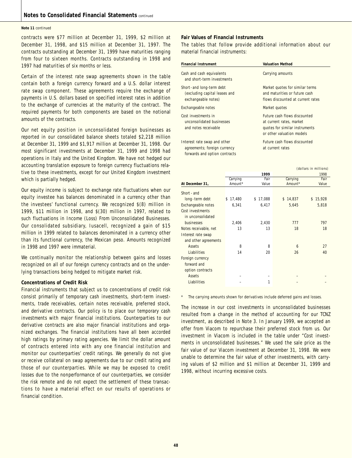#### **Note 11** continued

contracts were \$77 million at December 31, 1999, \$2 million at December 31, 1998, and \$15 million at December 31, 1997. The contracts outstanding at December 31, 1999 have maturities ranging from four to sixteen months. Contracts outstanding in 1998 and 1997 had maturities of six months or less.

Certain of the interest rate swap agreements shown in the table contain both a foreign currency forward and a U.S. dollar interest rate swap component. These agreements require the exchange of payments in U.S. dollars based on specified interest rates in addition to the exchange of currencies at the maturity of the contract. The required payments for both components are based on the notional amounts of the contracts.

Our net equity position in unconsolidated foreign businesses as reported in our consolidated balance sheets totaled \$2,218 million at December 31, 1999 and \$1,917 million at December 31, 1998. Our most significant investments at December 31, 1999 and 1998 had operations in Italy and the United Kingdom. We have not hedged our accounting translation exposure to foreign currency fluctuations relative to these investments, except for our United Kingdom investment which is partially hedged.

Our equity income is subject to exchange rate fluctuations when our equity investee has balances denominated in a currency other than the investees' functional currency. We recognized \$(8) million in 1999, \$11 million in 1998, and \$(30) million in 1997, related to such fluctuations in Income (Loss) From Unconsolidated Businesses. Our consolidated subsidiary, Iusacell, recognized a gain of \$15 million in 1999 related to balances denominated in a currency other than its functional currency, the Mexican peso. Amounts recognized in 1998 and 1997 were immaterial.

We continually monitor the relationship between gains and losses recognized on all of our foreign currency contracts and on the underlying transactions being hedged to mitigate market risk.

#### **Concentrations of Credit Risk**

Financial instruments that subject us to concentrations of credit risk consist primarily of temporary cash investments, short-term investments, trade receivables, certain notes receivable, preferred stock, and derivative contracts. Our policy is to place our temporary cash investments with major financial institutions. Counterparties to our derivative contracts are also major financial institutions and organized exchanges. The financial institutions have all been accorded high ratings by primary rating agencies. We limit the dollar amount of contracts entered into with any one financial institution and monitor our counterparties' credit ratings. We generally do not give or receive collateral on swap agreements due to our credit rating and those of our counterparties. While we may be exposed to credit losses due to the nonperformance of our counterparties, we consider the risk remote and do not expect the settlement of these transactions to have a material effect on our results of operations or financial condition.

#### **Fair Values of Financial Instruments**

The tables that follow provide additional information about our material financial instruments:

| <b>Financial Instrument</b>                                                                   | <b>Valuation Method</b>                                                                                                 |
|-----------------------------------------------------------------------------------------------|-------------------------------------------------------------------------------------------------------------------------|
| Cash and cash equivalents<br>and short-term investments                                       | Carrying amounts                                                                                                        |
| Short-and long-term debt<br>(excluding capital leases and<br>exchangeable notes)              | Market quotes for similar terms<br>and maturities or future cash<br>flows discounted at current rates                   |
| Exchangeable notes                                                                            | Market quotes                                                                                                           |
| Cost investments in<br>unconsolidated businesses<br>and notes receivable                      | Future cash flows discounted<br>at current rates, market<br>quotes for similar instruments<br>or other valuation models |
| Interest rate swap and other<br>agreements; foreign currency<br>forwards and option contracts | Future cash flows discounted<br>at current rates                                                                        |

|                       | (dollars in millions) |              |              |              |  |
|-----------------------|-----------------------|--------------|--------------|--------------|--|
|                       |                       | 1999         |              | 1998         |  |
|                       | Carrying              | Fair         | Carrying     | Fair         |  |
| At December 31,       | Amount*               | Value        | Amount*      | Value        |  |
| Short - and           |                       |              |              |              |  |
| long-term debt        | \$17,480              | 17,088<br>\$ | 14,837<br>\$ | 15,928<br>\$ |  |
| Exchangeable notes    | 6,341                 | 6,417        | 5,645        | 5,818        |  |
| Cost investments      |                       |              |              |              |  |
| in unconsolidated     |                       |              |              |              |  |
| businesses            | 2,406                 | 2,430        | 777          | 797          |  |
| Notes receivable, net | 13                    | 13           | 18           | 18           |  |
| Interest rate swap    |                       |              |              |              |  |
| and other agreements  |                       |              |              |              |  |
| Assets                | 8                     | 8            | 6            | 27           |  |
| Liabilities           | 14                    | 20           | 26           | 40           |  |
| Foreign currency      |                       |              |              |              |  |
| forward and           |                       |              |              |              |  |
| option contracts      |                       |              |              |              |  |
| Assets                |                       |              |              |              |  |
| Liabilities           |                       | 1            |              |              |  |

\* The carrying amounts shown for derivatives include deferred gains and losses.

The increase in our cost investments in unconsolidated businesses resulted from a change in the method of accounting for our TCNZ investment, as described in Note 3. In January 1999, we accepted an offer from Viacom to repurchase their preferred stock from us. Our investment in Viacom is included in the table under "Cost investments in unconsolidated businesses." We used the sale price as the fair value of our Viacom investment at December 31, 1998. We were unable to determine the fair value of other investments, with carrying values of \$2 million and \$1 million at December 31, 1999 and 1998, without incurring excessive costs.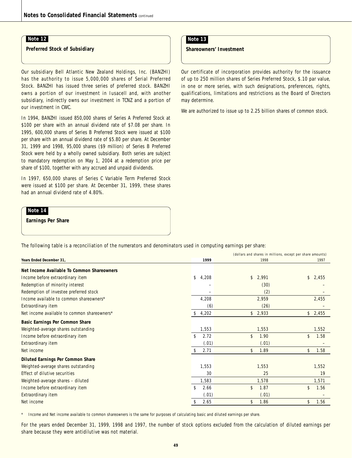**Preferred Stock of Subsidiary**

Our subsidiary Bell Atlantic New Zealand Holdings, Inc. (BANZHI) has the authority to issue 5,000,000 shares of Serial Preferred Stock. BANZHI has issued three series of preferred stock. BANZHI owns a portion of our investment in Iusacell and, with another subsidiary, indirectly owns our investment in TCNZ and a portion of our investment in CWC.

In 1994, BANZHI issued 850,000 shares of Series A Preferred Stock at \$100 per share with an annual dividend rate of \$7.08 per share. In 1995, 600,000 shares of Series B Preferred Stock were issued at \$100 per share with an annual dividend rate of \$5.80 per share. At December 31, 1999 and 1998, 95,000 shares (\$9 million) of Series B Preferred Stock were held by a wholly owned subsidiary. Both series are subject to mandatory redemption on May 1, 2004 at a redemption price per share of \$100, together with any accrued and unpaid dividends.

In 1997, 650,000 shares of Series C Variable Term Preferred Stock were issued at \$100 per share. At December 31, 1999, these shares had an annual dividend rate of 4.80%.

### **Note 14**

**Earnings Per Share**

The following table is a reconciliation of the numerators and denominators used in computing earnings per share:

|                                             | (dollars and shares in millions, except per share amounts) |                        |             |  |
|---------------------------------------------|------------------------------------------------------------|------------------------|-------------|--|
| Years Ended December 31,                    | 1999                                                       | 1998                   | 1997        |  |
| Net Income Available To Common Shareowners  |                                                            |                        |             |  |
| Income before extraordinary item            | \$<br>4,208                                                | \$<br>2,991            | \$<br>2,455 |  |
| Redemption of minority interest             |                                                            | (30)                   |             |  |
| Redemption of investee preferred stock      |                                                            | (2)                    |             |  |
| Income available to common shareowners*     | 4,208                                                      | 2,959                  | 2,455       |  |
| Extraordinary item                          | (6)                                                        | (26)                   |             |  |
| Net income available to common shareowners* | 4,202<br>\$                                                | $\mathsf{\$}$<br>2,933 | \$2,455     |  |
| Basic Earnings Per Common Share             |                                                            |                        |             |  |
| Weighted-average shares outstanding         | 1,553                                                      | 1,553                  | 1,552       |  |
| Income before extraordinary item            | \$<br>2.72                                                 | \$<br>1.90             | \$<br>1.58  |  |
| Extraordinary item                          | (.01)                                                      | (.01)                  |             |  |
| Net income                                  | \$<br>2.71                                                 | \$<br>1.89             | \$<br>1.58  |  |
| <b>Diluted Earnings Per Common Share</b>    |                                                            |                        |             |  |
| Weighted-average shares outstanding         | 1,553                                                      | 1,553                  | 1,552       |  |
| Effect of dilutive securities               | 30                                                         | 25                     | 19          |  |
| Weighted-average shares - diluted           | 1,583                                                      | 1,578                  | 1,571       |  |
| Income before extraordinary item            | \$<br>2.66                                                 | \$<br>1.87             | \$<br>1.56  |  |
| Extraordinary item                          | (.01)                                                      | (.01)                  |             |  |
| Net income                                  | 2.65<br>\$                                                 | 1.86<br>\$             | 1.56<br>\$  |  |
|                                             |                                                            |                        |             |  |

\* Income and Net income available to common shareowners is the same for purposes of calculating basic and diluted earnings per share.

For the years ended December 31, 1999, 1998 and 1997, the number of stock options excluded from the calculation of diluted earnings per share because they were antidilutive was not material.

### **Note 13**

**Shareowners' Investment**

Our certificate of incorporation provides authority for the issuance of up to 250 million shares of Series Preferred Stock, \$.10 par value, in one or more series, with such designations, preferences, rights, qualifications, limitations and restrictions as the Board of Directors may determine.

We are authorized to issue up to 2.25 billion shares of common stock.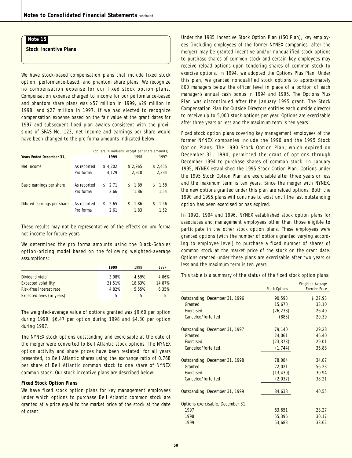**Stock Incentive Plans**

We have stock-based compensation plans that include fixed stock option, performance-based, and phantom share plans. We recognize no compensation expense for our fixed stock option plans. Compensation expense charged to income for our performance-based and phantom share plans was \$57 million in 1999, \$29 million in 1998, and \$27 million in 1997. If we had elected to recognize compensation expense based on the fair value at the grant dates for 1997 and subsequent fixed plan awards consistent with the provisions of SFAS No. 123, net income and earnings per share would have been changed to the pro forma amounts indicated below:

|                            | (dollars in millions, except per share amounts) |                    |                    |                   |  |
|----------------------------|-------------------------------------------------|--------------------|--------------------|-------------------|--|
| Years Ended December 31.   |                                                 | 1999               | 1998               | 1997              |  |
| Net income                 | As reported<br>Pro forma                        | \$4,202<br>4.129   | \$2,965<br>2.918   | \$2,455<br>2,394  |  |
| Basic earnings per share   | As reported<br>Pro forma                        | 2.71<br>S.<br>2.66 | 1.89<br>1.86       | 1.58<br>S<br>1.54 |  |
| Diluted earnings per share | As reported<br>Pro forma                        | 2.65<br>S.<br>2.61 | 1.86<br>S.<br>1.83 | 1.56<br>S<br>1.52 |  |

These results may not be representative of the effects on pro forma net income for future years.

We determined the pro forma amounts using the Black-Scholes option-pricing model based on the following weighted-average assumptions:

|                            | 1999   | 1998   | 1997   |
|----------------------------|--------|--------|--------|
| Dividend yield             | 3.98%  | 4.59%  | 4.86%  |
| <b>Expected volatility</b> | 21.51% | 18.63% | 14.87% |
| Risk-free interest rate    | 4.82%  | 5.55%  | 6.35%  |
| Expected lives (in years)  | 5      | 5      | 5      |

The weighted-average value of options granted was \$9.60 per option during 1999, \$6.47 per option during 1998 and \$4.30 per option during 1997.

The NYNEX stock options outstanding and exercisable at the date of the merger were converted to Bell Atlantic stock options. The NYNEX option activity and share prices have been restated, for all years presented, to Bell Atlantic shares using the exchange ratio of 0.768 per share of Bell Atlantic common stock to one share of NYNEX common stock. Our stock incentive plans are described below:

#### **Fixed Stock Option Plans**

We have fixed stock option plans for key management employees under which options to purchase Bell Atlantic common stock are granted at a price equal to the market price of the stock at the date of grant.

Under the 1985 Incentive Stock Option Plan (ISO Plan), key employees (including employees of the former NYNEX companies, after the merger) may be granted incentive and/or nonqualified stock options to purchase shares of common stock and certain key employees may receive reload options upon tendering shares of common stock to exercise options. In 1994, we adopted the Options Plus Plan. Under this plan, we granted nonqualified stock options to approximately 800 managers below the officer level in place of a portion of each manager's annual cash bonus in 1994 and 1995. The Options Plus Plan was discontinued after the January 1995 grant. The Stock Compensation Plan for Outside Directors entitles each outside director to receive up to 5,000 stock options per year. Options are exercisable after three years or less and the maximum term is ten years.

Fixed stock option plans covering key management employees of the former NYNEX companies include the 1990 and the 1995 Stock Option Plans. The 1990 Stock Option Plan, which expired on December 31, 1994, permitted the grant of options through December 1994 to purchase shares of common stock. In January 1995, NYNEX established the 1995 Stock Option Plan. Options under the 1995 Stock Option Plan are exercisable after three years or less and the maximum term is ten years. Since the merger with NYNEX, the new options granted under this plan are reload options. Both the 1990 and 1995 plans will continue to exist until the last outstanding option has been exercised or has expired.

In 1992, 1994 and 1996, NYNEX established stock option plans for associates and management employees other than those eligible to participate in the other stock option plans. These employees were granted options (with the number of options granted varying according to employee level) to purchase a fixed number of shares of common stock at the market price of the stock on the grant date. Options granted under these plans are exercisable after two years or less and the maximum term is ten years.

This table is a summary of the status of the fixed stock option plans:

|           | Weighted-Average      |
|-----------|-----------------------|
|           | <b>Exercise Price</b> |
| 90,593    | \$27.93               |
| 15,670    | 33.10                 |
| (26, 238) | 26.40                 |
| (885)     | 29.39                 |
| 79,140    | 29.28                 |
| 24,061    | 46.40                 |
| (23, 373) | 29.01                 |
| (1, 744)  | 36.88                 |
| 78,084    | 34.87                 |
| 22,021    | 56.23                 |
| (13, 430) | 30.94                 |
| (2,037)   | 38.21                 |
| 84,638    | 40.55                 |
|           |                       |
| 63,651    | 28.27                 |
| 55,396    | 30.17                 |
| 53,683    | 33.62                 |
|           | <b>Stock Options</b>  |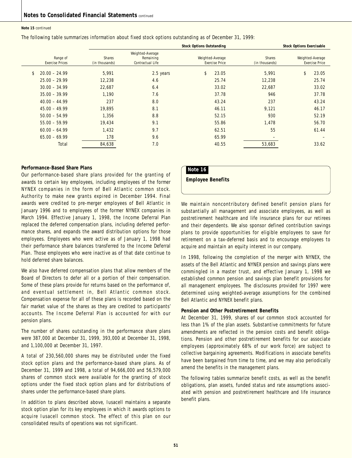#### **Note 15** continued

The following table summarizes information about fixed stock options outstanding as of December 31, 1999:

|                                    | <b>Stock Options Outstanding</b> |                                                   |                                           |                          | <b>Stock Options Exercisable</b>          |
|------------------------------------|----------------------------------|---------------------------------------------------|-------------------------------------------|--------------------------|-------------------------------------------|
| Range of<br><b>Exercise Prices</b> | <b>Shares</b><br>(in thousands)  | Weighted-Average<br>Remaining<br>Contractual Life | Weighted-Average<br><b>Exercise Price</b> | Shares<br>(in thousands) | Weighted-Average<br><b>Exercise Price</b> |
| \$<br>$20.00 - 24.99$              | 5.991                            | 2.5 years                                         | \$<br>23.05                               | 5.991                    | \$<br>23.05                               |
| $25.00 - 29.99$<br>$30.00 - 34.99$ | 12,238<br>22,687                 | 4.6<br>6.4                                        | 25.74<br>33.02                            | 12,238<br>22,687         | 25.74<br>33.02                            |
| $35.00 - 39.99$<br>$40.00 - 44.99$ | 1,190<br>237                     | 7.6<br>8.0                                        | 37.78<br>43.24                            | 946<br>237               | 37.78<br>43.24                            |
| $45.00 - 49.99$<br>$50.00 - 54.99$ | 19,895<br>1.356                  | 8.1<br>8.8                                        | 46.11<br>52.15                            | 9,121<br>930             | 46.17<br>52.19                            |
| $55.00 - 59.99$                    | 19,434                           | 9.1                                               | 55.86                                     | 1,478                    | 56.70                                     |
| $60.00 - 64.99$<br>$65.00 - 69.99$ | 1,432<br>178                     | 9.7<br>9.6                                        | 62.51<br>65.99                            | 55                       | 61.44                                     |
| Total                              | 84,638                           | 7.0                                               | 40.55                                     | 53,683                   | 33.62                                     |

#### **Performance-Based Share Plans**

Our performance-based share plans provided for the granting of awards to certain key employees, including employees of the former NYNEX companies in the form of Bell Atlantic common stock. Authority to make new grants expired in December 1994. Final awards were credited to pre-merger employees of Bell Atlantic in January 1996 and to employees of the former NYNEX companies in March 1994. Effective January 1, 1998, the Income Deferral Plan replaced the deferred compensation plans, including deferred performance shares, and expands the award distribution options for those employees. Employees who were active as of January 1, 1998 had their performance share balances transferred to the Income Deferral Plan. Those employees who were inactive as of that date continue to hold deferred share balances.

We also have deferred compensation plans that allow members of the Board of Directors to defer all or a portion of their compensation. Some of these plans provide for returns based on the performance of, and eventual settlement in, Bell Atlantic common stock. Compensation expense for all of these plans is recorded based on the fair market value of the shares as they are credited to participants' accounts. The Income Deferral Plan is accounted for with our pension plans.

The number of shares outstanding in the performance share plans were 387,000 at December 31, 1999, 393,000 at December 31, 1998, and 1,100,000 at December 31, 1997.

A total of 230,560,000 shares may be distributed under the fixed stock option plans and the performance-based share plans. As of December 31, 1999 and 1998, a total of 94,666,000 and 56,579,000 shares of common stock were available for the granting of stock options under the fixed stock option plans and for distributions of shares under the performance-based share plans.

In addition to plans described above, Iusacell maintains a separate stock option plan for its key employees in which it awards options to acquire Iusacell common stock. The effect of this plan on our consolidated results of operations was not significant.

### **Note 16**

**Employee Benefits**

We maintain noncontributory defined benefit pension plans for substantially all management and associate employees, as well as postretirement healthcare and life insurance plans for our retirees and their dependents. We also sponsor defined contribution savings plans to provide opportunities for eligible employees to save for retirement on a tax-deferred basis and to encourage employees to acquire and maintain an equity interest in our company.

In 1998, following the completion of the merger with NYNEX, the assets of the Bell Atlantic and NYNEX pension and savings plans were commingled in a master trust, and effective January 1, 1998 we established common pension and savings plan benefit provisions for all management employees. The disclosures provided for 1997 were determined using weighted-average assumptions for the combined Bell Atlantic and NYNEX benefit plans.

#### **Pension and Other Postretirement Benefits**

At December 31, 1999, shares of our common stock accounted for less than 1% of the plan assets. Substantive commitments for future amendments are reflected in the pension costs and benefit obligations. Pension and other postretirement benefits for our associate employees (approximately 68% of our work force) are subject to collective bargaining agreements. Modifications in associate benefits have been bargained from time to time, and we may also periodically amend the benefits in the management plans.

The following tables summarize benefit costs, as well as the benefit obligations, plan assets, funded status and rate assumptions associated with pension and postretirement healthcare and life insurance benefit plans.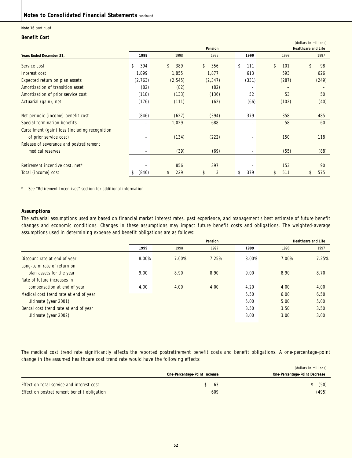### **Notes to Consolidated Financial Statements** continued

#### **Note 16** continued

#### **Benefit Cost**

|                                                |           |           |           |           |           | (dollars in millions)      |
|------------------------------------------------|-----------|-----------|-----------|-----------|-----------|----------------------------|
|                                                |           |           | Pension   |           |           | <b>Healthcare and Life</b> |
| Years Ended December 31.                       | 1999      | 1998      | 1997      | 1999      | 1998      | 1997                       |
| Service cost                                   | 394<br>\$ | \$<br>389 | \$<br>356 | \$<br>111 | \$<br>101 | \$<br>98                   |
| Interest cost                                  | 1,899     | 1,855     | 1,877     | 613       | 593       | 626                        |
| Expected return on plan assets                 | (2,763)   | (2, 545)  | (2, 347)  | (331)     | (287)     | (249)                      |
| Amortization of transition asset               | (82)      | (82)      | (82)      |           |           |                            |
| Amortization of prior service cost             | (118)     | (133)     | (136)     | 52        | 53        | 50                         |
| Actuarial (gain), net                          | (176)     | (111)     | (62)      | (66)      | (102)     | (40)                       |
|                                                |           |           |           |           |           |                            |
| Net periodic (income) benefit cost             | (846)     | (627)     | (394)     | 379       | 358       | 485                        |
| Special termination benefits                   |           | 1,029     | 688       |           | 58        | 60                         |
| Curtailment (gain) loss (including recognition |           |           |           |           |           |                            |
| of prior service cost)                         |           | (134)     | (222)     |           | 150       | 118                        |
| Release of severance and postretirement        |           |           |           |           |           |                            |
| medical reserves                               |           | (39)      | (69)      |           | (55)      | (88)                       |
|                                                |           |           |           |           |           |                            |
| Retirement incentive cost, net*                |           | 856       | 397       |           | 153       | 90                         |
| Total (income) cost                            | (846)     | \$<br>229 | \$<br>3   | \$<br>379 | \$<br>511 | \$<br>575                  |

\* See "Retirement Incentives" section for additional information

#### **Assumptions**

The actuarial assumptions used are based on financial market interest rates, past experience, and management's best estimate of future benefit changes and economic conditions. Changes in these assumptions may impact future benefit costs and obligations. The weighted-average assumptions used in determining expense and benefit obligations are as follows:

|                                        | Pension |       |       |       | <b>Healthcare and Life</b> |       |
|----------------------------------------|---------|-------|-------|-------|----------------------------|-------|
|                                        | 1999    | 1998  | 1997  | 1999  | 1998                       | 1997  |
| Discount rate at end of year           | 8.00%   | 7.00% | 7.25% | 8.00% | 7.00%                      | 7.25% |
| Long-term rate of return on            |         |       |       |       |                            |       |
| plan assets for the year               | 9.00    | 8.90  | 8.90  | 9.00  | 8.90                       | 8.70  |
| Rate of future increases in            |         |       |       |       |                            |       |
| compensation at end of year            | 4.00    | 4.00  | 4.00  | 4.20  | 4.00                       | 4.00  |
| Medical cost trend rate at end of year |         |       |       | 5.50  | 6.00                       | 6.50  |
| Ultimate (year 2001)                   |         |       |       | 5.00  | 5.00                       | 5.00  |
| Dental cost trend rate at end of year  |         |       |       | 3.50  | 3.50                       | 3.50  |
| Ultimate (year 2002)                   |         |       |       | 3.00  | 3.00                       | 3.00  |

The medical cost trend rate significantly affects the reported postretirement benefit costs and benefit obligations. A one-percentage-point change in the assumed healthcare cost trend rate would have the following effects:

|                                             |                               |      | (dollars in millions)         |
|---------------------------------------------|-------------------------------|------|-------------------------------|
|                                             | One-Percentage-Point Increase |      | One-Percentage-Point Decrease |
| Effect on total service and interest cost   |                               | - 63 | (50)                          |
| Effect on postretirement benefit obligation |                               | 609  | (495)                         |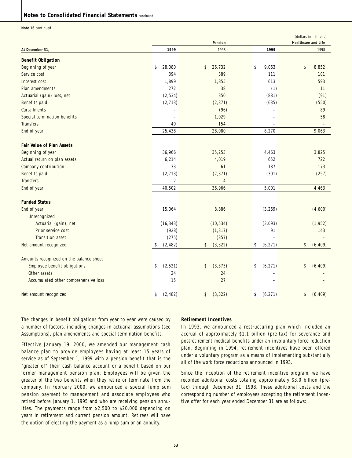### **Notes to Consolidated Financial Statements** continued

**Note 16** continued

|                                         |                          | Pension        |                          | (dollars in millions)<br><b>Healthcare and Life</b> |
|-----------------------------------------|--------------------------|----------------|--------------------------|-----------------------------------------------------|
| At December 31                          | 1999                     | 1998           | 1999                     | 1998                                                |
| <b>Benefit Obligation</b>               |                          |                |                          |                                                     |
| Beginning of year                       | \$<br>28,080             | 26,732<br>\$   | \$<br>9,063              | \$<br>8,852                                         |
| Service cost                            | 394                      | 389            | 111                      | 101                                                 |
| Interest cost                           | 1,899                    | 1,855          | 613                      | 593                                                 |
| Plan amendments                         | 272                      | 38             | (1)                      | 11                                                  |
| Actuarial (gain) loss, net              | (2, 534)                 | 350            | (881)                    | (91)                                                |
| Benefits paid                           | (2, 713)                 | (2, 371)       | (635)                    | (550)                                               |
| Curtailments                            |                          | (96)           |                          | 89                                                  |
| Special termination benefits            | $\overline{\phantom{a}}$ | 1,029          | $\overline{\phantom{0}}$ | 58                                                  |
| <b>Transfers</b>                        | 40                       | 154            | $\equiv$                 |                                                     |
| End of year                             | 25,438                   | 28,080         | 8,270                    | 9,063                                               |
|                                         |                          |                |                          |                                                     |
| <b>Fair Value of Plan Assets</b>        |                          |                |                          |                                                     |
| Beginning of year                       | 36,966                   | 35,253         | 4,463                    | 3,825                                               |
| Actual return on plan assets            | 6,214                    | 4,019          | 652                      | 722                                                 |
| Company contribution                    | 33                       | 61             | 187                      | 173                                                 |
| Benefits paid                           | (2, 713)                 | (2, 371)       | (301)                    | (257)                                               |
| <b>Transfers</b>                        | $\overline{2}$           | $\overline{4}$ |                          |                                                     |
| End of year                             | 40,502                   | 36,966         | 5,001                    | 4,463                                               |
|                                         |                          |                |                          |                                                     |
| <b>Funded Status</b>                    |                          |                |                          |                                                     |
| End of year                             | 15,064                   | 8,886          | (3, 269)                 | (4,600)                                             |
| Unrecognized                            |                          |                |                          |                                                     |
| Actuarial (gain), net                   | (16, 343)                | (10, 534)      | (3,093)                  | (1, 952)                                            |
| Prior service cost                      | (928)                    | (1, 317)       | 91                       | 143                                                 |
| <b>Transition asset</b>                 | (275)                    | (357)          |                          |                                                     |
| Net amount recognized                   | (2, 482)<br>\$           | \$<br>(3, 322) | \$<br>(6, 271)           | \$<br>(6, 409)                                      |
|                                         |                          |                |                          |                                                     |
| Amounts recognized on the balance sheet |                          |                |                          |                                                     |
| Employee benefit obligations            | (2,521)<br>\$            | (3, 373)<br>\$ | (6, 271)<br>\$           | \$<br>(6, 409)                                      |
| Other assets                            | 24                       | 24             |                          |                                                     |
| Accumulated other comprehensive loss    | 15                       | 27             |                          |                                                     |
| Net amount recognized                   | (2, 482)<br>\$           | (3, 322)<br>\$ | (6, 271)<br>\$           | \$<br>(6, 409)                                      |

The changes in benefit obligations from year to year were caused by a number of factors, including changes in actuarial assumptions (see Assumptions), plan amendments and special termination benefits.

Effective January 19, 2000, we amended our management cash balance plan to provide employees having at least 15 years of service as of September 1, 1999 with a pension benefit that is the "greater of" their cash balance account or a benefit based on our former management pension plan. Employees will be given the greater of the two benefits when they retire or terminate from the company. In February 2000, we announced a special lump sum pension payment to management and associate employees who retired before January 1, 1995 and who are receiving pension annuities. The payments range from \$2,500 to \$20,000 depending on years in retirement and current pension amount. Retirees will have the option of electing the payment as a lump sum or an annuity.

#### **Retirement Incentives**

In 1993, we announced a restructuring plan which included an accrual of approximately \$1.1 billion (pre-tax) for severance and postretirement medical benefits under an involuntary force reduction plan. Beginning in 1994, retirement incentives have been offered under a voluntary program as a means of implementing substantially all of the work force reductions announced in 1993.

Since the inception of the retirement incentive program, we have recorded additional costs totaling approximately \$3.0 billion (pretax) through December 31, 1998. These additional costs and the corresponding number of employees accepting the retirement incentive offer for each year ended December 31 are as follows: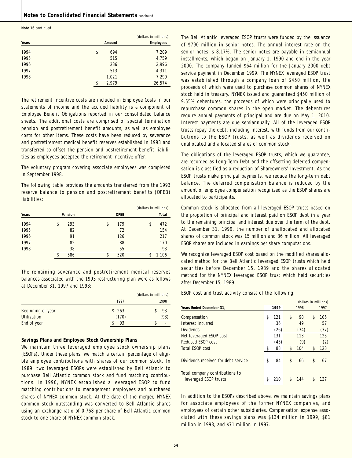**Note 16** continued

|       |             | (dollars in millions) |
|-------|-------------|-----------------------|
| Years | Amount      | <b>Employees</b>      |
| 1994  | \$<br>694   | 7,209                 |
| 1995  | 515         | 4,759                 |
| 1996  | 236         | 2,996                 |
| 1997  | 513         | 4,311                 |
| 1998  | 1,021       | 7,299                 |
|       | \$<br>2,979 | 26,574                |

The retirement incentive costs are included in Employee Costs in our statements of income and the accrued liability is a component of Employee Benefit Obligations reported in our consolidated balance sheets. The additional costs are comprised of special termination pension and postretirement benefit amounts, as well as employee costs for other items. These costs have been reduced by severance and postretirement medical benefit reserves established in 1993 and transferred to offset the pension and postretirement benefit liabilities as employees accepted the retirement incentive offer.

The voluntary program covering associate employees was completed in September 1998.

The following table provides the amounts transferred from the 1993 reserve balance to pension and postretirement benefits (OPEB) liabilities:

|       |           |             | (dollars in millions) |              |
|-------|-----------|-------------|-----------------------|--------------|
| Years | Pension   | <b>OPEB</b> |                       | <b>Total</b> |
| 1994  | \$<br>293 | \$<br>179   | \$                    | 472          |
| 1995  | 82        | 72          |                       | 154          |
| 1996  | 91        | 126         |                       | 217          |
| 1997  | 82        | 88          |                       | 170          |
| 1998  | 38        | 55          |                       | 93           |
|       | \$<br>586 | \$<br>520   | \$                    | 1,106        |

The remaining severance and postretirement medical reserves balances associated with the 1993 restructuring plan were as follows at December 31, 1997 and 1998:

|                                         |                | (dollars in millions) |
|-----------------------------------------|----------------|-----------------------|
|                                         | 1997           | 1998                  |
| Beginning of year<br><b>Utilization</b> | \$263<br>(170) | 93<br>(93)            |
| End of year                             | 93             |                       |

#### **Savings Plans and Employee Stock Ownership Plans**

We maintain three leveraged employee stock ownership plans (ESOPs). Under these plans, we match a certain percentage of eligible employee contributions with shares of our common stock. In 1989, two leveraged ESOPs were established by Bell Atlantic to purchase Bell Atlantic common stock and fund matching contributions. In 1990, NYNEX established a leveraged ESOP to fund matching contributions to management employees and purchased shares of NYNEX common stock. At the date of the merger, NYNEX common stock outstanding was converted to Bell Atlantic shares using an exchange ratio of 0.768 per share of Bell Atlantic common stock to one share of NYNEX common stock.

The Bell Atlantic leveraged ESOP trusts were funded by the issuance of \$790 million in senior notes. The annual interest rate on the senior notes is 8.17%. The senior notes are payable in semiannual installments, which began on January 1, 1990 and end in the year 2000. The company funded \$64 million for the January 2000 debt service payment in December 1999. The NYNEX leveraged ESOP trust was established through a company loan of \$450 million, the proceeds of which were used to purchase common shares of NYNEX stock held in treasury. NYNEX issued and guaranteed \$450 million of 9.55% debentures, the proceeds of which were principally used to repurchase common shares in the open market. The debentures require annual payments of principal and are due on May 1, 2010. Interest payments are due semiannually. All of the leveraged ESOP trusts repay the debt, including interest, with funds from our contributions to the ESOP trusts, as well as dividends received on unallocated and allocated shares of common stock.

The obligations of the leveraged ESOP trusts, which we guarantee, are recorded as Long-Term Debt and the offsetting deferred compensation is classified as a reduction of Shareowners' Investment. As the ESOP trusts make principal payments, we reduce the long-term debt balance. The deferred compensation balance is reduced by the amount of employee compensation recognized as the ESOP shares are allocated to participants.

Common stock is allocated from all leveraged ESOP trusts based on the proportion of principal and interest paid on ESOP debt in a year to the remaining principal and interest due over the term of the debt. At December 31, 1999, the number of unallocated and allocated shares of common stock was 15 million and 36 million. All leveraged ESOP shares are included in earnings per share computations.

We recognize leveraged ESOP cost based on the modified shares allocated method for the Bell Atlantic leveraged ESOP trusts which held securities before December 15, 1989 and the shares allocated method for the NYNEX leveraged ESOP trust which held securities after December 15, 1989.

ESOP cost and trust activity consist of the following:

|                                                         |           | (dollars in millions) |      |    |      |
|---------------------------------------------------------|-----------|-----------------------|------|----|------|
| Years Ended December 31,                                | 1999      |                       | 1998 |    | 1997 |
| Compensation                                            | \$<br>121 | \$                    | 98   | \$ | 105  |
| Interest incurred                                       | 36        |                       | 49   |    | 57   |
| <b>Dividends</b>                                        | (26)      |                       | (34) |    | (37) |
| Net leveraged ESOP cost                                 | 131       |                       | 113  |    | 125  |
| Reduced ESOP cost                                       | (43)      |                       | (9)  |    | (2)  |
| Total ESOP cost                                         | \$<br>88  | \$                    | 104  | \$ | 123  |
| Dividends received for debt service                     | \$<br>84  | \$                    | 66   | \$ | 67   |
| Total company contributions to<br>leveraged ESOP trusts | \$<br>210 | \$                    | 144  | \$ | 137  |

In addition to the ESOPs described above, we maintain savings plans for associate employees of the former NYNEX companies, and employees of certain other subsidiaries. Compensation expense associated with these savings plans was \$134 million in 1999, \$81 million in 1998, and \$71 million in 1997.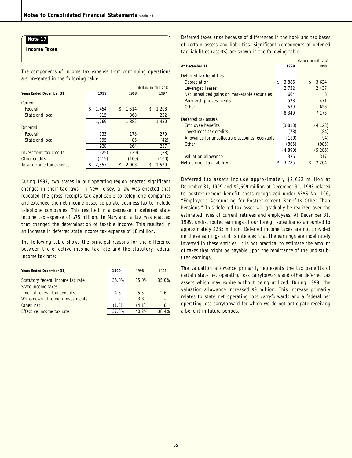**Income Taxes**

The components of income tax expense from continuing operations are presented in the following table:

|                          |   |       | (dollars in millions) |       |  |    |       |
|--------------------------|---|-------|-----------------------|-------|--|----|-------|
| Years Ended December 31, |   | 1999  |                       | 1998  |  |    | 1997  |
| Current                  |   |       |                       |       |  |    |       |
| Federal                  | S | 1,454 | \$                    | 1.514 |  | \$ | 1,208 |
| State and local          |   | 315   |                       | 368   |  |    | 222   |
|                          |   | 1,769 |                       | 1,882 |  |    | 1,430 |
| Deferred                 |   |       |                       |       |  |    |       |
| Federal                  |   | 733   |                       | 178   |  |    | 279   |
| State and local          |   | 195   |                       | 86    |  |    | (42)  |
|                          |   | 928   |                       | 264   |  |    | 237   |
| Investment tax credits   |   | (25)  |                       | (29)  |  |    | (38)  |
| Other credits            |   | (115) |                       | (109) |  |    | (100) |
| Total income tax expense |   | 2,557 | \$                    | 2.008 |  | \$ | 1.529 |
|                          |   |       |                       |       |  |    |       |

During 1997, two states in our operating region enacted significant changes in their tax laws. In New Jersey, a law was enacted that repealed the gross receipts tax applicable to telephone companies and extended the net-income-based corporate business tax to include telephone companies. This resulted in a decrease in deferred state income tax expense of \$75 million. In Maryland, a law was enacted that changed the determination of taxable income. This resulted in an increase in deferred state income tax expense of \$8 million.

The following table shows the principal reasons for the difference between the effective income tax rate and the statutory federal income tax rate:

| Years Ended December 31,                                 | 1999  | 1998  | 1997  |
|----------------------------------------------------------|-------|-------|-------|
| Statutory federal income tax rate<br>State income taxes, | 35.0% | 35.0% | 35.0% |
| net of federal tax benefits                              | 4.6   | 5.5   | 2.6   |
| Write-down of foreign investments                        |       | 3.8   |       |
| Other, net                                               | (1.8) | (4.1) | .8    |
| Effective income tax rate                                | 37.8% | 40.2% | 38.4% |

Deferred taxes arise because of differences in the book and tax bases of certain assets and liabilities. Significant components of deferred tax liabilities (assets) are shown in the following table:

|                                                 |             | (dollars in millions) |
|-------------------------------------------------|-------------|-----------------------|
| At December 31,                                 | 1999        | 1998                  |
| Deferred tax liabilities                        |             |                       |
| Depreciation                                    | \$<br>3,886 | \$<br>3,634           |
| Leveraged leases                                | 2,732       | 2,437                 |
| Net unrealized gains on marketable securities   | 664         | 3                     |
| Partnership investments                         | 528         | 471                   |
| Other                                           | 539         | 628                   |
|                                                 | 8,349       | 7,173                 |
| Deferred tax assets                             |             |                       |
| Employee benefits                               | (3,818)     | (4, 123)              |
| Investment tax credits                          | (78)        | (84)                  |
| Allowance for uncollectible accounts receivable | (129)       | (94)                  |
| Other                                           | (865)       | (985)                 |
|                                                 | (4,890)     | (5, 286)              |
| Valuation allowance                             | 326         | 317                   |
| Net deferred tax liability                      | \$<br>3,785 | \$<br>2,204           |

Deferred tax assets include approximately \$2,632 million at December 31, 1999 and \$2,609 million at December 31, 1998 related to postretirement benefit costs recognized under SFAS No. 106, "Employer's Accounting for Postretirement Benefits Other Than Pensions." This deferred tax asset will gradually be realized over the estimated lives of current retirees and employees. At December 31, 1999, undistributed earnings of our foreign subsidiaries amounted to approximately \$285 million. Deferred income taxes are not provided on these earnings as it is intended that the earnings are indefinitely invested in these entities. It is not practical to estimate the amount of taxes that might be payable upon the remittance of the undistributed earnings.

The valuation allowance primarily represents the tax benefits of certain state net operating loss carryforwards and other deferred tax assets which may expire without being utilized. During 1999, the valuation allowance increased \$9 million. This increase primarily relates to state net operating loss carryforwards and a federal net operating loss carryforward for which we do not anticipate receiving a benefit in future periods.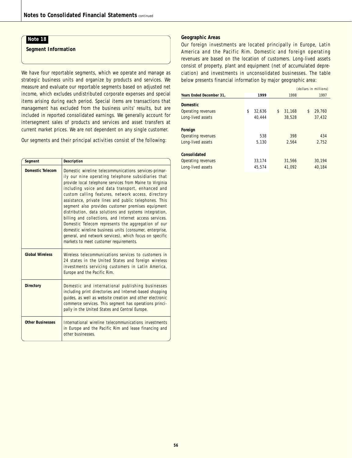**Segment Information**

We have four reportable segments, which we operate and manage as strategic business units and organize by products and services. We measure and evaluate our reportable segments based on adjusted net income, which excludes undistributed corporate expenses and special items arising during each period. Special items are transactions that management has excluded from the business units' results, but are included in reported consolidated earnings. We generally account for intersegment sales of products and services and asset transfers at current market prices. We are not dependent on any single customer.

Our segments and their principal activities consist of the following:

| Segment                 | <b>Description</b>                                                                                                                                                                                                                                                                                                                                                                                                                                                                                                                                                                                                                                                                                                                      |
|-------------------------|-----------------------------------------------------------------------------------------------------------------------------------------------------------------------------------------------------------------------------------------------------------------------------------------------------------------------------------------------------------------------------------------------------------------------------------------------------------------------------------------------------------------------------------------------------------------------------------------------------------------------------------------------------------------------------------------------------------------------------------------|
| <b>Domestic Telecom</b> | Domestic wireline telecommunications services-primar-<br>ily our nine operating telephone subsidiaries that<br>provide local telephone services from Maine to Virginia<br>including voice and data transport, enhanced and<br>custom calling features, network access, directory<br>assistance, private lines and public telephones. This<br>segment also provides customer premises equipment<br>distribution, data solutions and systems integration,<br>billing and collections, and Internet access services.<br>Domestic Telecom represents the aggregation of our<br>domestic wireline business units (consumer, enterprise,<br>general, and network services), which focus on specific<br>markets to meet customer requirements. |
| <b>Global Wireless</b>  | Wireless telecommunications services to customers in<br>24 states in the United States and foreign wireless<br>investments servicing customers in Latin America,<br>Europe and the Pacific Rim.                                                                                                                                                                                                                                                                                                                                                                                                                                                                                                                                         |
| <b>Directory</b>        | Domestic and international publishing businesses<br>including print directories and Internet-based shopping<br>quides, as well as website creation and other electronic<br>commerce services. This segment has operations princi-<br>pally in the United States and Central Europe.                                                                                                                                                                                                                                                                                                                                                                                                                                                     |
| <b>Other Businesses</b> | International wireline telecommunications investments<br>in Europe and the Pacific Rim and lease financing and<br>other businesses.                                                                                                                                                                                                                                                                                                                                                                                                                                                                                                                                                                                                     |

### **Geographic Areas**

Our foreign investments are located principally in Europe, Latin America and the Pacific Rim. Domestic and foreign operating revenues are based on the location of customers. Long-lived assets consist of property, plant and equipment (net of accumulated depreciation) and investments in unconsolidated businesses. The table below presents financial information by major geographic area:

|                          |              | (dollars in millions) |        |    |        |
|--------------------------|--------------|-----------------------|--------|----|--------|
| Years Ended December 31, | 1999         |                       | 1998   |    | 1997   |
| <b>Domestic</b>          |              |                       |        |    |        |
| Operating revenues       | \$<br>32.636 | \$                    | 31.168 | \$ | 29.760 |
| Long-lived assets        | 40.444       |                       | 38,528 |    | 37,432 |
|                          |              |                       |        |    |        |
| Foreign                  |              |                       |        |    |        |
| Operating revenues       | 538          |                       | 398    |    | 434    |
| Long-lived assets        | 5.130        |                       | 2.564  |    | 2.752  |
|                          |              |                       |        |    |        |
| Consolidated             |              |                       |        |    |        |
| Operating revenues       | 33.174       |                       | 31.566 |    | 30.194 |
| Long-lived assets        | 45.574       |                       | 41.092 |    | 40.184 |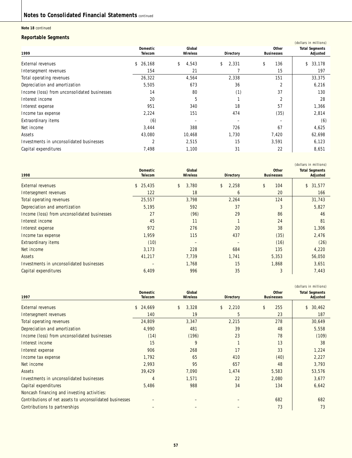**Note 18** continued

### **Reportable Segments**

|                          |                    |             |                                   | (dollars in millions)             |
|--------------------------|--------------------|-------------|-----------------------------------|-----------------------------------|
| Domestic<br>Telecom      | Global<br>Wireless | Directory   | <b>Other</b><br><b>Businesses</b> | <b>Total Segments</b><br>Adjusted |
| \$26,168                 | \$<br>4,543        | \$<br>2,331 | \$<br>136                         | \$<br>33,178                      |
| 154                      | 21                 |             | 15                                | 197                               |
| 26,322                   | 4,564              | 2,338       | 151                               | 33,375                            |
| 5,505                    | 673                | 36          | 2                                 | 6,216                             |
| 14                       | 80                 | (1)         | 37                                | 130                               |
| 20                       | 5                  |             | 2                                 | 28                                |
| 951                      | 340                | 18          | 57                                | 1,366                             |
| 2,224                    | 151                | 474         | (35)                              | 2,814                             |
| (6)                      |                    |             |                                   | (6)                               |
| 3,444                    | 388                | 726         | 67                                | 4,625                             |
| 43,080                   | 10,468             | 1,730       | 7,420                             | 62,698                            |
| $\overline{\mathcal{L}}$ | 2,515              | 15          | 3,591                             | 6,123                             |
| 7,498                    | 1,100              | 31          | 22                                | 8,651                             |
|                          |                    |             |                                   |                                   |

|                                              |                            |                           |             |                                   | (dollars in millions)             |
|----------------------------------------------|----------------------------|---------------------------|-------------|-----------------------------------|-----------------------------------|
| 1998                                         | <b>Domestic</b><br>Telecom | Global<br><b>Wireless</b> | Directory   | <b>Other</b><br><b>Businesses</b> | <b>Total Segments</b><br>Adjusted |
| <b>External revenues</b>                     | \$25,435                   | 3,780<br>\$               | \$<br>2,258 | \$<br>104                         | \$<br>31,577                      |
| Intersegment revenues                        | 122                        | 18                        | 6           | 20                                | 166                               |
| Total operating revenues                     | 25,557                     | 3,798                     | 2,264       | 124                               | 31,743                            |
| Depreciation and amortization                | 5,195                      | 592                       | 37          | 3                                 | 5,827                             |
| Income (loss) from unconsolidated businesses | 27                         | (96)                      | 29          | 86                                | 46                                |
| Interest income                              | 45                         | 11                        |             | 24                                | 81                                |
| Interest expense                             | 972                        | 276                       | 20          | 38                                | 1,306                             |
| Income tax expense                           | 1,959                      | 115                       | 437         | (35)                              | 2,476                             |
| <b>Extraordinary items</b>                   | (10)                       |                           |             | (16)                              | (26)                              |
| Net income                                   | 3,173                      | 228                       | 684         | 135                               | 4,220                             |
| Assets                                       | 41,217                     | 7,739                     | 1,741       | 5,353                             | 56,050                            |
| Investments in unconsolidated businesses     |                            | 1,768                     | 15          | 1,868                             | 3,651                             |
| Capital expenditures                         | 6,409                      | 996                       | 35          | 3                                 | 7,443                             |

|                                                          |                 |                 |                        |                   | (dollars in millions) |
|----------------------------------------------------------|-----------------|-----------------|------------------------|-------------------|-----------------------|
|                                                          | <b>Domestic</b> | Global          |                        | <b>Other</b>      | <b>Total Segments</b> |
| 1997                                                     | Telecom         | <b>Wireless</b> | Directory              | <b>Businesses</b> | Adjusted              |
| <b>External revenues</b>                                 | 24,669<br>\$    | 3,328<br>\$     | $\mathsf{\$}$<br>2,210 | \$<br>255         | 30,462<br>\$          |
| Intersegment revenues                                    | 140             | 19              | 5                      | 23                | 187                   |
| Total operating revenues                                 | 24,809          | 3,347           | 2,215                  | 278               | 30,649                |
| Depreciation and amortization                            | 4,990           | 481             | 39                     | 48                | 5,558                 |
| Income (loss) from unconsolidated businesses             | (14)            | (196)           | 23                     | 78                | (109)                 |
| Interest income                                          | 15              | 9               |                        | 13                | 38                    |
| Interest expense                                         | 906             | 268             | 17                     | 33                | 1,224                 |
| Income tax expense                                       | 1,792           | 65              | 410                    | (40)              | 2,227                 |
| Net income                                               | 2,993           | 95              | 657                    | 48                | 3,793                 |
| Assets                                                   | 39,429          | 7,090           | 1,474                  | 5,583             | 53,576                |
| Investments in unconsolidated businesses                 | 4               | 1,571           | 22                     | 2,080             | 3,677                 |
| Capital expenditures                                     | 5,486           | 988             | 34                     | 134               | 6,642                 |
| Noncash financing and investing activities:              |                 |                 |                        |                   |                       |
| Contributions of net assets to unconsolidated businesses |                 |                 |                        | 682               | 682                   |
| Contributions to partnerships                            |                 |                 |                        | 73                | 73                    |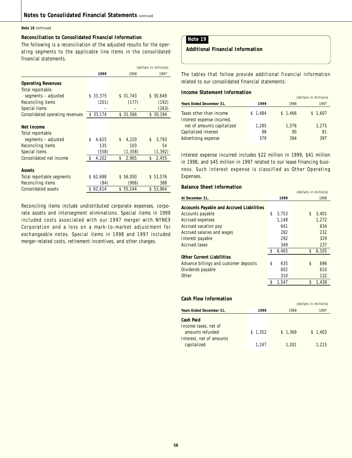#### **Note 18** continued

### **Reconciliation to Consolidated Financial Information**

The following is a reconciliation of the adjusted results for the operating segments to the applicable line items in the consolidated financial statements.

|                                 | (dollars in millions) |             |             |
|---------------------------------|-----------------------|-------------|-------------|
|                                 | 1999                  | 1998        | 1997        |
| <b>Operating Revenues</b>       |                       |             |             |
| Total reportable                |                       |             |             |
| segments - adjusted             | 33,375<br>S           | \$31,743    | \$30,649    |
| Reconciling items               | (201)                 | (177)       | (192)       |
| Special items                   |                       |             | (263)       |
| Consolidated operating revenues | \$33,174              | \$31,566    | \$30,194    |
|                                 |                       |             |             |
| Net Income                      |                       |             |             |
| Total reportable                |                       |             |             |
| segments - adjusted             | \$<br>4,625           | \$<br>4,220 | 3,793<br>\$ |
| Reconciling items               | 135                   | 103         | 54          |
| Special items                   | (558)                 | (1, 358)    | (1, 392)    |
| Consolidated net income         | \$<br>4,202           | \$<br>2,965 | 2,455<br>\$ |
|                                 |                       |             |             |
| <b>Assets</b>                   |                       |             |             |
| Total reportable segments       | \$62,698              | \$56,050    | \$53,576    |
| Reconciling items               | (84)                  | (906)       | 388         |
| <b>Consolidated assets</b>      | \$62,614              | \$55,144    | \$53,964    |

Reconciling items include undistributed corporate expenses, corporate assets and intersegment eliminations. Special items in 1999 included costs associated with our 1997 merger with NYNEX Corporation and a loss on a mark-to-market adjustment for exchangeable notes. Special items in 1998 and 1997 included merger-related costs, retirement incentives, and other charges.

### **Note 19**

### **Additional Financial Information**

The tables that follow provide additional financial information related to our consolidated financial statements:

### **Income Statement Information**

|                                                          |         |         | (dollars in millions) |
|----------------------------------------------------------|---------|---------|-----------------------|
| Years Ended December 31,                                 | 1999    | 1998    | 1997                  |
| Taxes other than income                                  | \$1,484 | \$1,466 | \$1,607               |
| Interest expense incurred,<br>net of amounts capitalized | 1,285   | 1,376   | 1,275                 |
| Capitalized interest                                     | 98      | 90      | 81                    |
| Advertising expense                                      | 379     | 394     | 397                   |

Interest expense incurred includes \$22 million in 1999, \$41 million in 1998, and \$45 million in 1997 related to our lease financing business. Such interest expense is classified as Other Operating Expenses.

### **Balance Sheet Information**

|                                                 |             | (dollars in millions) |       |
|-------------------------------------------------|-------------|-----------------------|-------|
| At December 31,                                 | 1999        |                       | 1998  |
| <b>Accounts Payable and Accrued Liabilities</b> |             |                       |       |
| Accounts payable                                | \$<br>3,753 | \$                    | 3,401 |
| <b>Accrued expenses</b>                         | 1,148       |                       | 1,272 |
| Accrued vacation pay                            | 641         |                       | 634   |
| Accrued salaries and wages                      | 282         |                       | 232   |
| Interest payable                                | 292         |                       | 329   |
| <b>Accrued taxes</b>                            | 349         |                       | 237   |
|                                                 | 6,465       | \$                    | 6,105 |
| <b>Other Current Liabilities</b>                |             |                       |       |
| Advance billings and customer deposits          | \$<br>635   | \$                    | 696   |
| Dividends payable                               | 602         |                       | 610   |
| Other                                           | 310         |                       | 132   |
|                                                 | 1.547       | \$                    | 1,438 |

### **Cash Flow Information**

|                                                                                                         |                  |                  | (GUULDIS III IIIIIIIUIIS) |
|---------------------------------------------------------------------------------------------------------|------------------|------------------|---------------------------|
| Years Ended December 31,                                                                                | 1999             | 1998             | 1997                      |
| <b>Cash Paid</b><br>Income taxes, net of<br>amounts refunded<br>Interest, net of amounts<br>capitalized | \$1.352<br>1.247 | \$1.369<br>1.201 | \$1,403<br>1.215          |

(dollars in millions)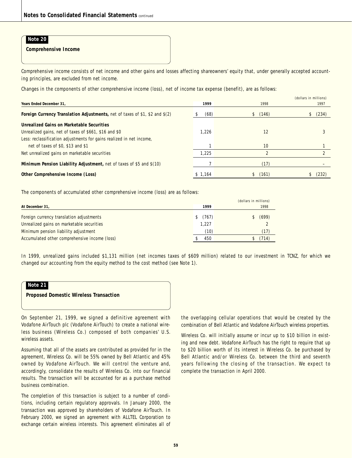**Comprehensive Income**

Comprehensive income consists of net income and other gains and losses affecting shareowners' equity that, under generally accepted accounting principles, are excluded from net income.

Changes in the components of other comprehensive income (loss), net of income tax expense (benefit), are as follows:

|                                                                              |         |       | (dollars in millions) |
|------------------------------------------------------------------------------|---------|-------|-----------------------|
| Years Ended December 31,                                                     | 1999    | 1998  | 1997                  |
| Foreign Currency Translation Adjustments, net of taxes of \$1, \$2 and \$(2) | (68)    | (146) | (234)                 |
| Unrealized Gains on Marketable Securities                                    |         |       |                       |
| Unrealized gains, net of taxes of \$661, \$16 and \$0                        | 1.226   | 12    |                       |
| Less: reclassification adjustments for gains realized in net income,         |         |       |                       |
| net of taxes of \$0, \$13 and \$1                                            |         | 10    |                       |
| Net unrealized gains on marketable securities                                | 1.225   |       |                       |
| Minimum Pension Liability Adjustment, net of taxes of \$5 and \$(10)         |         | (17)  |                       |
| Other Comprehensive Income (Loss)                                            | \$1.164 | (161) | (232)                 |

The components of accumulated other comprehensive income (loss) are as follows:

|                                               |          | (dollars in millions) |
|-----------------------------------------------|----------|-----------------------|
| At December 31,                               | 1999     | 1998                  |
| Foreign currency translation adjustments      | \$ (767) | (699)                 |
| Unrealized gains on marketable securities     | 1.227    |                       |
| Minimum pension liability adjustment          | (10)     | (17)                  |
| Accumulated other comprehensive income (loss) | 450      | (714)                 |

In 1999, unrealized gains included \$1,131 million (net incomes taxes of \$609 million) related to our investment in TCNZ, for which we changed our accounting from the equity method to the cost method (see Note 1).

# **Note 21 Proposed Domestic Wireless Transaction**

On September 21, 1999, we signed a definitive agreement with Vodafone AirTouch plc (Vodafone AirTouch) to create a national wireless business (Wireless Co.) composed of both companies' U.S. wireless assets.

Assuming that all of the assets are contributed as provided for in the agreement, Wireless Co. will be 55% owned by Bell Atlantic and 45% owned by Vodafone AirTouch. We will control the venture and, accordingly, consolidate the results of Wireless Co. into our financial results. The transaction will be accounted for as a purchase method business combination.

The completion of this transaction is subject to a number of conditions, including certain regulatory approvals. In January 2000, the transaction was approved by shareholders of Vodafone AirTouch. In February 2000, we signed an agreement with ALLTEL Corporation to exchange certain wireless interests. This agreement eliminates all of

the overlapping cellular operations that would be created by the combination of Bell Atlantic and Vodafone AirTouch wireless properties.

Wireless Co. will initially assume or incur up to \$10 billion in existing and new debt. Vodafone AirTouch has the right to require that up to \$20 billion worth of its interest in Wireless Co. be purchased by Bell Atlantic and/or Wireless Co. between the third and seventh years following the closing of the transaction. We expect to complete the transaction in April 2000.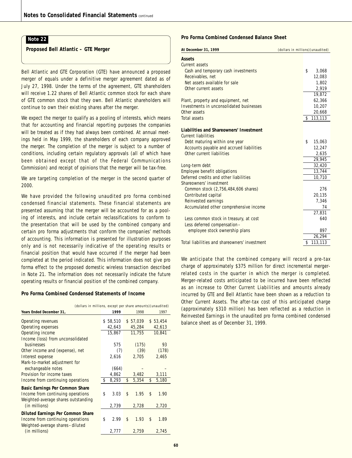**Proposed Bell Atlantic – GTE Merger**

Bell Atlantic and GTE Corporation (GTE) have announced a proposed merger of equals under a definitive merger agreement dated as of July 27, 1998. Under the terms of the agreement, GTE shareholders will receive 1.22 shares of Bell Atlantic common stock for each share of GTE common stock that they own. Bell Atlantic shareholders will continue to own their existing shares after the merger.

We expect the merger to qualify as a pooling of interests, which means that for accounting and financial reporting purposes the companies will be treated as if they had always been combined. At annual meetings held in May 1999, the shareholders of each company approved the merger. The completion of the merger is subject to a number of conditions, including certain regulatory approvals (all of which have been obtained except that of the Federal Communications Commission) and receipt of opinions that the merger will be tax-free.

We are targeting completion of the merger in the second quarter of 2000.

We have provided the following unaudited pro forma combined condensed financial statements. These financial statements are presented assuming that the merger will be accounted for as a pooling of interests, and include certain reclassifications to conform to the presentation that will be used by the combined company and certain pro forma adjustments that conform the companies' methods of accounting. This information is presented for illustration purposes only and is not necessarily indicative of the operating results or financial position that would have occurred if the merger had been completed at the period indicated. This information does not give pro forma effect to the proposed domestic wireless transaction described in Note 21. The information does not necessarily indicate the future operating results or financial position of the combined company.

#### **Pro Forma Combined Condensed Statements of Income**

| (dollars in millions, except per share amounts) (unaudited)                                               |              |             |             |  |  |
|-----------------------------------------------------------------------------------------------------------|--------------|-------------|-------------|--|--|
| Years Ended December 31,                                                                                  | 1999         | 1998        | 1997        |  |  |
| Operating revenues                                                                                        | 58,510<br>S. | \$57,039    | \$53,454    |  |  |
| Operating expenses                                                                                        | 42,643       | 45,284      | 42,613      |  |  |
| Operating income                                                                                          | 15,867       | 11,755      | 10,841      |  |  |
| Income (loss) from unconsolidated                                                                         |              |             |             |  |  |
| <b>businesses</b>                                                                                         | 575          | (175)       | 93          |  |  |
| Other income and (expense), net                                                                           | (7)          | (39)        | (178)       |  |  |
| Interest expense                                                                                          | 2,616        | 2,705       | 2,465       |  |  |
| Mark-to-market adjustment for                                                                             |              |             |             |  |  |
| exchangeable notes                                                                                        | (664)        |             |             |  |  |
| Provision for income taxes                                                                                | 4,862        | 3,482       | 3,111       |  |  |
| Income from continuing operations                                                                         | 8,293<br>\$  | 5,354<br>\$ | \$<br>5,180 |  |  |
| Basic Earnings Per Common Share                                                                           |              |             |             |  |  |
| Income from continuing operations<br>Weighted-average shares outstanding                                  | \$<br>3.03   | 1.95<br>\$  | \$<br>1.90  |  |  |
| (in millions)                                                                                             | 2,739        | 2,728       | 2,720       |  |  |
| Diluted Earnings Per Common Share<br>Income from continuing operations<br>Weighted-average shares-diluted | \$<br>2.99   | \$<br>1.93  | \$<br>1.89  |  |  |
| (in millions)                                                                                             | 2,777        | 2,759       | 2,745       |  |  |

#### **Pro Forma Combined Condensed Balance Sheet**

| At December 31, 1999                          | (dollars in millions) (unaudited) |
|-----------------------------------------------|-----------------------------------|
| <b>Assets</b>                                 |                                   |
| Current assets                                |                                   |
| Cash and temporary cash investments           | \$<br>3,068                       |
| Receivables, net                              | 12,083                            |
| Net assets available for sale                 | 1,802                             |
| Other current assets                          | 2,919                             |
|                                               | 19,872                            |
| Plant, property and equipment, net            | 62,366                            |
| Investments in unconsolidated businesses      | 10,207                            |
| Other assets                                  | 20,668                            |
| <b>Total assets</b>                           | 113,113<br>\$                     |
|                                               |                                   |
| Liabilities and Shareowners' Investment       |                                   |
| <b>Current liabilities</b>                    |                                   |
| Debt maturing within one year                 | \$<br>15,063                      |
| Accounts payable and accrued liabilities      | 12,247                            |
| Other current liabilities                     | 2,635                             |
|                                               | 29,945                            |
| Long-term debt                                | 32,420                            |
| <b>Employee benefit obligations</b>           | 13,744                            |
| Deferred credits and other liabilities        | 10,710                            |
| Shareowners' investment                       |                                   |
| Common stock (2,756,484,606 shares)           | 276                               |
| Contributed capital                           | 20,135                            |
| Reinvested earnings                           | 7,346                             |
| Accumulated other comprehensive income        | 74                                |
|                                               | 27,831                            |
| Less common stock in treasury, at cost        | 640                               |
| Less deferred compensation-                   |                                   |
| employee stock ownership plans                | 897                               |
|                                               | 26,294                            |
| Total liabilities and shareowners' investment | \$<br>113,113                     |

We anticipate that the combined company will record a pre-tax charge of approximately \$375 million for direct incremental mergerrelated costs in the quarter in which the merger is completed. Merger-related costs anticipated to be incurred have been reflected as an increase to Other Current Liabilities and amounts already incurred by GTE and Bell Atlantic have been shown as a reduction to Other Current Assets. The after-tax cost of this anticipated charge (approximately \$310 million) has been reflected as a reduction in Reinvested Earnings in the unaudited pro forma combined condensed balance sheet as of December 31, 1999.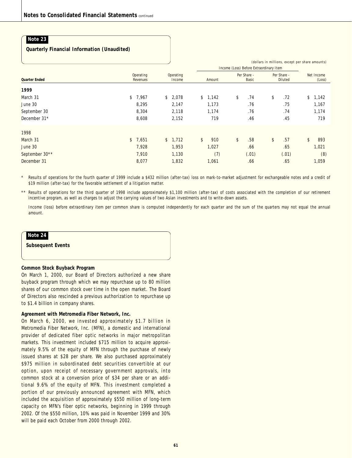### **Quarterly Financial Information (Unaudited)**

|                      |                        |                        | (dollars in millions, except per share amounts)<br>Income (Loss) Before Extraordinary Item |                      |                        |                      |  |
|----------------------|------------------------|------------------------|--------------------------------------------------------------------------------------------|----------------------|------------------------|----------------------|--|
| <b>Quarter Ended</b> | Operating<br>Revenues  | Operating<br>Income    | Amount                                                                                     | Per Share -<br>Basic | Per Share -<br>Diluted | Net Income<br>(Loss) |  |
| 1999                 |                        |                        |                                                                                            |                      |                        |                      |  |
| March 31             | \$7,967                | \$<br>2,078            | \$1,142                                                                                    | \$<br>.74            | \$<br>.72              | \$1,142              |  |
| June 30              | 8,295                  | 2,147                  | 1,173                                                                                      | .76                  | .75                    | 1,167                |  |
| September 30         | 8,304                  | 2,118                  | 1,174                                                                                      | .76                  | .74                    | 1,174                |  |
| December 31*         | 8,608                  | 2,152                  | 719                                                                                        | .46                  | .45                    | 719                  |  |
| 1998                 |                        |                        |                                                                                            |                      |                        |                      |  |
| March 31             | $\mathsf{\$}$<br>7,651 | $\mathsf{\$}$<br>1,712 | \$<br>910                                                                                  | \$<br>.58            | \$<br>.57              | \$<br>893            |  |
| June 30              | 7,928                  | 1,953                  | 1,027                                                                                      | .66                  | .65                    | 1,021                |  |
| September 30**       | 7,910                  | 1,130                  | (7)                                                                                        | (.01)                | (.01)                  | (8)                  |  |
| December 31          | 8,077                  | 1,832                  | 1,061                                                                                      | .66                  | .65                    | 1,059                |  |

Results of operations for the fourth quarter of 1999 include a \$432 million (after-tax) loss on mark-to-market adjustment for exchangeable notes and a credit of \$19 million (after-tax) for the favorable settlement of a litigation matter.

\*\* Results of operations for the third quarter of 1998 include approximately \$1,100 million (after-tax) of costs associated with the completion of our retirement incentive program, as well as charges to adjust the carrying values of two Asian investments and to write-down assets.

Income (loss) before extraordinary item per common share is computed independently for each quarter and the sum of the quarters may not equal the annual amount.

### **Note 24**

**Subsequent Events**

#### **Common Stock Buyback Program**

On March 1, 2000, our Board of Directors authorized a new share buyback program through which we may repurchase up to 80 million shares of our common stock over time in the open market. The Board of Directors also rescinded a previous authorization to repurchase up to \$1.4 billion in company shares.

#### **Agreement with Metromedia Fiber Network, Inc.**

On March 6, 2000, we invested approximately \$1.7 billion in Metromedia Fiber Network, Inc. (MFN), a domestic and international provider of dedicated fiber optic networks in major metropolitan markets. This investment included \$715 million to acquire approximately 9.5% of the equity of MFN through the purchase of newly issued shares at \$28 per share. We also purchased approximately \$975 million in subordinated debt securities convertible at our option, upon receipt of necessary government approvals, into common stock at a conversion price of \$34 per share or an additional 9.6% of the equity of MFN. This investment completed a portion of our previously announced agreement with MFN, which included the acquisition of approximately \$550 million of long-term capacity on MFN's fiber optic networks, beginning in 1999 through 2002. Of the \$550 million, 10% was paid in November 1999 and 30% will be paid each October from 2000 through 2002.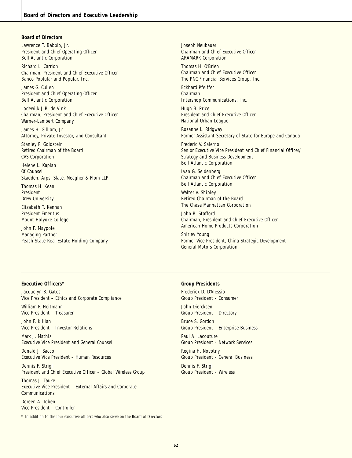#### **Board of Directors**

Lawrence T. Babbio, Jr. *President and Chief Operating Officer* Bell Atlantic Corporation

Richard L. Carrion *Chairman, President and Chief Executive Officer* Banco Poplular and Popular, Inc.

James G. Cullen *President and Chief Operating Officer* Bell Atlantic Corporation

Lodewijk J.R. de Vink *Chairman, President and Chief Executive Officer* Warner-Lambert Company

James H. Gilliam, Jr. *Attorney, Private Investor, and Consultant*

Stanley P. Goldstein *Retired Chairman of the Board* CVS Corporation

Helene L. Kaplan *Of Counsel* Skadden, Arps, Slate, Meagher & Flom LLP

Thomas H. Kean *President* Drew University

Elizabeth T. Kennan *President Emeritus* Mount Holyoke College

John F. Maypole *Managing Partner* Peach State Real Estate Holding Company

Joseph Neubauer *Chairman and Chief Executive Officer* ARAMARK Corporation

Thomas H. O'Brien *Chairman and Chief Executive Officer* The PNC Financial Services Group, Inc.

Eckhard Pfeiffer *Chairman* Intershop Communications, Inc.

Hugh B. Price *President and Chief Executive Officer* National Urban League

Rozanne L. Ridgway *Former Assistant Secretary of State for Europe and Canada*

Frederic V. Salerno *Senior Executive Vice President and Chief Financial Officer/ Strategy and Business Development* Bell Atlantic Corporation

Ivan G. Seidenberg *Chairman and Chief Executive Officer* Bell Atlantic Corporation

Walter V. Shipley *Retired Chairman of the Board* The Chase Manhattan Corporation

John R. Stafford *Chairman, President and Chief Executive Officer* American Home Products Corporation

Shirley Young *Former Vice President, China Strategic Development* General Motors Corporation

#### **Executive Officers\***

Jacquelyn B. Gates *Vice President – Ethics and Corporate Compliance* William F. Heitmann *Vice President – Treasurer*

John F. Killian *Vice President – Investor Relations*

Mark J. Mathis *Executive Vice President and General Counsel*

Donald J. Sacco *Executive Vice President – Human Resources*

Dennis F. Strigl *President and Chief Executive Officer – Global Wireless Group*

Thomas J. Tauke *Executive Vice President – External Affairs and Corporate Communications*

Doreen A. Toben *Vice President – Controller*

*\* In addition to the four executive officers who also serve on the Board of Directors*

### **Group Presidents**

Frederick D. D'Alessio *Group President – Consumer*

John Diercksen *Group President – Directory*

Bruce S. Gordon *Group President – Enterprise Business*

Paul A. Lacouture *Group President – Network Services*

Regina H. Novotny *Group President – General Business*

Dennis F. Strigl *Group President – Wireless*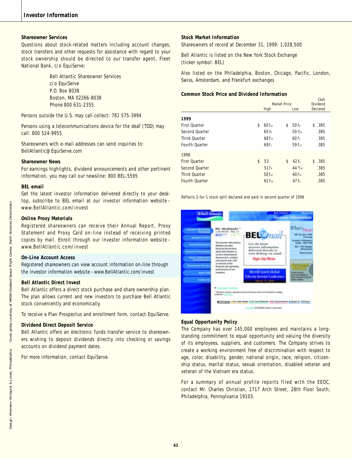### **Shareowner Services**

Questions about stock-related matters including account changes, stock transfers and other requests for assistance with regard to your stock ownership should be directed to our transfer agent, Fleet National Bank, c/o EquiServe:

> Bell Atlantic Shareowner Services c/o EquiServe P.O. Box 8038 Boston, MA 02266-8038 Phone 800 631-2355

Persons outside the U.S. may call collect: 781 575-3994

Persons using a telecommunications device for the deaf (TDD) may call: 800 524-9955

Shareowners with e-mail addresses can send inquiries to: BellAtlantic@EquiServe.com

#### **Shareowner News**

For earnings highlights, dividend announcements and other pertinent information, you may call our newsline: 800 BEL-5595

#### **BEL email**

Get the latest investor information delivered directly to your desktop, subscribe to BEL email at our investor information website – www.BellAtlantic.com/invest

#### **Online Proxy Materials**

Registered shareowners can receive their Annual Report, Proxy Statement and Proxy Card on-line instead of receiving printed copies by mail. Enroll through our investor information website – www.BellAtlantic.com/invest

#### **On-Line Account Access**

Registered shareowners can view account information on-line through the investor information website – www.BellAtlantic.com/invest

#### **Bell Atlantic Direct Invest**

Bell Atlantic offers a direct stock purchase and share ownership plan. The plan allows current and new investors to purchase Bell Atlantic stock conveniently and economically.

To receive a Plan Prospectus and enrollment form, contact EquiServe.

#### **Dividend Direct Deposit Service**

Bell Atlantic offers an electronic funds transfer service to shareowners wishing to deposit dividends directly into checking or savings accounts on dividend payment dates.

For more information, contact EquiServe.

#### **Stock Market Information**

Shareowners of record at December 31, 1999: 1,028,500

Bell Atlantic is listed on the New York Stock Exchange (ticker symbol: BEL)

Also listed on the Philadelphia, Boston, Chicago, Pacific, London, Swiss, Amsterdam, and Frankfurt exchanges

#### **Common Stock Price and Dividend Information**

|                       | Market Price |                  |    |                   |          |
|-----------------------|--------------|------------------|----|-------------------|----------|
|                       |              | High             |    | Low               | Declared |
| 1999                  |              |                  |    |                   |          |
| <b>First Ouarter</b>  | \$           | $60\%$           | \$ | $50\%$            | \$.385   |
| Second Ouarter        |              | $65\%$           |    | $50\frac{15}{16}$ | .385     |
| Third Ouarter         |              | $68\frac{3}{16}$ |    | $60\%$            | .385     |
| Fourth Ouarter        |              | $69\frac{1}{2}$  |    | $59\frac{3}{16}$  | .385     |
| 1998                  |              |                  |    |                   |          |
| <b>First Ouarter</b>  | \$           | 53               | \$ | 42%               | \$.385   |
| Second Quarter        |              | $51\%$           |    | $44^{11}/_{16}$   | .385     |
| <b>Third Ouarter</b>  |              | $50\%$           |    | $40\%$            | .385     |
| <b>Fourth Ouarter</b> |              | $61\frac{3}{16}$ |    | $47\frac{3}{4}$   | .385     |

Reflects 2-for-1 stock split declared and paid in second quarter of 1998



#### **Equal Opportunity Policy**

The Company has over 145,000 employees and maintains a longstanding commitment to equal opportunity and valuing the diversity of its employees, suppliers, and customers. The Company strives to create a working environment free of discrimination with respect to age, color, disability, gender, national origin, race, religion, citizenship status, marital status, sexual orientation, disabled veteran and veteran of the Vietnam era status.

For a summary of annual profile reports filed with the EEOC, contact Mr. Charles Christian, 1717 Arch Street, 28th Floor South, Philadelphia, Pennsylvania 19103.